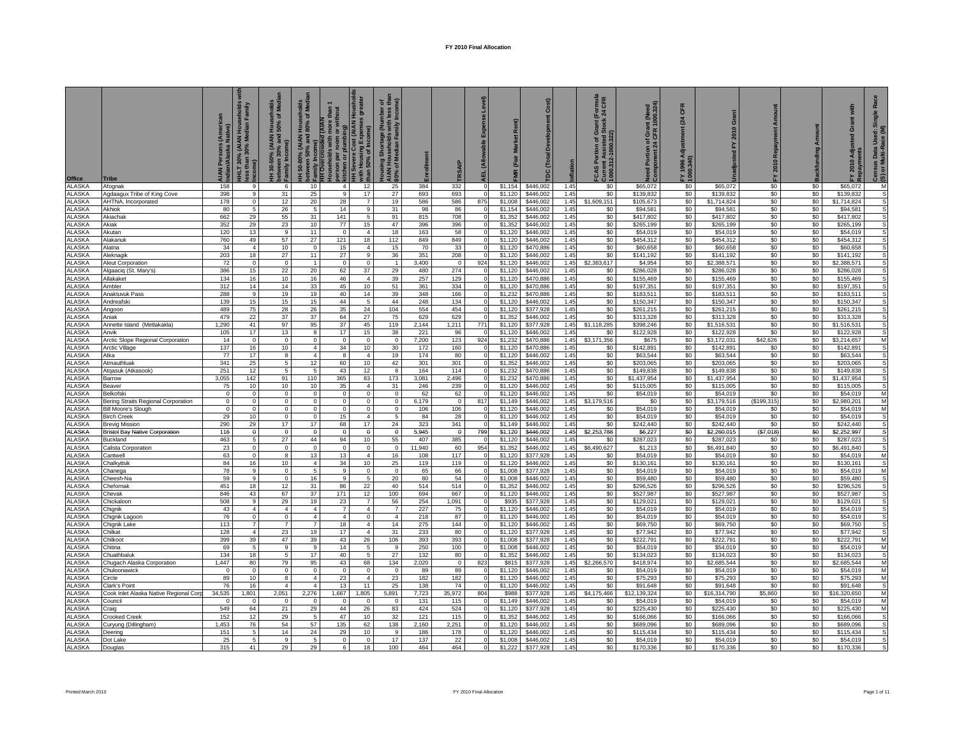| Office                         | Tribe                                      | ye)<br>Persons (An<br>n/Alaska Nati | yliuus:<br>sppous:<br>% (AIAN I<br>30% Me<br><b>HLT 30%</b><br>than | Households<br>50% of Medi<br>(AIAN<br>% and<br>30-50%<br>between 3<br>Family Inc | Med<br>50-80% (AIAN Househ<br>ween 50% and 80% of<br>Family Income) | thout<br>d (AIAM<br>$\overline{\bullet}$<br>per | vere Cost (AIAN Houshol<br>$\bar{a}$<br><b>iel</b><br>with Housing E<br>than 50% of In<br>Ŧ | P<br>호훈<br>ousing Shortage (Number o<br>AN Households with less tl<br>% of Median Family Incom<br>30% of Median Far |               |              |     | Market R<br>(Fair  | Cost)                  | flation      | Formula<br>24 CFR<br>ტ თ<br>– Current Assisie<br>1000.312-1000.322)<br>ី ខឹ<br>Por<br>4S | Portion of Grant (Need<br>vonent 24 CFR 1000.324)<br>Need Port<br>Compone | CFR<br>(24)<br>FY 1996 A<br>1000.340) | $\sigma$                 | 2010 Repay<br>ᇫ | <b>Backfunding Amount</b> | with<br>ō<br>2010 Adj    | Rac<br>Single<br>Census Data Used:<br>(S) or Multi-Race (M |
|--------------------------------|--------------------------------------------|-------------------------------------|---------------------------------------------------------------------|----------------------------------------------------------------------------------|---------------------------------------------------------------------|-------------------------------------------------|---------------------------------------------------------------------------------------------|---------------------------------------------------------------------------------------------------------------------|---------------|--------------|-----|--------------------|------------------------|--------------|------------------------------------------------------------------------------------------|---------------------------------------------------------------------------|---------------------------------------|--------------------------|-----------------|---------------------------|--------------------------|------------------------------------------------------------|
| ALASKA                         | Afognak                                    | 158                                 | -9                                                                  | 6                                                                                | 10                                                                  | $\overline{4}$                                  | 12                                                                                          | 25                                                                                                                  | 384           | 332          |     | \$1,154            | \$446,002              | 1.45         | \$0                                                                                      | \$65,072                                                                  | \$0                                   | \$65,072                 | \$0             | \$0                       | \$65,072                 | M                                                          |
| <b>ALASKA</b>                  | Agdaagux Tribe of King Cove                | 398                                 | 9                                                                   | 31                                                                               | 25                                                                  | 9                                               | 17                                                                                          | 27                                                                                                                  | 693           | 693          |     | \$1,120            | \$446,002              | 1.45         | \$0                                                                                      | \$139,832                                                                 | \$0                                   | \$139,832                | \$0             | \$0                       | \$139,832                | s                                                          |
| ALASKA                         | AHTNA, Incorporated                        | 178                                 | $\mathbf 0$                                                         | 12                                                                               | 20                                                                  | 28                                              | $\overline{7}$                                                                              | 19                                                                                                                  | 586           | 586          | 875 | \$1,008            | \$446,002              | 1.45         | \$1,609.151                                                                              | \$105,673                                                                 | \$0                                   | \$1,714,824              | \$0             | \$0                       | \$1,714,824              | S                                                          |
| <b>LASKA</b>                   | Akhiok                                     | 80                                  | $\overline{5}$                                                      | 26                                                                               | -5                                                                  | 14                                              | 9<br>5                                                                                      | 31                                                                                                                  | 98            | 86           |     | \$1.154<br>\$1.352 | \$446,002              | 1.45<br>1.45 | \$0                                                                                      | \$94,581                                                                  | \$0                                   | \$94,581                 | \$0             | \$0                       | \$94,581                 |                                                            |
| <b>ILASKA</b><br><b>ILASKA</b> | Akiachak<br><b>Akiak</b>                   | 662<br>352                          | 29<br>29                                                            | 55<br>23                                                                         | 31<br>10                                                            | 141<br>77                                       | 15                                                                                          | 91<br>47                                                                                                            | 815<br>396    | 708<br>396   |     | \$1,352            | \$446,00<br>\$446,00   | 1.45         | \$0<br>\$0                                                                               | \$417,802<br>\$265,199                                                    | \$0<br>\$0                            | \$417,802<br>\$265,199   | \$0<br>\$0      | \$0<br>\$0                | \$417,802<br>\$265,199   |                                                            |
| <b>ALASKA</b>                  | Akutan                                     | 120                                 | 13                                                                  | 9                                                                                | 11                                                                  | $\circ$                                         | $\Delta$                                                                                    | 18                                                                                                                  | 163           | 58           |     | \$1,120            | \$446,002              | 1.45         | \$0                                                                                      | \$54,019                                                                  | \$0                                   | \$54,019                 | \$0             | \$0                       | \$54.019                 | S                                                          |
| <b>ALASKA</b>                  | <b>Alakanuk</b>                            | 760                                 | 49                                                                  | 57                                                                               | 27                                                                  | 121                                             | 18                                                                                          | 112                                                                                                                 | 849           | 849          |     | \$1,120            | \$446,002              | 1.45         | \$0                                                                                      | \$454,312                                                                 | \$0                                   | \$454.312                | \$0             | \$0                       | \$454,312                | S                                                          |
| ALASKA                         | <b>Iatna</b>                               | 34                                  | $\overline{4}$                                                      | 10                                                                               | $\Omega$                                                            | 15                                              | $\overline{4}$                                                                              | 15                                                                                                                  | 70            | 33           |     | \$1,120            | \$470,886              | 1.45         | \$0                                                                                      | \$60,658                                                                  | \$0                                   | \$60,658                 | \$0             | \$0                       | \$60,658                 | s                                                          |
| ALASKA                         | leknagik                                   | 203                                 | 18                                                                  | 27                                                                               | 11                                                                  | 27                                              | $\mathsf{Q}$                                                                                | 36                                                                                                                  | 351           | 208          |     | \$1,120            | \$446,002              | 1.45         | \$0                                                                                      | \$141,192                                                                 | \$0                                   | \$141,192                | \$0             | \$0                       | \$141,192                |                                                            |
| <b>ALASKA</b>                  | <b>Neut Corporation</b>                    | 72                                  | $\mathbf 0$                                                         | $\Omega$                                                                         |                                                                     | $\Omega$                                        | $\Omega$                                                                                    | $\mathbf{1}$                                                                                                        | 3.400         | $\Omega$     | 924 | \$1,120            | \$446,00               | 1.45         | \$2,383,617                                                                              | \$4,954                                                                   | \$0                                   | \$2,388,571              | \$0             | \$0                       | \$2,388,57               |                                                            |
| ALASKA                         | Igaaciq (St. Mary's)                       | 386                                 | 15                                                                  | $\overline{22}$                                                                  | 20                                                                  | 62                                              | 37                                                                                          | 29                                                                                                                  | 480           | 274          |     | \$1,120            | \$446,002              | 1.45         | \$0                                                                                      | \$286,028                                                                 | \$0                                   | \$286,028                | \$0             | \$0                       | \$286,028                |                                                            |
| <b>ALASKA</b>                  | <b>Ilakaket</b>                            | 134                                 | 16                                                                  | 10                                                                               | 16                                                                  | 46                                              | $\overline{4}$                                                                              | 39                                                                                                                  | 257           | 129          |     | \$1,120            | \$470,886              | 1.45         | \$0                                                                                      | \$155,469                                                                 | \$0                                   | \$155,469                | \$0             | \$0                       | \$155,469                |                                                            |
| ALASKA                         | <b>Ambler</b>                              | 312                                 | 14                                                                  | 14                                                                               | $33\,$                                                              | 45                                              | 10                                                                                          | 51                                                                                                                  | 361           | 334          |     | \$1,120            | \$470,886              | 1.45         | \$0                                                                                      | \$197,351                                                                 | \$0                                   | \$197,351                | \$0             | \$0                       | \$197,351                | S                                                          |
| ALASKA                         | Anaktuvuk Pass                             | 288                                 | 9<br>15                                                             | 19<br>15                                                                         | 19<br>15                                                            | 40<br>44                                        | 14<br>5                                                                                     | 39<br>44                                                                                                            | 348           | 166<br>134   |     | \$1,232            | \$470,886<br>\$446,002 | 1.45<br>1.45 | \$0                                                                                      | \$183,511<br>\$150,347                                                    | \$0<br>\$0                            | \$183,511                | \$0<br>\$0      | \$0                       | \$183,511<br>\$150,347   | s<br>s                                                     |
| ALASKA<br>ALASKA               | Andreafski<br>Angoon                       | 139<br>489                          | 75                                                                  | 28                                                                               | 26                                                                  | 35                                              | 24                                                                                          | 104                                                                                                                 | 248<br>554    | 454          |     | \$1,120<br>\$1,120 | \$377,928              | 1.45         | \$0<br>\$0                                                                               | \$261,215                                                                 | \$0                                   | \$150,347<br>\$261,215   | \$0             | \$0<br>\$0                | \$261,215                | S                                                          |
| ALASKA                         | Aniak                                      | 479                                 | 22                                                                  | 37                                                                               | 37                                                                  | 64                                              | 27                                                                                          | 75                                                                                                                  | 629           | 629          |     | \$1,352            | \$446,002              | 1.45         | \$0                                                                                      | \$313,328                                                                 | \$0                                   | \$313,328                | \$0             | \$0                       | \$313,328                | S                                                          |
| ALASKA                         | Annette Island (Metlakakla)                | 1,290                               | 41                                                                  | 97                                                                               | 95                                                                  | 37                                              | 45                                                                                          | 119                                                                                                                 | 2,144         | 1,211        | 771 | \$1,120            | \$377,928              | 1.45         | \$1,118,285                                                                              | \$398,246                                                                 | \$0                                   | \$1,516,531              | \$0             | \$0                       | \$1,516,531              |                                                            |
| ALASKA                         | Anvik                                      | 105                                 | 17                                                                  | 13                                                                               | 8                                                                   | 17                                              | 15                                                                                          | 38                                                                                                                  | 221           | 96           |     | \$1,120            | \$446,002              | 1.45         | \$0                                                                                      | \$122,928                                                                 | \$0                                   | \$122,928                | \$0             | \$0                       | \$122,928                |                                                            |
| ALASKA                         | Arctic Slope Regional Corporation          | 14                                  | $\mathbf 0$                                                         | $\mathbf 0$                                                                      | $\Omega$                                                            | $\Omega$                                        | $\mathbf 0$                                                                                 | $\Omega$                                                                                                            | 7,200         | 123          | 924 | \$1,232            | \$470,886              | 1.45         | \$3,171,356                                                                              | \$675                                                                     | \$0                                   | \$3,172,031              | \$42,626        | \$0                       | \$3,214,657              | M                                                          |
| <b>ALASKA</b>                  | Arctic Village                             | 137                                 | 16                                                                  | 10 <sub>1</sub>                                                                  | $\overline{4}$                                                      | 34                                              | 10                                                                                          | 30                                                                                                                  | 172           | 160          |     | \$1,120            | \$470,886              | 1.45         | \$0                                                                                      | \$142,891                                                                 | \$0                                   | \$142,891                | \$0             | \$0                       | \$142,891                | s                                                          |
| <b>LASKA</b>                   | Atka                                       | 77                                  | 17                                                                  | 8                                                                                | $\overline{4}$                                                      | 8                                               | $\overline{4}$                                                                              | 19                                                                                                                  | 174           | 80           |     | \$1,120            | \$446,002              | 1.45         | \$0                                                                                      | \$63,544                                                                  | \$0                                   | \$63,544                 | \$0             | \$0                       | \$63,544                 | s                                                          |
| LASKA                          | Atmauthluak                                | 341                                 | 25                                                                  | 5                                                                                | 12                                                                  | 60                                              | 10                                                                                          | 42                                                                                                                  | 301           | 301          |     | \$1,352            | \$446,002              | 1.45         | \$0                                                                                      | \$203,065                                                                 | \$0                                   | \$203,065                | \$0             | \$0                       | \$203,065                | s                                                          |
| <b>ALASKA</b><br><b>ALASKA</b> | Atgasuk (Atkasook)<br><b>Barrow</b>        | 251<br>3,055                        | 12<br>142                                                           | 5<br>91                                                                          | -5<br>110                                                           | 43<br>365                                       | 12<br>83                                                                                    | 8<br>173                                                                                                            | 164<br>3,081  | 114<br>2,496 |     | \$1,232<br>\$1,232 | \$470,886<br>\$470,886 | 1.45<br>1.45 | \$0<br>\$0                                                                               | \$149,838<br>\$1,437,954                                                  | \$0<br>\$0                            | \$149,838<br>\$1,437,954 | \$0<br>\$0      | \$0<br>\$0                | \$149,838<br>\$1,437,954 | S<br>s                                                     |
| <b>ALASKA</b>                  | leaver                                     | 75                                  | 10                                                                  | 10                                                                               | 10                                                                  | 35                                              | $\overline{4}$                                                                              | 31                                                                                                                  | 246           | 239          |     | \$1,120            | \$446,002              | 1.45         | \$0                                                                                      | \$115,005                                                                 | \$0                                   | \$115,005                | \$0             | \$0                       | \$115,005                | s                                                          |
| <b>ALASKA</b>                  | Belkofski                                  | $\Omega$                            | $\overline{0}$                                                      | $\circ$                                                                          | $\Omega$                                                            | $\overline{0}$                                  | $\Omega$                                                                                    | $\mathbf 0$                                                                                                         | 62            | 62           |     | \$1,120            | \$446,002              | 1.45         | \$0                                                                                      | \$54,019                                                                  | \$0                                   | \$54,019                 | \$0             | \$0                       | \$54,019                 | M                                                          |
| ALASKA                         | <b>Bering Straits Regional Corporation</b> | $\Omega$                            | $\mathbf 0$                                                         | $\mathbf 0$                                                                      | $\Omega$                                                            | $\mathbf{0}$                                    | $\Omega$                                                                                    | $\mathbf 0$                                                                                                         | 6,179         | $\Omega$     | 817 | \$1,149            | \$446,002              | 1.45         | \$3,179,516                                                                              | S0                                                                        | \$0                                   | \$3,179,516              | (S199, 315)     | \$0                       | \$2,980,201              | M                                                          |
| ALASKA                         | <b>Bill Moore's Slough</b>                 | $\Omega$                            | $\mathbf 0$                                                         | $\mathbf 0$                                                                      | $\Omega$                                                            | $\mathbf{0}$                                    | $\Omega$                                                                                    | $\mathbf{0}$                                                                                                        | 106           | 106          |     | \$1,120            | \$446,002              | 1.45         | \$0                                                                                      | \$54,019                                                                  | \$0                                   | \$54,019                 | \$0             | \$0                       | \$54,019                 | M                                                          |
| ALASKA                         | <b>Birch Creek</b>                         | 29                                  | 10                                                                  | $\mathbf 0$                                                                      | $\overline{0}$                                                      | 15                                              | $\overline{4}$                                                                              | -5                                                                                                                  | 84            | 28           |     | \$1,120            | \$446,002              | 1.45         | \$0                                                                                      | \$54,019                                                                  | \$0                                   | \$54,019                 | \$0             | \$0                       | \$54,019                 | S                                                          |
| <b>\LASKA</b>                  | <b>Brevig Mission</b>                      | 290                                 | 29                                                                  | 17                                                                               | 17                                                                  | 68                                              | 17                                                                                          | 24                                                                                                                  | 323           | 341          |     | \$1,149            | \$446,002              | 1.45         | \$0                                                                                      | \$242,440                                                                 | \$0                                   | \$242,440                | \$0             | \$0                       | \$242,440                | s                                                          |
| ALASKA                         | <b>Bristol Bay Native Corporation</b>      | 116                                 | $\bf{0}$                                                            | $\bf{0}$                                                                         | $\bf{0}$                                                            | $\bf{0}$                                        | $\bf{0}$                                                                                    | $\bf{0}$                                                                                                            | 5,945         | $\Omega$     | 799 | \$1,120            | \$446,002              | 1.45         | \$2,253,788                                                                              | \$6,227                                                                   | \$0                                   | \$2,260,015              | (S7,018)        | \$0                       | \$2,252,997              | s                                                          |
| ALASKA                         | <b>Buckland</b>                            | 463<br>23                           | 5<br>$\mathbf{0}$                                                   | 27<br>$\Omega$                                                                   | 44<br>$\Omega$                                                      | 94<br>$\overline{0}$                            | 10<br>$\Omega$                                                                              | 55<br>$\Omega$                                                                                                      | 407<br>11.940 | 385<br>60    | 954 | \$1,120<br>\$1,352 | \$446,002<br>\$446,002 | 1.45<br>1.45 | \$0<br>\$6,490,627                                                                       | \$287,023<br>\$1,213                                                      | \$0<br>\$0                            | \$287,023<br>\$6,491.840 | \$0             | \$0<br>\$0                | \$287,023<br>\$6.491.840 | S<br><sub>S</sub>                                          |
| ALASKA<br><b>ALASKA</b>        | Calista Corporation<br>Cantwell            | 63                                  | $\mathbf 0$                                                         | 8                                                                                | 13                                                                  | 13                                              | $\overline{4}$                                                                              | 16                                                                                                                  | 108           | 117          |     | \$1.120            | \$377,928              | 1.45         | \$0                                                                                      | \$54,019                                                                  | \$0                                   | \$54,019                 | \$0<br>\$0      | \$0                       | \$54,019                 | M                                                          |
| <b>ALASKA</b>                  | Chalkyitsik                                | 84                                  | 16                                                                  | 10                                                                               | $\overline{4}$                                                      | 34                                              | 10                                                                                          | 25                                                                                                                  | 119           | 119          |     | \$1,120            | \$446,002              | 1.45         | \$0                                                                                      | \$130,161                                                                 | \$0                                   | \$130,161                | \$0             | \$0                       | \$130,161                | S                                                          |
| ALASKA                         | hanega:                                    | 78                                  | 9                                                                   | $\Omega$                                                                         | -5                                                                  | -9                                              | $\Omega$                                                                                    | $\Omega$                                                                                                            | 65            | 66           |     | \$1,008            | \$377,928              | 1.45         | \$0                                                                                      | \$54,019                                                                  | \$0                                   | \$54,019                 | \$0             | \$0                       | \$54,019                 | M                                                          |
| <b>LASKA</b>                   | Cheesh-Na                                  | 59                                  | 9                                                                   | $\Omega$                                                                         | 16                                                                  | 9                                               | .5                                                                                          | 20                                                                                                                  | 80            | 54           |     | \$1,008            | \$446,002              | 1.45         | \$0                                                                                      | \$59,480                                                                  | \$0                                   | \$59,480                 | \$0             | \$0                       | \$59,480                 | S                                                          |
| <b>LASKA</b>                   | Chefornak                                  | 451                                 | 18                                                                  | 12                                                                               | 31                                                                  | 86                                              | 22                                                                                          | 40                                                                                                                  | 514           | 514          |     | \$1.352            | \$446,002              | 1.45         | \$0                                                                                      | \$296,526                                                                 | \$0                                   | \$296,526                | \$0             | \$0                       | \$296,526                |                                                            |
| LASKA                          | Chevak                                     | 846                                 | 43                                                                  | 67                                                                               | 37                                                                  | 171                                             | 12                                                                                          | 100                                                                                                                 | 694           | 667          |     | \$1,120            | \$446,002              | 1.45         | \$0                                                                                      | \$527,987                                                                 | \$0                                   | \$527,987                | \$0             | \$0                       | \$527,987                |                                                            |
| <b>LASKA</b><br><b>ALASKA</b>  | Chickaloon                                 | 508<br>43                           | 9<br>$\overline{4}$                                                 | 29<br>$\Delta$                                                                   | 19<br>$\overline{a}$                                                | 23<br>$\overline{7}$                            | $\overline{7}$<br>$\overline{4}$                                                            | 56<br>$\overline{7}$                                                                                                | 254<br>227    | 1.091<br>75  |     | \$935<br>\$1,120   | \$377,928<br>\$446,002 | 1.45<br>1.45 | \$0<br>\$0                                                                               | \$129.021<br>\$54,019                                                     | \$0<br>\$0                            | \$129.021<br>\$54,019    | \$0<br>\$0      | \$0<br>\$0                | \$129.021<br>\$54,019    | S<br>S                                                     |
| ALASKA                         | Chignik<br>Chignik Lagoon                  | 76                                  | $\overline{0}$                                                      | $\Omega$                                                                         | $\overline{4}$                                                      | $\overline{4}$                                  | $\Omega$                                                                                    | $\overline{4}$                                                                                                      | 218           | 87           |     | \$1,120            | \$446,002              | 1.45         | \$0                                                                                      | \$54,019                                                                  | \$0                                   | \$54,019                 | \$0             | \$0                       | \$54,019                 | s                                                          |
| ALASKA                         | Chignik Lake                               | 113                                 | $\overline{7}$                                                      | $\overline{7}$                                                                   | $\overline{7}$                                                      | 18                                              | $\overline{4}$                                                                              | 14                                                                                                                  | 275           | 144          |     | \$1,120            | \$446,002              | 1.45         | \$0                                                                                      | \$69,750                                                                  | \$0                                   | \$69,750                 | \$0             | \$0                       | \$69,750                 | S                                                          |
| <b>ALASKA</b>                  | Chilkat                                    | 128                                 | $\mathbf{A}$                                                        | 23                                                                               | 19                                                                  | 17                                              | $\mathbf{A}$                                                                                | 31                                                                                                                  | 233           | 80           |     | \$1,120            | \$377,928              | 1.45         | \$0                                                                                      | \$77,942                                                                  | \$0                                   | \$77,942                 | \$0             | \$0                       | \$77,942                 | s                                                          |
| <b>ALASKA</b>                  | Chilkoot                                   | 399                                 | 39                                                                  | 47                                                                               | 39                                                                  | 43                                              | 26                                                                                          | 106                                                                                                                 | 393           | 393          |     | \$1,008            | \$377,928              | 1.45         | \$0                                                                                      | \$222,791                                                                 | \$0                                   | \$222,791                | \$0             | \$0                       | \$222,791                | M                                                          |
| ALASKA                         | Chitina                                    | 69                                  | 5                                                                   | 9                                                                                | $\mathbf{Q}$                                                        | 14                                              | $\overline{5}$                                                                              | 9                                                                                                                   | 250           | 100          |     | \$1,008            | \$446,002              | 1.45         | \$0                                                                                      | \$54,019                                                                  | \$0                                   | \$54,019                 | \$0             | \$0                       | \$54,019                 | M                                                          |
| ALASKA                         | Chuathbaluk                                | 134                                 | 18                                                                  | $\overline{5}$                                                                   | 17                                                                  | 40                                              | 5                                                                                           | 27                                                                                                                  | 132           | 80           |     | \$1,352            | \$446,002              | 1.45         | \$0                                                                                      | \$134,023                                                                 | \$0                                   | \$134,023                | \$0             | \$0                       | \$134,023                | S                                                          |
| ALASKA                         | Chugach Alaska Corporation                 | 1,447                               | 80                                                                  | 79                                                                               | 95                                                                  | 43                                              | 68                                                                                          | 134                                                                                                                 | 2,020         | $\Omega$     | 823 | \$815              | \$377,928              | 1.45         | \$2,266,570                                                                              | \$418,974                                                                 | \$0                                   | \$2,685,544              | \$0             | \$0                       | \$2,685,544              | M                                                          |
| ALASKA                         | huloonawick                                | $\Omega$                            | $\mathbf 0$                                                         | $\mathbf 0$                                                                      | $\mathbf 0$<br>$\overline{4}$                                       | $\mathbf 0$                                     | $\mathbf 0$<br>$\overline{4}$                                                               | $\Omega$                                                                                                            | 89            | 89           |     | \$1,120            | \$446,002              | 1.45         | \$0                                                                                      | \$54,019                                                                  | \$0                                   | \$54,019                 | \$0<br>\$0      | \$0                       | \$54,019                 | $\overline{M}$                                             |
| ALASKA<br><b>ALASKA</b>        | ircle<br>lark's Point                      | 89<br>76                            | 10<br>16                                                            | 8<br>4                                                                           | $\overline{4}$                                                      | 23<br>13                                        | 11                                                                                          | 23<br>25                                                                                                            | 182<br>138    | 182<br>74    |     | \$1,120<br>\$1.120 | \$446,002<br>\$446,002 | 1.45<br>1.45 | \$0<br>\$0                                                                               | \$75,293<br>\$91,648                                                      | \$0<br>\$0                            | \$75,293<br>\$91.648     | \$0             | \$0<br>\$0                | \$75,293<br>\$91,648     | M<br>S                                                     |
| <b>LASKA</b>                   | ook Inlet Alaska Native Regional Cor       | 34,535                              | 1,801                                                               | 2,051                                                                            | 2,276                                                               | 1,667                                           | 1,805                                                                                       | 5,891                                                                                                               | 7,723         | 35,972       | 804 | \$988              | \$377,92               | 1.45         | \$4,175,466                                                                              | \$12,139,324                                                              | \$0                                   | \$16,314,790             | \$5,860         | \$0                       | \$16,320,650             | M                                                          |
| <b>ILASKA</b>                  | ouncil                                     |                                     | $\Omega$                                                            | $\Omega$                                                                         | $\Omega$                                                            | $\Omega$                                        | $\mathbf{0}$                                                                                | $\mathbf 0$                                                                                                         | 131           | 115          |     | \$1.149            | \$446,002              | 1.45         | \$0                                                                                      | \$54,019                                                                  | \$0                                   | \$54,019                 | \$0             | \$0                       | \$54,019                 | M                                                          |
| LASKA                          | raig)                                      | 549                                 | 64                                                                  | 21                                                                               | 29                                                                  | 44                                              | 26                                                                                          | 83                                                                                                                  | 424           | 524          |     | \$1,120            | \$377,928              | 1.45         | \$0                                                                                      | \$225,430                                                                 | \$0                                   | \$225,430                | \$0             | \$0                       | \$225,430                | M                                                          |
| <b>LASKA</b>                   | crooked Creek                              | 152                                 | 12                                                                  | 29                                                                               | .5                                                                  | 47                                              | 10                                                                                          | 32                                                                                                                  | 121           | 115          |     | \$1,352            | \$446,002              | 1.45         | \$0                                                                                      | \$166,066                                                                 | \$0                                   | \$166,066                | \$0             | \$0                       | \$166,066                | S                                                          |
| <b>ALASKA</b>                  | uryung (Dillingham)                        | 1,453                               | 76                                                                  | 54                                                                               | 57                                                                  | 135                                             | 62                                                                                          | 138                                                                                                                 | 2,160         | 2,251        |     | \$1.120            | \$446,002              | 1.45         | \$0                                                                                      | \$689,096                                                                 | \$0                                   | \$689,096                | \$0             | \$0                       | \$689,096                | s                                                          |
| <b>ALASKA</b>                  | eering                                     | 151                                 | 5                                                                   | 14                                                                               | 24                                                                  | 29                                              | 10                                                                                          | 9                                                                                                                   | 186           | 178          |     | \$1.120            | \$446,002              | 1.45         | \$0                                                                                      | \$115,434                                                                 | \$0                                   | \$115,434                | \$0             | \$0                       | \$115,434                | s                                                          |
| ALASKA                         | ot Lake                                    | 25                                  | 5                                                                   | $\mathbf{Q}$                                                                     | -5                                                                  | $\Omega$                                        | $\Omega$                                                                                    | 17                                                                                                                  | 137           | 22           |     | \$1,008            | \$446,002              | 1.45         | \$0                                                                                      | \$54,019                                                                  | \$0                                   | \$54,019                 | \$0             | \$0                       | \$54,019                 | S                                                          |
| <b>ALASKA</b>                  | <b>Ouglas</b>                              | 315                                 | 41                                                                  | 29                                                                               | 29                                                                  | 6.                                              | 18                                                                                          | 100                                                                                                                 | 464           | 464          |     | \$1,222            | \$377,928              | 1.45         | \$0                                                                                      | \$170,336                                                                 | \$0                                   | \$170,336                | \$0             | \$0                       | \$170,336                |                                                            |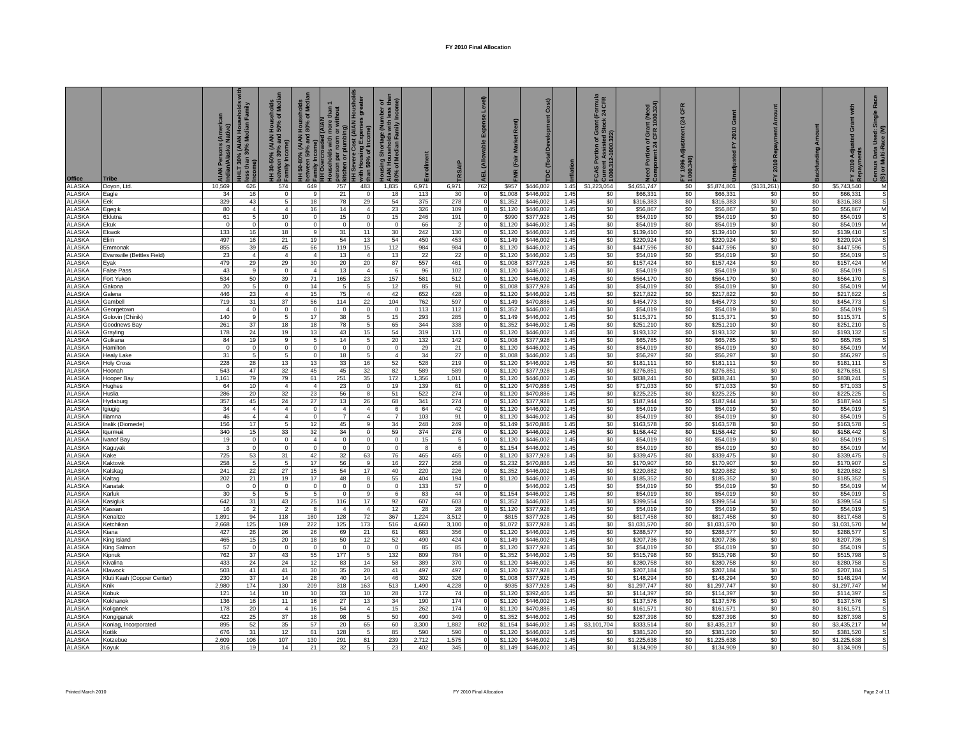| <b>Office</b>                  | Tribe                             | Persons (American<br>//Alaska Native) | seholds<br>Family<br>r,<br>HLT 30% (AIAN Hou:<br>ss than 30% Median | Households<br>50% of Medi<br>130-50% (AIAN I<br>:ween 30% and :<br>between 3<br>Family Inc | <del>I</del> H 50-80% (AIAN Households<br>etween 50% and 80% of Med<br><sup>family</sup> Income) | son per room or | Severe Cost (AIAN Housholds<br>I Housing Expenses greater<br>שונו היסטים<br>than 50% of Income) | mber of<br>I less thai<br>Income)<br>lousing Shortage (Number<br>JAN Households with less<br>10% of Median Family<br><b>AIAN</b> |              |                   | Expense Level)<br><b>ALL (Alloy</b> | (Fair              | Cost)<br>Development<br><b>DC</b> (Total | iflation     | (Formula<br><24 CFR<br>FCAS Portion of Gra<br>Current Assisted Std<br>1000.312-1000.322) | ed Portion of Grant (Need<br>mponent 24 CFR 1000.324) | CFR<br>(24) | $\sigma$                 | 2010<br>놊   | <b>Backfunding Amount</b> | with<br>Grant<br>2010 Adj | Race<br>Single<br>Census Data Used:<br>(S) or Multi-Race (M |
|--------------------------------|-----------------------------------|---------------------------------------|---------------------------------------------------------------------|--------------------------------------------------------------------------------------------|--------------------------------------------------------------------------------------------------|-----------------|-------------------------------------------------------------------------------------------------|----------------------------------------------------------------------------------------------------------------------------------|--------------|-------------------|-------------------------------------|--------------------|------------------------------------------|--------------|------------------------------------------------------------------------------------------|-------------------------------------------------------|-------------|--------------------------|-------------|---------------------------|---------------------------|-------------------------------------------------------------|
| <b>ALASKA</b>                  | Doyon, Ltd.                       | 10,569                                | 626                                                                 | 574                                                                                        | 649                                                                                              | 757             | 483                                                                                             | 1,835                                                                                                                            | 6,971        | 6,971             | 762                                 | \$957              | \$446,002                                | 1.45         | \$1,223,054                                                                              | \$4,651,747                                           | \$0         | \$5,874,801              | (\$131,261) | \$0                       | \$5,743,540               | M                                                           |
| <b>ALASKA</b>                  | Eagle                             | 34                                    | 16                                                                  | $\Omega$                                                                                   | -9                                                                                               | 21              | $\Omega$                                                                                        | 18                                                                                                                               | 113          | 30                |                                     | \$1,008            | \$446,002                                | 1.45         | \$0                                                                                      | \$66,331                                              | \$0         | \$66,331                 | \$0         | \$0                       | \$66,331                  | s                                                           |
| ALASKA                         | Eek                               | 329                                   | 43                                                                  | 5                                                                                          | 18                                                                                               | 78              | 29                                                                                              | 54                                                                                                                               | 375          | 278               |                                     | \$1,352            | \$446,002                                | 1.45         | \$0                                                                                      | \$316,383                                             | \$0         | \$316,383                | \$0         | \$0                       | \$316,383                 | s                                                           |
| ALASKA<br><b>ALASKA</b>        | Egegik<br>Eklutna                 | 80<br>61                              | $\overline{4}$<br>5                                                 | $\overline{4}$<br>10                                                                       | 16<br>$\Omega$                                                                                   | 14<br>15        | $\overline{4}$<br>$\Omega$                                                                      | 23<br>15                                                                                                                         | 326<br>246   | 109<br>191        |                                     | \$1,120<br>\$990   | \$446,002<br>\$377,928                   | 1.45<br>1.45 | \$0<br>\$0                                                                               | \$56,867<br>\$54,019                                  | \$0<br>\$0  | \$56,867<br>\$54,019     | \$0<br>\$0  | \$0<br>\$0                | \$56,867<br>\$54,019      | M<br>s                                                      |
| <b>ALASKA</b>                  | Ekuk                              | $\Omega$                              | $\circ$                                                             | $\mathbf 0$                                                                                | $\Omega$                                                                                         | $\mathbf 0$     | $\mathbf 0$                                                                                     | $\mathbf 0$                                                                                                                      | 66           | $\overline{2}$    |                                     | \$1,120            | \$446,002                                | 1.45         | \$0                                                                                      | \$54,019                                              | \$0         | \$54,019                 | \$0         | \$0                       | \$54,01                   | M                                                           |
| <b>ALASKA</b>                  | Ekwok                             | 133                                   | 16                                                                  | 18                                                                                         | $\overline{9}$                                                                                   | 31              | 11                                                                                              | 30                                                                                                                               | 242          | 130               |                                     | \$1,120            | \$446,002                                | 1.45         | \$0                                                                                      | \$139,410                                             | \$0         | \$139,410                | \$0         | \$0                       | \$139,410                 | S                                                           |
| ALASKA                         | Elim                              | 497                                   | 16                                                                  | 21                                                                                         | 19                                                                                               | 54              | 13                                                                                              | 54                                                                                                                               | 450          | 453               |                                     | \$1,149            | \$446,002                                | 1.45         | \$0                                                                                      | \$220,924                                             | \$0         | \$220,924                | \$0         | \$0                       | \$220,924                 | S                                                           |
| ALASKA                         | Emmonak                           | 855                                   | 39                                                                  | 45                                                                                         | 66                                                                                               | 119             | 15                                                                                              | 112                                                                                                                              | 984          | 984               |                                     | \$1,120            | \$446,002                                | 1.45         | \$0                                                                                      | \$447,596                                             | \$0         | \$447,596                | \$0         | \$0                       | \$447,596                 | S                                                           |
| <b>ALASKA</b>                  | Evansville (Bettles Field)        | 23                                    | $\overline{4}$                                                      | $\overline{4}$                                                                             | $\overline{4}$                                                                                   | 13              | $\overline{4}$                                                                                  | 13                                                                                                                               | 22           | 22                |                                     | \$1,120            | \$446,002                                | 1.45         | \$0                                                                                      | \$54,019                                              | \$0         | \$54,019                 | \$0         | \$0                       | \$54,019                  | s                                                           |
| <b>ALASKA</b>                  | Eyak                              | 479                                   | 29                                                                  | 29                                                                                         | 30                                                                                               | 20              | 20                                                                                              | 87                                                                                                                               | 557          | 461               |                                     | \$1,008            | \$377,928                                | 1.45         | \$0                                                                                      | \$157,424                                             | \$0         | \$157,424                | \$0         | \$0                       | \$157,424                 | M                                                           |
| <b>ALASKA</b>                  | False Pass                        | 43                                    | $\overline{9}$                                                      | $\overline{0}$                                                                             | $\mathbf{A}$                                                                                     | 13              | $\overline{4}$                                                                                  | 6                                                                                                                                | 96           | 102               |                                     | \$1,120            | \$446,002                                | 1.45         | \$0                                                                                      | \$54,019                                              | \$0         | \$54,019                 | \$0         | \$0                       | \$54,019                  | s                                                           |
| <b>ALASKA</b>                  | Fort Yukon                        | 534                                   | 50                                                                  | 39                                                                                         | 71                                                                                               | 165             | 23                                                                                              | 157                                                                                                                              | 581          | 512               |                                     | \$1,120            | \$446,002                                | 1.45         | \$0                                                                                      | \$564,170                                             | \$0         | \$564,170                | \$0         | \$0                       | \$564,170                 | s                                                           |
| <b>ALASKA</b><br>ALASKA        | Gakona<br>Galena                  | 20<br>446                             | 5<br>23                                                             | $\overline{0}$<br>$\overline{4}$                                                           | 14<br>15                                                                                         | 5<br>75         | $\overline{5}$<br>$\overline{4}$                                                                | 12<br>42                                                                                                                         | 85<br>652    | 91<br>428         |                                     | \$1,008<br>\$1,120 | \$377,928<br>\$446,002                   | 1.45<br>1.45 | \$0<br>\$0                                                                               | \$54,019<br>\$217,822                                 | \$0<br>\$0  | \$54,019<br>\$217,822    | \$0<br>\$0  | \$0<br>\$0                | \$54,019<br>\$217,822     | M<br>s                                                      |
| <b>ALASKA</b>                  | Gambell                           | 719                                   | 31                                                                  | 37                                                                                         | 56                                                                                               | 114             | 22                                                                                              | 104                                                                                                                              | 762          | 597               |                                     | \$1,149            | \$470,886                                | 1.45         | \$0                                                                                      | \$454,773                                             | \$0         | \$454,773                | \$0         | \$0                       | \$454,773                 | s                                                           |
| <b>ALASKA</b>                  | Georgetown                        | $\overline{4}$                        | $\overline{0}$                                                      | $\overline{0}$                                                                             | $\mathbf 0$                                                                                      | $\mathbf{0}$    | $\mathbf 0$                                                                                     | $\mathbf 0$                                                                                                                      | 113          | 112               |                                     | \$1,352            | \$446,002                                | 1.45         | \$0                                                                                      | \$54,019                                              | \$0         | \$54,019                 | \$0         | \$0                       | \$54,019                  |                                                             |
| <b>ALASKA</b>                  | Golovin (Chinik)                  | 140                                   | 9                                                                   | 5                                                                                          | 17                                                                                               | 38              | 5                                                                                               | 15                                                                                                                               | 293          | 285               |                                     | \$1,149            | \$446,002                                | 1.45         | \$0                                                                                      | \$115,371                                             | \$0         | \$115,371                | \$0         | \$0                       | \$115,371                 | s                                                           |
| <b>ALASKA</b>                  | <b>Goodnews Bay</b>               | 261                                   | 37                                                                  | 18                                                                                         | 18                                                                                               | 78              | 5                                                                                               | 65                                                                                                                               | 344          | 338               |                                     | \$1,352            | \$446,002                                | 1.45         | \$0                                                                                      | \$251,210                                             | \$0         | \$251,210                | \$0         | \$0                       | \$251,210                 | S                                                           |
| <b>ALASKA</b>                  | Grayling                          | 178                                   | 24                                                                  | 19                                                                                         | 13                                                                                               | 43              | 15                                                                                              | 54                                                                                                                               | 319          | 171               |                                     | \$1,120            | \$446,002                                | 1.45         | \$0                                                                                      | \$193,132                                             | \$0         | \$193,132                | \$0         | \$0                       | \$193,132                 | s                                                           |
| <b>ALASKA</b>                  | Gulkana                           | 84                                    | 19                                                                  | 9                                                                                          | 5                                                                                                | 14              | 5                                                                                               | 20                                                                                                                               | 132          | 142               |                                     | \$1,008            | \$377,928                                | 1.45         | \$0                                                                                      | \$65,785                                              | \$0         | \$65,785                 | \$0         | \$0                       | \$65,785                  | s                                                           |
| <b>ALASKA</b>                  | Hamilton                          | $\Omega$                              | $\mathbf 0$                                                         | $\mathbf 0$                                                                                | $\Omega$                                                                                         | $\Omega$        | 0                                                                                               | $\mathbf 0$                                                                                                                      | 29           | 21                |                                     | \$1,120            | \$446.002                                | 1.45         | \$0                                                                                      | \$54,019                                              | \$0         | \$54,019                 | \$0         | \$0                       | \$54,019                  | M                                                           |
| <b>ALASKA</b>                  | <b>Healy Lake</b>                 | 31                                    | 5                                                                   | $5\overline{)}$                                                                            | $\mathbf{0}$                                                                                     | 18              | 5                                                                                               | $\overline{4}$                                                                                                                   | 34           | 27                | $\Omega$                            | \$1,008            | \$446,002                                | 1.45         | \$0                                                                                      | \$56,297                                              | \$0         | \$56,297                 | \$0         | \$0                       | \$56,297                  | S                                                           |
| <b>ALASKA</b><br><b>ALASKA</b> | <b>Holy Cross</b>                 | 228<br>543                            | 28<br>47                                                            | 13                                                                                         | 13                                                                                               | 33<br>45        | 16                                                                                              | 52<br>82                                                                                                                         | 528<br>589   | 219<br>589        |                                     | \$1,120            | \$446,002                                | 1.45<br>1.45 | \$0                                                                                      | \$181,111<br>\$276,851                                | \$0<br>\$0  | \$181,111<br>\$276,851   | \$0<br>\$0  | \$0                       | \$181,111<br>\$276,851    | s<br>s                                                      |
| <b>ALASKA</b>                  | Hoonah<br>Hooper Bay              | 1,161                                 | 79                                                                  | 32<br>79                                                                                   | 45<br>61                                                                                         | 251             | 32<br>35                                                                                        | 172                                                                                                                              | 1,356        | 1,011             |                                     | \$1,120<br>\$1,120 | \$377,928<br>\$446,002                   | 1.45         | \$0<br>\$0                                                                               | \$838,241                                             | \$0         | \$838,241                | \$0         | \$0<br>\$0                | \$838,241                 | S                                                           |
| <b>ALASKA</b>                  | Hughes                            | 64                                    | 10                                                                  | $\overline{4}$                                                                             | $\overline{4}$                                                                                   | 23              | $^{\circ}$                                                                                      | 19                                                                                                                               | 139          | 61                | $\Omega$                            | \$1,120            | \$470,886                                | 1.45         | \$0                                                                                      | \$71,033                                              | \$0         | \$71,033                 | \$0         | \$0                       | \$71,033                  | S                                                           |
| ALASKA                         | Huslia                            | 286                                   | 20                                                                  | 32                                                                                         | 23                                                                                               | 56              | 8                                                                                               | 51                                                                                                                               | 522          | 274               | $\Omega$                            | \$1,120            | \$470,886                                | 1.45         | \$0                                                                                      | \$225,225                                             | \$0         | \$225,225                | \$0         | \$0                       | \$225,225                 | S                                                           |
| <b>ALASKA</b>                  | Hydaburg                          | 357                                   | 45                                                                  | 24                                                                                         | 27                                                                                               | 13 <sup>1</sup> | 26                                                                                              | 68                                                                                                                               | 341          | 274               |                                     | \$1,120            | \$377,928                                | 1.45         | \$0                                                                                      | \$187,944                                             | \$0         | \$187,944                | \$0         | \$0                       | \$187,944                 | s                                                           |
| <b>ALASKA</b>                  | Igiugig                           | 34                                    | $\overline{4}$                                                      | $\overline{4}$                                                                             | $^{\circ}$                                                                                       | $\overline{4}$  | $\overline{4}$                                                                                  | 6                                                                                                                                | 64           | 42                |                                     | \$1,120            | \$446,002                                | 1.45         | \$0                                                                                      | \$54,019                                              | \$0         | \$54,019                 | \$0         | \$0                       | \$54,019                  |                                                             |
| <b>ALASKA</b>                  | Iliamna                           | 46                                    | $\overline{4}$                                                      | $\overline{4}$                                                                             | $\Omega$                                                                                         | $\overline{7}$  | $\overline{4}$                                                                                  | $\overline{7}$                                                                                                                   | 103          | 91                |                                     | \$1,120            | \$446,002                                | 1.45         | \$0                                                                                      | \$54,019                                              | \$0         | \$54,019                 | \$0         | \$0                       | \$54,019                  |                                                             |
| <b>ALASKA</b>                  | Inalik (Diomede)                  | 156                                   | 17                                                                  | 5                                                                                          | 12                                                                                               | 45              | 9                                                                                               | 34                                                                                                                               | 248          | 249               |                                     | \$1,149            | \$470,886                                | 1.45         | \$0                                                                                      | \$163,578                                             | \$0         | \$163,578                | \$0         | \$0                       | \$163,578                 | S                                                           |
| <b>ALASKA</b>                  | laurmui                           | 340                                   | 15                                                                  | 33                                                                                         | 32                                                                                               | 34              | $\Omega$                                                                                        | 59                                                                                                                               | 374          | 278               |                                     | \$1,120            | \$446,002                                | 1.45         | \$0                                                                                      | \$158,442                                             | \$0         | \$158,442                | \$0         | \$0                       | \$158,442                 | $\overline{s}$                                              |
| <b>ALASKA</b>                  | vanof Ba                          | 19<br>$\mathbf{a}$                    | $\Omega$                                                            | $\mathbf 0$                                                                                | $\mathbf{A}$                                                                                     | $\Omega$        | $\Omega$                                                                                        | $\mathbf 0$                                                                                                                      | 15           | 5                 |                                     | \$1,120            | \$446,002                                | 1.45         | \$0                                                                                      | \$54,019                                              | \$0         | \$54,019                 | \$0         | \$0                       | \$54,019                  | S                                                           |
| <b>ALASKA</b><br><b>ALASKA</b> | Kaguyak<br>Kake                   | 725                                   | $\mathbf{0}$<br>53                                                  | $\mathbf 0$<br>31                                                                          | $\Omega$<br>42                                                                                   | $\Omega$<br>32  | $\Omega$<br>63                                                                                  | $\mathbf 0$<br>76                                                                                                                | 8<br>465     | $\epsilon$<br>465 |                                     | \$1.154<br>\$1.120 | \$446.002<br>\$377,928                   | 1.45<br>1.45 | \$0<br>\$0                                                                               | \$54,019<br>\$339.475                                 | \$0<br>\$0  | \$54,019<br>\$339,475    | \$0<br>\$0  | \$0<br>\$0                | \$54,019<br>\$339.475     | M                                                           |
| <b>ALASKA</b>                  | Kaktovil                          | 258                                   | 5                                                                   | 5                                                                                          | 17                                                                                               | 56              | $\mathsf{Q}$                                                                                    | 16                                                                                                                               | 227          | 258               |                                     | \$1.23             | \$470,886                                | 1.45         | \$0                                                                                      | \$170,907                                             | \$0         | \$170,907                | \$0         | \$0                       | \$170,907                 |                                                             |
| <b>ALASKA</b>                  | Kalskac                           | 241                                   | 22                                                                  | 27                                                                                         | 15                                                                                               | 54              | 17                                                                                              | 40                                                                                                                               | 220          | 226               |                                     | \$1,352            | \$446,002                                | 1.45         | \$0                                                                                      | \$220,882                                             | \$0         | \$220,882                | \$0         | \$0                       | \$220.882                 |                                                             |
| <b>ALASKA</b>                  | Kaltag                            | 202                                   | 21                                                                  | 19                                                                                         | 17                                                                                               | 48              | $\overline{8}$                                                                                  | 55                                                                                                                               | 404          | 194               |                                     | \$1,120            | \$446,002                                | 1.45         | \$0                                                                                      | \$185,352                                             | \$0         | \$185,352                | \$0         | \$0                       | \$185,352                 | s                                                           |
| <b>ALASKA</b>                  | Kanatak                           | $\Omega$                              | $\overline{0}$                                                      | $\overline{0}$                                                                             | $\Omega$                                                                                         | $\Omega$        | $\overline{0}$                                                                                  | $\overline{0}$                                                                                                                   | 133          | 57                |                                     |                    | \$446,002                                | 1.45         | \$0                                                                                      | \$54,019                                              | \$0         | \$54,019                 | \$0         | \$0                       | \$54,019                  | M                                                           |
| <b>ALASKA</b>                  | Karluk                            | 30                                    | $\overline{5}$                                                      | $\overline{5}$                                                                             | 5                                                                                                | $\Omega$        | $\overline{9}$                                                                                  | 6                                                                                                                                | 83           | 44                |                                     | \$1,154            | \$446,002                                | 1.45         | \$0                                                                                      | \$54,019                                              | \$0         | \$54,019                 | \$0         | \$0                       | \$54,019                  | S                                                           |
| <b>ALASKA</b>                  | Kasigluk                          | 642                                   | 31                                                                  | 43                                                                                         | 25                                                                                               | 116             | 17                                                                                              | 92                                                                                                                               | 607          | 603               |                                     | \$1,352            | \$446,002                                | 1.45         | \$0                                                                                      | \$399,554                                             | \$0         | \$399,554                | \$0         | \$0                       | \$399,554                 | s                                                           |
| <b>ALASKA</b>                  | Kassan                            | 16                                    | $\overline{2}$                                                      | $\overline{2}$                                                                             | 8                                                                                                | $\overline{4}$  | $\overline{4}$                                                                                  | 12                                                                                                                               | 28           | 28                |                                     | \$1,120            | \$377,928                                | 1.45         | \$0                                                                                      | \$54,019                                              | \$0         | \$54,019                 | \$0         | \$0                       | \$54,019                  | s                                                           |
| <b>ALASKA</b>                  | Kenaitze                          | 1,891                                 | 94                                                                  | 118                                                                                        | 180                                                                                              | 128             | 72                                                                                              | 367                                                                                                                              | 1,224        | 3,512             |                                     | \$815              | \$377,928                                | 1.45         | \$0                                                                                      | \$817,458                                             | \$0<br>\$0  | \$817,458                | \$0<br>\$0  | \$0                       | \$817,458                 | $\overline{\mathbf{s}}$<br>M                                |
| <b>ALASKA</b><br><b>ALASKA</b> | Ketchikan<br>Kiana                | 2,668<br>427                          | 125<br>26                                                           | 169<br>26                                                                                  | 222<br>26                                                                                        | 125<br>69       | 173<br>21                                                                                       | 516<br>61                                                                                                                        | 4,660<br>683 | 3,100<br>356      |                                     | \$1,072<br>\$1,120 | \$377,928<br>\$446,002                   | 1.45<br>1.45 | \$0<br>\$0                                                                               | \$1,031,570<br>\$288,577                              | \$0         | \$1,031,570<br>\$288,577 | \$0         | \$0<br>\$0                | \$1,031,570<br>\$288,577  |                                                             |
| <b>ALASKA</b>                  | <b>King Island</b>                | 465                                   | 15                                                                  | 20                                                                                         | 18                                                                                               | 50              | 12                                                                                              | 52                                                                                                                               | 490          | 424               |                                     | \$1,149            | \$446,002                                | 1.45         | \$0                                                                                      | \$207,736                                             | \$0         | \$207,736                | \$0         | \$0                       | \$207,736                 |                                                             |
| ALASKA                         | <b>King Salmon</b>                | 57                                    | $\mathbf 0$                                                         | $\mathbf 0$                                                                                | $\mathbf{0}$                                                                                     | $\Omega$        | 0                                                                                               | $\Omega$                                                                                                                         | 85           | 85                |                                     | \$1,120            | \$377.92                                 | 1.45         | \$0                                                                                      | \$54,019                                              | \$0         | \$54,019                 | \$0         | \$0                       | \$54.019                  | S                                                           |
| ALASKA                         | <b>Kipnuk</b>                     | 762                                   | 37                                                                  | 43                                                                                         | 55                                                                                               | 177             | 5                                                                                               | 132                                                                                                                              | 809          | 784               |                                     | \$1,352            | \$446,002                                | 1.45         | \$0                                                                                      | \$515,798                                             | \$0         | \$515,798                | \$0         | \$0                       | \$515,798                 | s                                                           |
| <b>ALASKA</b>                  | <b>Kivalina</b>                   | 433                                   | 24                                                                  | 24                                                                                         | 12                                                                                               | 83              | 14                                                                                              | 58                                                                                                                               | 389          | 370               |                                     | \$1,120            | \$446,002                                | 1.45         | \$0                                                                                      | \$280,758                                             | \$0         | \$280,758                | \$0         | \$0                       | \$280,758                 | s                                                           |
| <b>ALASKA</b>                  | <b>Clawock</b>                    | 503                                   | 41                                                                  | 41                                                                                         | 30                                                                                               | 35              | 20                                                                                              | 41                                                                                                                               | 497          | 497               |                                     | \$1,120            | \$377,928                                | 1.45         | \$0                                                                                      | \$207,184                                             | \$0         | \$207,184                | \$0         | \$0                       | \$207.184                 | S                                                           |
| <b>ALASKA</b>                  | <b>Kluti Kaah (Copper Center)</b> | 230                                   | 37                                                                  | 14                                                                                         | 28                                                                                               | 40              | 14                                                                                              | 46                                                                                                                               | 302          | 326               |                                     | \$1,008            | \$377,928                                | 1.45         | \$0                                                                                      | \$148,294                                             | \$0         | \$148,294                | \$0         | \$0                       | \$148,294                 | M                                                           |
| <b>ALASKA</b>                  | <b>Knik</b>                       | 2,980                                 | 174                                                                 | 130                                                                                        | 209                                                                                              | 318             | 163                                                                                             | 513                                                                                                                              | 1,490        | 4,228             |                                     | \$935              | \$377,928                                | 1.45         | \$0                                                                                      | \$1,297,747                                           | \$0         | \$1,297,747              | \$0         | \$0                       | \$1,297,747               | M                                                           |
| <b>ALASKA</b>                  | <b>Cobuk</b>                      | 121                                   | 14                                                                  | 10                                                                                         | 10                                                                                               | 33              | 10                                                                                              | 28                                                                                                                               | 172          | 74                |                                     | \$1,120            | \$392,405                                | 1.45         | \$0                                                                                      | \$114,397                                             | \$0         | \$114,397                | \$0         | \$0                       | \$114,397                 | S                                                           |
| <b>ALASKA</b><br><b>ALASKA</b> | Kokhanol                          | 136<br>178                            | 16<br>20                                                            | 11<br>$\overline{4}$                                                                       | 16                                                                                               | 27<br>54        | 13<br>$\overline{4}$                                                                            | 34<br>15                                                                                                                         | 190<br>262   | 174<br>174        |                                     | \$1,120<br>\$1,120 | \$446,002<br>\$470,886                   | 1.45<br>1.45 | \$0<br>\$0                                                                               | \$137,576<br>\$161,571                                | \$0<br>\$0  | \$137,576<br>\$161,571   | \$0<br>\$0  | \$0<br>\$0                | \$137,576<br>\$161,571    | s<br>S                                                      |
| <b>ALASKA</b>                  | Koliganek<br>Kongiganak           | 422                                   | 25                                                                  | 37                                                                                         | 16<br>18                                                                                         | 98              | 5                                                                                               | 50                                                                                                                               | 490          | 349               |                                     | \$1,352            | \$446,002                                | 1.45         | \$0                                                                                      | \$287,398                                             | \$0         | \$287,398                | \$0         | \$0                       | \$287,398                 | s                                                           |
| <b>ALASKA</b>                  | Koniag, Incorporated              | 895                                   | 52                                                                  | 35                                                                                         | 57                                                                                               | 20              | 65                                                                                              | 60                                                                                                                               | 3,300        | 1,882             | 802                                 | \$1,154            | \$446,002                                | 1.45         | \$3,101,704                                                                              | \$333,514                                             | \$0         | \$3,435,217              | \$0         | \$0                       | \$3,435,217               | M                                                           |
| <b>ALASKA</b>                  | Kotlik                            | 676                                   | 31                                                                  | 12                                                                                         | 61                                                                                               | 128             | 5                                                                                               | 85                                                                                                                               | 590          | 590               |                                     | \$1,120            | \$446,002                                | 1.45         | \$0                                                                                      | \$381,520                                             | \$0         | \$381,520                | \$0         | \$0                       | \$381,520                 | s                                                           |
| <b>ALASKA</b>                  | Kotzebue                          | 2,609                                 | 106                                                                 | 107                                                                                        | 130                                                                                              | 291             | 81                                                                                              | 239                                                                                                                              | 2,712        | 1,575             |                                     | \$1,120            | \$446,002                                | 1.45         | \$0                                                                                      | \$1,225,638                                           | \$0         | \$1,225,638              | \$0         | \$0                       | \$1,225,638               |                                                             |
| <b>ALASKA</b>                  | Koyuk                             | 316                                   | 19                                                                  | 14                                                                                         | 21                                                                                               | 32 <sup>2</sup> | -5                                                                                              | 23                                                                                                                               | 402          | 345               |                                     | \$1.149            | \$446,002                                | 1.45         | \$0                                                                                      | \$134,909                                             | \$0         | \$134,909                | \$0         | \$0                       | \$134.909                 |                                                             |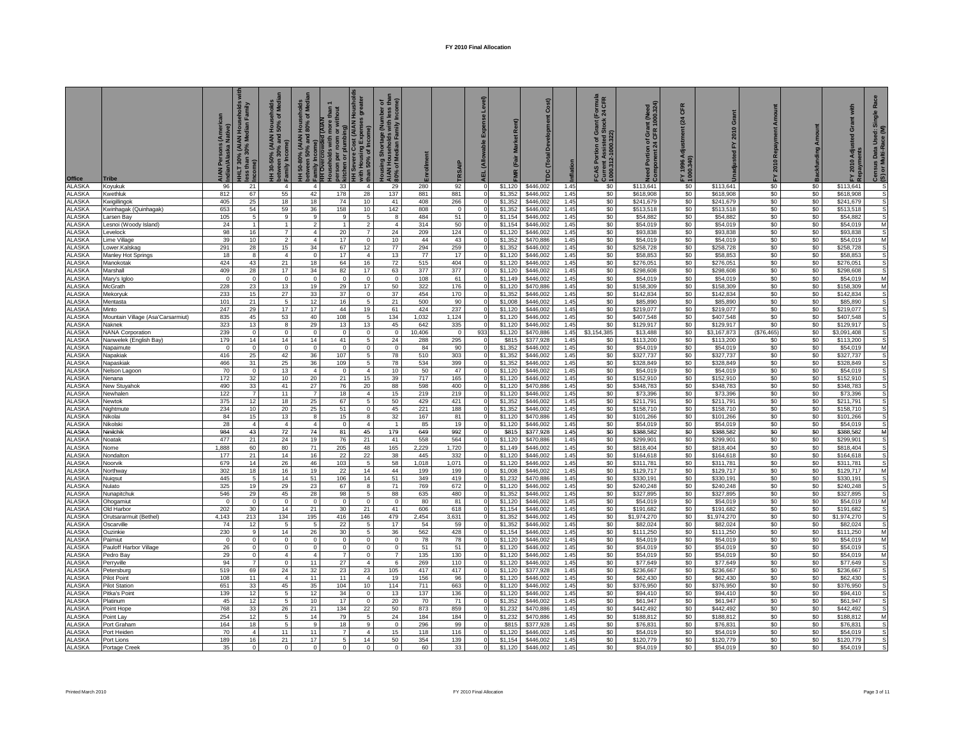| Office                         | Tribe                               | AIAN Persons (Ameri<br>Indian/Alaska Native) | seholds<br>Family<br>IHLT 30% (AIAN Hous<br>sss than 30% Median | seholds<br>of Medi<br>(AIAN<br>% and<br>a<br>between 3<br>Family Inc | 50-80% (AIAN Households<br>ween 50% and 80% of Med<br>ice…<br>Family Income)<br>HH Overcrowder<br>Ξ | than 1<br>thout<br>$\overline{d}$ (AIAN<br>ō<br>son per | ost (AIAN Housholds<br>  Expensee<br>with Housing Expens<br>than 50% of Income)<br>vere Cos | mber of<br>1 less tha<br>Income)<br>ing Shortage (Number<br>Households with less<br>30% of Median Family |              |                       | Level)<br>Expense<br><u>allo</u> | Market Re<br>(Fair | Cost)                  | flation      | (Formula<br>t 24 CFR<br>ტ თ<br>Current Assisteu<br>1000.312-1000.322)<br>tion of<br>Por<br>$\overline{4}$ | Portion of Grant (Need<br>ponent 24 CFR 1000.324)<br>Need<br>Comp | CFR<br>24<br>FY 1996 A<br>1000.340) | $\sigma$                 | 2010 Repay<br>놊 | Amount<br><b>Backfunding</b> | with<br>ō<br>2010 Adj    | Race<br>Single<br>Census Data Used:<br>(S) or Multi-Race (M |
|--------------------------------|-------------------------------------|----------------------------------------------|-----------------------------------------------------------------|----------------------------------------------------------------------|-----------------------------------------------------------------------------------------------------|---------------------------------------------------------|---------------------------------------------------------------------------------------------|----------------------------------------------------------------------------------------------------------|--------------|-----------------------|----------------------------------|--------------------|------------------------|--------------|-----------------------------------------------------------------------------------------------------------|-------------------------------------------------------------------|-------------------------------------|--------------------------|-----------------|------------------------------|--------------------------|-------------------------------------------------------------|
| ALASKA                         | Koyukuk                             | 96                                           | 21                                                              | $\overline{4}$                                                       | $\overline{4}$                                                                                      | 33                                                      | $\overline{4}$                                                                              | 29                                                                                                       | 280          | 92                    | $\Omega$                         | \$1,120            | \$446,002              | 1.45         | \$0                                                                                                       | \$113,641                                                         | \$0                                 | \$113,641                | \$0             | \$0                          | \$113,641                | s                                                           |
| ALASKA                         | Kwethluk                            | 812                                          | 67                                                              | 55                                                                   | 42                                                                                                  | 178                                                     | 28                                                                                          | 137                                                                                                      | 881          | 881                   |                                  | \$1,352            | \$446,002              | 1.45         | \$0                                                                                                       | \$618,908                                                         | \$0                                 | \$618,908                | \$0             | \$0                          | \$618,908                | s                                                           |
| <b>ALASKA</b>                  | Kwigillingok                        | 405                                          | 25                                                              | 18                                                                   | 18                                                                                                  | 74                                                      | 10                                                                                          | 41                                                                                                       | 408          | 266                   |                                  | \$1,352            | \$446,002              | 1.45         | \$0                                                                                                       | \$241,679                                                         | \$0                                 | \$241.679                | \$0             | \$0                          | \$241.679                | S                                                           |
| ALASKA<br>ALASKA               | Kwinhagak (Quinhagak)<br>Larsen Bay | 653<br>105                                   | 54<br>5                                                         | 59<br>9                                                              | 36<br>9                                                                                             | 158<br>9                                                | 10 <sup>10</sup><br>$\overline{5}$                                                          | 142<br>8                                                                                                 | 808<br>484   | $\Omega$<br>51        |                                  | \$1,352<br>\$1,154 | \$446,002<br>\$446,002 | 1.45<br>1.45 | \$0<br>\$0                                                                                                | \$513,518<br>\$54,882                                             | \$0<br>\$0                          | \$513,518<br>\$54,882    | \$0<br>\$0      | \$0<br>\$0                   | \$513,518<br>\$54,882    | S<br>S                                                      |
| ALASKA                         | esnoi (Woody Island)                | 24                                           | $\mathbf{1}$                                                    |                                                                      | $\overline{\phantom{a}}$                                                                            | $\overline{1}$                                          | $\overline{2}$                                                                              | $\overline{4}$                                                                                           | 314          | 50                    |                                  | \$1,154            | \$446,00               | 1.45         | \$0                                                                                                       | \$54,019                                                          | \$0                                 | \$54,019                 | \$0             | \$0                          | \$54,019                 | M                                                           |
| ALASKA                         | evelock                             | 98                                           | 16                                                              | $\overline{7}$                                                       | $\overline{a}$                                                                                      | 20                                                      | $\overline{7}$                                                                              | 24                                                                                                       | 209          | 124                   |                                  | \$1.120            | \$446,002              | 1.45         | \$0                                                                                                       | \$93,838                                                          | \$0                                 | \$93,838                 | \$0             | \$0                          | \$93.838                 | s                                                           |
| <b>ALASKA</b>                  | ime Village                         | 39                                           | 10                                                              | $\overline{2}$                                                       | $\overline{a}$                                                                                      | 17                                                      | $\Omega$                                                                                    | 10 <sub>1</sub>                                                                                          | 44           | 43                    |                                  | \$1,352            | \$470,886              | 1.45         | \$0                                                                                                       | \$54,019                                                          | \$0                                 | \$54,019                 | \$0             | \$0                          | \$54,019                 | M                                                           |
| ALASKA                         | ower.Kalskag                        | 291                                          | 28                                                              | 15                                                                   | 34                                                                                                  | 67                                                      | 12                                                                                          | 77                                                                                                       | 294          | 259                   |                                  | \$1,352            | \$446,002              | 1.45         | \$0                                                                                                       | \$258,728                                                         | \$0                                 | \$258,728                | \$0             | \$0                          | \$258,728                | S                                                           |
| <b>ALASKA</b>                  | Manley Hot Springs                  | 18                                           | $\overline{8}$                                                  | $\overline{4}$                                                       | $\Omega$                                                                                            | 17                                                      | $\Delta$                                                                                    | 13                                                                                                       | 77           | 17                    |                                  | \$1,120            | \$446,002              | 1.45         | \$0                                                                                                       | \$58,853                                                          | \$0                                 | \$58,853                 | \$0             | \$0                          | \$58,853                 |                                                             |
| ALASKA                         | Manokotak                           | 424<br>409                                   | 43                                                              | 21                                                                   | 18                                                                                                  | 64                                                      | 16<br>17                                                                                    | 72                                                                                                       | 515<br>377   | 404                   |                                  | \$1,120            | \$446,002              | 1.45         | \$0                                                                                                       | \$276,051                                                         | \$0<br>\$0                          | \$276,051                | \$0             | \$0                          | \$276,05                 |                                                             |
| <b>ALASKA</b><br>ALASKA        | Marshall<br>Mary's Igloc            | $\Omega$                                     | 28<br>$\mathsf 0$                                               | 17<br>$\overline{0}$                                                 | 34<br>$\Omega$                                                                                      | 82<br>$\Omega$                                          | $\mathsf 0$                                                                                 | 63<br>$\overline{0}$                                                                                     | 108          | 377<br>61             |                                  | \$1,120<br>\$1,149 | \$446,002<br>\$446,002 | 1.45<br>1.45 | \$0<br>\$0                                                                                                | \$298,608<br>\$54,019                                             | \$0                                 | \$298,608<br>\$54,019    | \$0<br>\$0      | \$0<br>\$0                   | \$298,608<br>\$54,019    | M                                                           |
| <b>ALASKA</b>                  | McGrath                             | 228                                          | 23                                                              | 13                                                                   | 19                                                                                                  | 29                                                      | 17                                                                                          | 50                                                                                                       | 322          | 176                   |                                  | \$1,120            | \$470,886              | 1.45         | \$0                                                                                                       | \$158,309                                                         | \$0                                 | \$158,309                | \$0             | \$0                          | \$158,309                | M                                                           |
| ALASKA                         | Mekoryuk                            | 233                                          | 15                                                              | 27                                                                   | 33                                                                                                  | 37                                                      | $\mathbf 0$                                                                                 | 37                                                                                                       | 454          | 170                   |                                  | \$1,352            | \$446,002              | 1.45         | \$0                                                                                                       | \$142,834                                                         | \$0                                 | \$142,834                | \$0             | \$0                          | \$142,834                | $\overline{\mathbf{s}}$                                     |
| ALASKA                         | Mentasta                            | 101                                          | 21                                                              | $\sqrt{5}$                                                           | 12                                                                                                  | 16                                                      | 5                                                                                           | 21                                                                                                       | 500          | 90                    |                                  | \$1,008            | \$446,002              | 1.45         | \$0                                                                                                       | \$85,890                                                          | \$0                                 | \$85,890                 | \$0             | \$0                          | \$85,890                 | s                                                           |
| <b>ALASKA</b>                  | Minto                               | 247                                          | 29                                                              | 17                                                                   | 17                                                                                                  | 44                                                      | 19                                                                                          | 61                                                                                                       | 424          | 237                   |                                  | \$1,120            | \$446,002              | 1.45         | \$0                                                                                                       | \$219,077                                                         | \$0                                 | \$219,077                | \$0             | \$0                          | \$219,077                | $\overline{\mathbf{s}}$                                     |
| ALASKA                         | Mountain Village (Asa'Carsarmiut)   | 835                                          | 45                                                              | 53                                                                   | 40                                                                                                  | 108                                                     | 5                                                                                           | 134                                                                                                      | 1,032        | 1,124                 |                                  | \$1,120            | \$446,002              | 1.45         | \$0                                                                                                       | \$407,548                                                         | \$0                                 | \$407,548                | \$0             | \$0                          | \$407,548                | s                                                           |
| ALASKA<br>ALASKA               | Naknek<br><b>NANA Corporation</b>   | 323<br>239                                   | 13<br>$\mathbf 0$                                               | 8<br>$\mathbf 0$                                                     | 29<br>$\mathbf 0$                                                                                   | 13<br>$\mathbf 0$                                       | 13<br>$\mathsf 0$                                                                           | 45<br>$\mathsf 0$                                                                                        | 642<br>0,406 | 335<br>$\overline{0}$ | 933                              | \$1,120<br>\$1,120 | \$446,002<br>\$470,886 | 1.45<br>1.45 | \$0<br>\$3,154,385                                                                                        | \$129,917<br>\$13,488                                             | \$0<br>\$0                          | \$129,917<br>\$3,167,873 | \$0<br>\$76,465 | \$0<br>\$0                   | \$129,917<br>\$3,091,408 |                                                             |
| ALASKA                         | Nanwelek (English Bay)              | 179                                          | 14                                                              | 14                                                                   | 14                                                                                                  | 41                                                      | 5                                                                                           | 24                                                                                                       | 288          | 295                   |                                  | \$815              | \$377,928              | 1.45         | \$0                                                                                                       | \$113,200                                                         | \$0                                 | \$113,200                | \$0             | \$0                          | \$113,200                | S                                                           |
| ALASKA                         | Napaimute                           | $\Omega$                                     | 0                                                               | $\mathbf{0}$                                                         | $\mathbf 0$                                                                                         | $\Omega$                                                | $\mathbf 0$                                                                                 | $\mathbf 0$                                                                                              | 84           | 90                    |                                  | \$1,352            | \$446,002              | 1.45         | \$0                                                                                                       | \$54,019                                                          | \$0                                 | \$54,019                 | \$0             | \$0                          | \$54,019                 | M                                                           |
| ALASKA                         | Napakiak                            | 416                                          | 25                                                              | 42                                                                   | 36                                                                                                  | 107                                                     | 5                                                                                           | 78                                                                                                       | 510          | 303                   |                                  | \$1,352            | \$446,002              | 1.45         | \$0                                                                                                       | \$327,737                                                         | \$0                                 | \$327,737                | \$0             | \$0                          | \$327,737                | $\overline{s}$                                              |
| ALASKA                         | Napaskiak                           | 466                                          | 31                                                              | 25                                                                   | 36                                                                                                  | 109                                                     | 5                                                                                           | 78                                                                                                       | 534          | 399                   |                                  | \$1,352            | \$446,002              | 1.45         | \$0                                                                                                       | \$328,849                                                         | \$0                                 | \$328,849                | \$0             | \$0                          | \$328,849                | s                                                           |
| <b>ALASKA</b>                  | Nelson Lagoon                       | 70                                           | $\mathbf 0$                                                     | 13                                                                   | $\overline{4}$                                                                                      | $\Omega$                                                | $\overline{4}$                                                                              | 10                                                                                                       | 50           | 47                    | 0                                | \$1,120            | \$446.002              | 1.45         | \$0                                                                                                       | \$54,019                                                          | \$0                                 | \$54,019                 | \$0             | \$0                          | \$54,019                 | S                                                           |
| <b>ALASKA</b><br><b>ALASKA</b> | Nenana                              | 172<br>490                                   | 32<br>33                                                        | 10<br>41                                                             | 20                                                                                                  | 21<br>76                                                | 15<br>20                                                                                    | 39<br>88                                                                                                 | 717<br>598   | 165<br>400            | $\Omega$                         | \$1,120<br>\$1,120 | \$446,002<br>\$470,886 | 1.45<br>1.45 | \$0<br>\$0                                                                                                | \$152,910<br>\$348,783                                            | \$0<br>\$0                          | \$152,910<br>\$348,783   | \$0<br>\$0      | \$0<br>\$0                   | \$152,910<br>\$348,783   | s<br>s                                                      |
| <b>ALASKA</b>                  | New Stuyahok<br>Newhalen            | 122                                          | $\overline{7}$                                                  | 11                                                                   | 27<br>$\overline{7}$                                                                                | 18                                                      | $\overline{4}$                                                                              | 15                                                                                                       | 219          | 219                   |                                  | \$1,120            | \$446,002              | 1.45         | \$0                                                                                                       | \$73,396                                                          | \$0                                 | \$73,396                 | \$0             | \$0                          | \$73,396                 | s                                                           |
| <b>ALASKA</b>                  | Newtok                              | 375                                          | 12                                                              | 18                                                                   | 25                                                                                                  | 67                                                      | -5                                                                                          | 50                                                                                                       | 429          | 421                   |                                  | \$1,352            | \$446,002              | 1.45         | \$0                                                                                                       | \$211,791                                                         | \$0                                 | \$211,791                | \$0             | \$0                          | \$211,791                | S                                                           |
| ALASKA                         | Nightmute                           | 234                                          | 10                                                              | 20                                                                   | 25                                                                                                  | 51                                                      | $\Omega$                                                                                    | 45                                                                                                       | 221          | 188                   | $\Omega$                         | \$1,352            | \$446,002              | 1.45         | \$0                                                                                                       | \$158,710                                                         | \$0                                 | \$158,710                | \$0             | \$0                          | \$158,710                | s                                                           |
| ALASKA                         | Nikolai                             | 84                                           | 15                                                              | 13                                                                   | 8                                                                                                   | 15                                                      | 8                                                                                           | 32                                                                                                       | 167          | 81                    | $\Omega$                         | \$1,120            | \$470,886              | 1.45         | \$0                                                                                                       | \$101,266                                                         | \$0                                 | \$101,266                | \$0             | \$0                          | \$101,266                | S                                                           |
| ALASKA                         | Nikolski                            | 28                                           | $\overline{4}$                                                  | 4                                                                    | $\overline{4}$                                                                                      | $\Omega$                                                | $\overline{4}$                                                                              | $\overline{1}$                                                                                           | 85           | 19                    | $\Omega$                         | \$1,120            | \$446,002              | 1.45         | \$0                                                                                                       | \$54,019                                                          | \$0                                 | \$54,019                 | \$0             | \$0                          | \$54,019                 | s                                                           |
| ALASKA                         | Ninilchik                           | 984                                          | 43                                                              | 72                                                                   | 74                                                                                                  | 81                                                      | 45                                                                                          | 179                                                                                                      | 649          | 992                   | $\Omega$                         | \$815              | \$377,928              | 1.45         | \$0                                                                                                       | \$388,582                                                         | \$0                                 | \$388,582                | \$0             | \$0                          | \$388,582                | M                                                           |
| ALASKA<br><b>ALASKA</b>        | Noatak<br>Nome                      | 477<br>1.888                                 | 21<br>60                                                        | 24<br>80                                                             | 19<br>71                                                                                            | 76<br>205                                               | 21<br>48                                                                                    | 41<br>165                                                                                                | 558<br>2,229 | 564<br>1.720          |                                  | \$1,120<br>\$1,149 | \$470,886<br>\$446.002 | 1.45<br>1.45 | \$0<br>\$0                                                                                                | \$299,901<br>\$818,404                                            | \$0<br>\$0                          | \$299,901<br>\$818,404   | \$0<br>\$0      | \$0<br>\$0                   | \$299,901<br>\$818,404   | s                                                           |
| ALASKA                         | Nondaltor                           | 177                                          | 21                                                              | 14                                                                   | 16                                                                                                  | 22                                                      | 22                                                                                          | 38                                                                                                       | 445          | 332                   |                                  | \$1,120            | \$446.002              | 1.45         | \$0                                                                                                       | \$164,618                                                         | \$0                                 | \$164,618                | \$0             | \$0                          | \$164,618                | S                                                           |
| ALASKA                         | Noorvik                             | 679                                          | 14                                                              | 26                                                                   | 46                                                                                                  | 103                                                     | 5                                                                                           | 58                                                                                                       | 1,018        | 1,071                 |                                  | \$1,120            | \$446,002              | 1.45         | \$0                                                                                                       | \$311,781                                                         | \$0                                 | \$311,781                | \$0             | \$0                          | \$311,781                | S                                                           |
| ALASKA                         | Northway                            | 302                                          | 18                                                              | 16                                                                   | 19                                                                                                  | 22                                                      | 14                                                                                          | 44                                                                                                       | 199          | 199                   |                                  | \$1,008            | \$446,002              | 1.45         | \$0                                                                                                       | \$129,717                                                         | \$0                                 | \$129,717                | \$0             | \$0                          | \$129,717                | M                                                           |
| ALASKA                         | Nuigsut                             | 445                                          | 5                                                               | 14                                                                   | 51                                                                                                  | 106                                                     | 14                                                                                          | 51                                                                                                       | 349          | 419                   |                                  | \$1,232            | \$470,886              | 1.45         | \$0                                                                                                       | \$330,191                                                         | \$0                                 | \$330.191                | \$0             | \$0                          | \$330.191                |                                                             |
| <b>ALASKA</b>                  | Nulato                              | 325                                          | 19                                                              | 29                                                                   | 23                                                                                                  | 67                                                      | 8                                                                                           | 71                                                                                                       | 769          | 672                   |                                  | \$1,120            | \$446,002              | 1.45         | \$0                                                                                                       | \$240,248                                                         | \$0                                 | \$240,248                | \$0             | \$0                          | \$240,248                |                                                             |
| ALASKA<br><b>ALASKA</b>        | Nunapitchuk<br>Ohogamiut            | 546<br>$\overline{0}$                        | 29<br>$\mathbf 0$                                               | 45<br>$\Omega$                                                       | 28<br>$\Omega$                                                                                      | 98<br>$\circ$                                           | $\overline{5}$<br>$\mathbf 0$                                                               | 88<br>$\mathbf 0$                                                                                        | 635<br>80    | 480<br>81             |                                  | \$1,352<br>\$1.120 | \$446,002<br>\$446.002 | 1.45<br>1.45 | \$0<br>\$0                                                                                                | \$327,895<br>\$54,019                                             | \$0<br>\$0                          | \$327,895<br>\$54,019    | \$0<br>\$0      | \$0<br>\$0                   | \$327,895<br>\$54,019    | S<br>M                                                      |
| <b>ALASKA</b>                  | Old Harbor                          | 202                                          | 30                                                              | 14                                                                   | 21                                                                                                  | 30                                                      | 21                                                                                          | 41                                                                                                       | 606          | 618                   |                                  | \$1,154            | \$446,002              | 1.45         | \$0                                                                                                       | \$191.682                                                         | \$0                                 | \$191,682                | \$0             | \$0                          | \$191,682                | s                                                           |
| <b>ALASKA</b>                  | Orutsararmuit (Bethel)              | 4,143                                        | 213                                                             | 134                                                                  | 195                                                                                                 | 416                                                     | 146                                                                                         | 479                                                                                                      | 2,454        | 3,631                 |                                  | \$1,352            | \$446,002              | 1.45         | \$0                                                                                                       | \$1,974,270                                                       | \$0                                 | \$1,974,270              | \$0             | \$0                          | \$1,974,270              | s                                                           |
| <b>ALASKA</b>                  | Oscarville                          | 74                                           | 12                                                              | 5                                                                    | 5                                                                                                   | 22                                                      | 5                                                                                           | 17                                                                                                       | 54           | 59                    |                                  | \$1,352            | \$446,002              | 1.45         | \$0                                                                                                       | \$82,024                                                          | \$0                                 | \$82,024                 | \$0             | \$0                          | \$82,024                 | S                                                           |
| ALASKA                         | Ouzinkie                            | 230                                          | 9                                                               | 14                                                                   | 26                                                                                                  | 30                                                      | 5                                                                                           | 36                                                                                                       | 562          | 428                   |                                  | \$1,154            | \$446,002              | 1.45         | \$0                                                                                                       | \$111,250                                                         | \$0                                 | \$111,250                | \$0             | \$0                          | \$111,250                | M                                                           |
| ALASKA                         | Paimiut                             | $\Omega$                                     | $\mathbf 0$                                                     | $\mathbf 0$                                                          | $\mathbf 0$                                                                                         | $\Omega$                                                | $\mathbf 0$                                                                                 | $\mathbf 0$                                                                                              | 78           | 78                    |                                  | \$1,120            | \$446,002              | 1.45         | \$0                                                                                                       | \$54,019                                                          | \$0                                 | \$54,019                 | \$0             | \$0                          | \$54,019                 | M                                                           |
| <b>ALASKA</b><br>ALASKA        | Pauloff Harbor Village<br>Pedro Bay | 26<br>29                                     | $\overline{0}$<br>$\circ$                                       | $\overline{0}$<br>$\overline{4}$                                     | $\mathbf 0$<br>$\mathbf{A}$                                                                         | $\Omega$<br>$\overline{7}$                              | $\overline{0}$<br>$\Omega$                                                                  | $\overline{0}$<br>$\overline{7}$                                                                         | 51<br>135    | 51<br>130             |                                  | \$1,120<br>\$1,120 | \$446,002<br>\$446,002 | 1.45<br>1.45 | \$0<br>\$0                                                                                                | \$54,019<br>\$54,019                                              | \$0<br>\$0                          | \$54,019<br>\$54,019     | \$0<br>\$0      | \$0<br>\$0                   | \$54,019<br>\$54,019     | s<br>M                                                      |
| ALASKA                         | Perryville                          | 94                                           | $\overline{7}$                                                  | 0                                                                    | 11                                                                                                  | 27                                                      | $\overline{4}$                                                                              | 6                                                                                                        | 269          | 110                   |                                  | \$1,120            | \$446,002              | 1.45         | \$0                                                                                                       | \$77,649                                                          | \$0                                 | \$77,649                 | \$0             | \$0                          | \$77,649                 | S                                                           |
| ALASKA                         | Petersburg                          | 519                                          | 69                                                              | 24                                                                   | 32                                                                                                  | 23                                                      | 23                                                                                          | 105                                                                                                      | 417          | 417                   |                                  | \$1,120            | \$377,928              | 1.45         | \$0                                                                                                       | \$236,667                                                         | \$0                                 | \$236,667                | \$0             | \$0                          | \$236,667                |                                                             |
| ALASKA                         | <b>Pilot Point</b>                  | 108                                          | 11                                                              | $\overline{4}$                                                       | 11                                                                                                  | 11                                                      | $\overline{4}$                                                                              | 19                                                                                                       | 156          | 96                    |                                  | \$1,120            | \$446,002              | 1.45         | \$0                                                                                                       | \$62,430                                                          | \$0                                 | \$62,430                 | \$0             | \$0                          | \$62,430                 |                                                             |
| ALASKA                         | <b>Pilot Station</b>                | 651                                          | 33                                                              | 45                                                                   | 35                                                                                                  | 104                                                     | 10 <sub>1</sub>                                                                             | 114                                                                                                      | 711          | 663                   |                                  | \$1.120            | \$446,002              | 1.45         | \$0                                                                                                       | \$376.950                                                         | \$0                                 | \$376,950                | \$0             | \$0                          | \$376.950                | s                                                           |
| ALASKA                         | Pitka's Point                       | 139                                          | 12                                                              | 5                                                                    | 12                                                                                                  | 34                                                      | $\mathbf 0$                                                                                 | 13                                                                                                       | 137          | 136                   |                                  | \$1.120            | \$446,002              | 1.45         | \$0                                                                                                       | \$94,410                                                          | \$0                                 | \$94,410                 | \$0             | \$0                          | \$94.410                 | S                                                           |
| ALASKA                         | latinum                             | 45                                           | 12                                                              | 5                                                                    | 10                                                                                                  | 17                                                      | $\mathbf 0$                                                                                 | 20                                                                                                       | 70           | 71                    |                                  | \$1,352            | \$446,002              | 1.45         | \$0                                                                                                       | \$61,947                                                          | \$0                                 | \$61,947                 | \$0             | \$0                          | \$61,947                 | s                                                           |
| ALASKA<br>ALASKA               | Point Hope<br>Point Lay             | 768<br>254                                   | 33<br>12                                                        | 26<br>5                                                              | 21<br>14                                                                                            | 134<br>79                                               | 22<br>-5                                                                                    | 50<br>24                                                                                                 | 873<br>184   | 859<br>184            |                                  | \$1,232<br>\$1,232 | \$470,886<br>\$470,886 | 1.45<br>1.45 | \$0<br>\$0                                                                                                | \$442,492<br>\$188,812                                            | \$0<br>\$0                          | \$442,492<br>\$188,812   | \$0<br>\$0      | \$0<br>\$0                   | \$442,492<br>\$188.812   | s<br>M                                                      |
| <b>ALASKA</b>                  | Port Graham                         | 164                                          | 18                                                              | 5                                                                    | -9                                                                                                  | 18                                                      | 9                                                                                           | $\overline{0}$                                                                                           | 296          | 99                    |                                  | \$815              | \$377,928              | 1.45         | \$0                                                                                                       | \$76,831                                                          | \$0                                 | \$76,831                 | \$0             | \$0                          | \$76,831                 | S                                                           |
| ALASKA                         | Port Heiden                         | 70                                           | $\overline{4}$                                                  | 11                                                                   | 11                                                                                                  | $\overline{7}$                                          | $\overline{4}$                                                                              | 15                                                                                                       | 118          | 116                   |                                  | \$1,120            | \$446,002              | 1.45         | \$0                                                                                                       | \$54,019                                                          | \$0                                 | \$54,019                 | \$0             | \$0                          | \$54,019                 | s                                                           |
| <b>ALASKA</b>                  | Port Lions                          | 189                                          | 16                                                              | 21                                                                   | 17                                                                                                  | 5                                                       | 14                                                                                          | 50                                                                                                       | 354          | 139                   |                                  | \$1,154            | \$446,002              | 1.45         | \$0                                                                                                       | \$120,779                                                         | \$0                                 | \$120,779                | \$0             | \$0                          | \$120,779                | S                                                           |
| <b>ALASKA</b>                  | Portage Creek                       | 35                                           | $\mathbf 0$                                                     | $\mathbf 0$                                                          | $\Omega$                                                                                            | $\Omega$                                                | $\mathbf 0$                                                                                 | $\mathbf 0$                                                                                              | 60           | 33                    |                                  | \$1,120            | \$446,002              | 1.45         | \$0                                                                                                       | \$54,019                                                          | \$0                                 | \$54,019                 | \$0             | \$0                          | \$54,019                 |                                                             |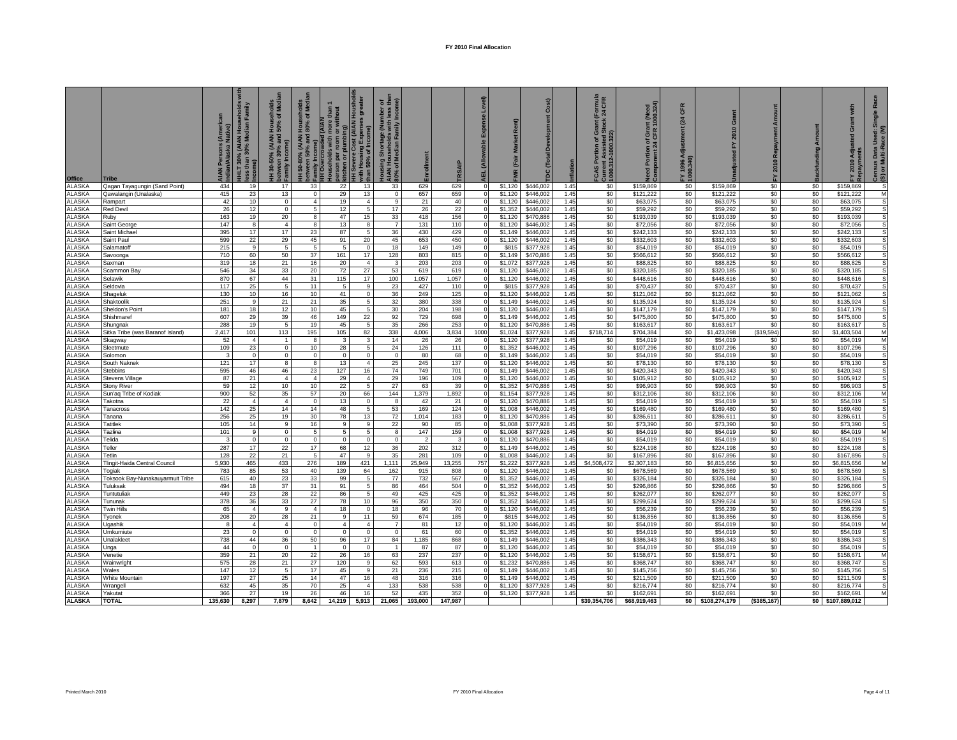|                                |                                           | Persons (Ameri<br>/Alaska Native) | <b>eholds</b><br>amily<br><b>Hous</b><br>edian<br>HHLT 30% (AIAN<br>ess than 30% Me | nolds<br>Medi<br>ত ভ<br><b>Hous</b><br>50%<br>(AIAN<br>% and<br>Income)<br>betweer<br>Family I<br>Ŧ. | Σ<br>$\ddot{\bullet}$<br>50-80% (AIAN Hous<br>between<br>Family Income)<br>Family Income<br>Ŧ | than <sub>1</sub><br>d (AIAM<br>ŏ<br>holds<br>per<br>person<br>kitchen | <b>Vere Cost (AIAN Houshol</b><br>$\widehat{\mathbf{e}}$<br>Exp<br>with Housing Exp<br>than 50% of Incon<br>Ŧ | g Shortage (Number of<br>ouseholds with less than<br>Median Family Income)<br>30% of Median Far<br>홀 |             |             | Expen<br>ॾ | Market Rent)<br>(Fair<br>ΓĔ | Cost)                  | flation      | (Formula<br>< 24 C FR<br>ock<br>FCAS Portion of Gra<br>Current Assisted St.<br>1000.312-1000.322) | Need Portion of Grant (Need<br>Component 24 CFR 1000.324) | CFR<br>24<br>FY 1996 Adjus<br>1000.340) | ō<br>2010<br>는           | Amount<br>2010 Repayment | 몯          | with<br>Grant<br>g<br>2010 Adju<br>고 | œ<br>Single<br>Used:<br>Census Data I<br>(S) or Multi-Ra |
|--------------------------------|-------------------------------------------|-----------------------------------|-------------------------------------------------------------------------------------|------------------------------------------------------------------------------------------------------|-----------------------------------------------------------------------------------------------|------------------------------------------------------------------------|---------------------------------------------------------------------------------------------------------------|------------------------------------------------------------------------------------------------------|-------------|-------------|------------|-----------------------------|------------------------|--------------|---------------------------------------------------------------------------------------------------|-----------------------------------------------------------|-----------------------------------------|--------------------------|--------------------------|------------|--------------------------------------|----------------------------------------------------------|
| Office                         | Tribe                                     |                                   |                                                                                     |                                                                                                      |                                                                                               |                                                                        |                                                                                                               |                                                                                                      |             |             |            |                             |                        |              |                                                                                                   |                                                           |                                         |                          | ᅌ                        |            |                                      |                                                          |
| <b>ALASKA</b><br><b>ALASKA</b> | Qagan Tayagungin (Sand Point)             | 434<br>415                        | 19                                                                                  | 17<br>13                                                                                             | 33                                                                                            | 22<br>29                                                               | 13<br>13                                                                                                      | 33                                                                                                   | 629         | 629         |            | \$1,120                     | \$446,002<br>\$446,002 | 1.45<br>1.45 | \$0<br>\$0                                                                                        | \$159,869<br>\$121,222                                    | \$0                                     | \$159,869<br>\$121,222   | \$0<br>\$0               | \$0<br>\$0 | \$159,869<br>\$121,222               | s                                                        |
| <b>ALASKA</b>                  | Qawalangin (Unalaska)<br>Rampart          | 42                                | 23<br>10                                                                            | $\mathbf 0$                                                                                          | $\mathbf 0$<br>$\overline{4}$                                                                 | 19                                                                     | $\overline{4}$                                                                                                | $\mathbf 0$<br>9                                                                                     | 657<br>21   | 659<br>40   |            | \$1,120<br>\$1,120          | \$446,002              | 1.45         | \$0                                                                                               | \$63,075                                                  | \$0<br>\$0                              | \$63,075                 | \$0                      | \$0        | \$63,075                             | М<br>s                                                   |
| <b>ALASKA</b>                  | Red Devi                                  | 26                                | 12                                                                                  | $\mathbf{0}$                                                                                         | -5                                                                                            | 12                                                                     | 5                                                                                                             | 17                                                                                                   | 26          | 22          |            | \$1,352                     | \$446,002              | 1.45         | \$0                                                                                               | \$59,292                                                  | \$0                                     | \$59,292                 | \$0                      | \$0        | \$59,292                             | $\mathbb S$                                              |
| <b>ALASKA</b>                  | Ruby                                      | 163                               | 19                                                                                  | 20                                                                                                   | 8                                                                                             | 47                                                                     | 15                                                                                                            | 33                                                                                                   | 418         | 156         |            | \$1,120                     | \$470,886              | 1.45         | \$0                                                                                               | \$193,039                                                 | \$0                                     | \$193.039                | \$0                      | \$0        | \$193,039                            | s                                                        |
| <b>ALASKA</b>                  | Saint George                              | 147                               | 8                                                                                   | $\overline{4}$                                                                                       | 8                                                                                             | 13                                                                     | 8                                                                                                             | $\overline{7}$                                                                                       | 131         | 110         |            | \$1,120                     | \$446,002              | 1.45         | \$0                                                                                               | \$72,056                                                  | \$0                                     | \$72,056                 | \$0                      | \$0        | \$72,056                             | S                                                        |
| <b>ALASKA</b>                  | Saint Michael                             | 395                               | 17                                                                                  | 17                                                                                                   | 23                                                                                            | 87                                                                     | 5                                                                                                             | 36                                                                                                   | 430         | 429         |            | \$1,149                     | \$446,002              | 1.45         | \$0                                                                                               | \$242,133                                                 | \$0                                     | \$242,133                | \$0                      | \$0        | \$242,133                            |                                                          |
| <b>ALASKA</b>                  | Saint Paul                                | 599                               | 22                                                                                  | 29                                                                                                   | 45                                                                                            | 91                                                                     | 20                                                                                                            | 45                                                                                                   | 653         | 450         |            | \$1,120                     | \$446,002              | 1.45         | \$0                                                                                               | \$332,603                                                 | \$0                                     | \$332,603                | \$0                      | \$0        | \$332,603                            | s                                                        |
| <b>ALASKA</b>                  | Salamatoff                                | 215                               | 9                                                                                   | 5                                                                                                    | -5                                                                                            | -5                                                                     | $\mathbf{0}$                                                                                                  | 18                                                                                                   | 149         | 149         |            | \$815                       | \$377,928              | 1.45         | \$0                                                                                               | \$54.019                                                  | \$0                                     | \$54,019                 | \$0                      | \$0        | \$54,019                             | S                                                        |
| ALASKA                         | avoonga                                   | 710                               | 60                                                                                  | 50                                                                                                   | 37                                                                                            | 161                                                                    | 17                                                                                                            | 128                                                                                                  | 803         | 815         |            | \$1,149                     | \$470,886              | 1.45         | \$0                                                                                               | \$566,612                                                 | \$0                                     | \$566,612                | \$0                      | \$0        | \$566,612                            |                                                          |
| <b>ALASKA</b>                  | Saxman                                    | 319                               | 18                                                                                  | 21                                                                                                   | 16                                                                                            | 20                                                                     | $\overline{4}$                                                                                                | 3                                                                                                    | 203         | 203         |            | \$1,072                     | \$377,928              | 1.45         | \$0                                                                                               | \$88,825                                                  | \$0                                     | \$88,825                 | \$0                      | \$0        | \$88,825                             | S                                                        |
| ALASKA                         | Scammon Bay                               | 546                               | 34                                                                                  | 33                                                                                                   | 20                                                                                            | 72                                                                     | 27                                                                                                            | 53                                                                                                   | 619         | 619         | $\Omega$   | \$1,120                     | \$446,002              | 1.45         | \$0                                                                                               | \$320,185                                                 | \$0                                     | \$320.185                | \$0                      | \$0        | \$320,185                            | S                                                        |
| ALASKA                         | Selawik                                   | 870                               | 67                                                                                  | 44                                                                                                   | 31                                                                                            | 115                                                                    | 17                                                                                                            | 100                                                                                                  | 1.057       | 1.057       |            | \$1,120                     | \$446,002              | 1.45         | \$0                                                                                               | \$448,616                                                 | \$0                                     | \$448.616                | \$0                      | \$0        | \$448,616                            | s                                                        |
| ALASKA                         | Seldovia                                  | 117                               | 25                                                                                  | 5                                                                                                    | 11                                                                                            | 5                                                                      | 9                                                                                                             | 23                                                                                                   | 427         | 110         |            | \$815                       | \$377,928              | 1.45         | \$0                                                                                               | \$70,437                                                  | \$0                                     | \$70,437                 | \$0                      | \$0        | \$70,437                             | S                                                        |
| <b>ALASKA</b>                  | Shageluk                                  | 130                               | 10                                                                                  | 16                                                                                                   | 10                                                                                            | 41                                                                     | $\Omega$                                                                                                      | 36                                                                                                   | 249         | 125         |            | \$1,120                     | \$446,002              | 1.45         | \$0                                                                                               | \$121,062                                                 | \$0                                     | \$121,062                | \$0                      | \$0        | \$121,062                            |                                                          |
| ALASKA                         | Shaktoolik                                | 251                               | 9                                                                                   | 21                                                                                                   | 21                                                                                            | 35                                                                     | 5                                                                                                             | 32                                                                                                   | 380         | 338         |            | \$1,149                     | \$446,002              | 1.45         | \$0                                                                                               | \$135,924                                                 | \$0                                     | \$135,924                | \$0                      | \$0        | \$135,924                            | $\mathbb S$                                              |
| <b>ALASKA</b>                  | Sheldon's Point                           | 181                               | 18                                                                                  | 12                                                                                                   | 10                                                                                            | 45                                                                     | 5                                                                                                             | 30                                                                                                   | 204         | 198         |            | \$1,120                     | \$446.002              | 1.45         | \$0                                                                                               | \$147.179                                                 | \$0                                     | \$147.179                | \$0                      | \$0        | \$147.179                            | s                                                        |
| ALASKA                         | Shishmare                                 | 607                               | 29                                                                                  | 39                                                                                                   | 46                                                                                            | 149                                                                    | 22                                                                                                            | 92                                                                                                   | 729         | 698         |            | \$1,149                     | \$446,002              | 1.45         | \$0                                                                                               | \$475,800                                                 | \$0                                     | \$475,800                | \$0                      | \$0        | \$475,800                            | s                                                        |
| <b>ALASKA</b><br><b>ALASKA</b> | Shungnak                                  | 288                               | 19                                                                                  | 5                                                                                                    | 19                                                                                            | 45                                                                     | 5                                                                                                             | 35                                                                                                   | 266         | 253         |            | \$1,120                     | \$470,886              | 1.45         | \$0                                                                                               | \$163,617                                                 | \$0                                     | \$163,617<br>\$1,423,098 | \$0<br>(S19, 594)        | \$0        | \$163,617                            |                                                          |
| <b>ALASKA</b>                  | Sitka Tribe (was Baranof Island)          | 2,417<br>52                       | 101<br>$\overline{4}$                                                               | 113<br>$\mathbf{1}$                                                                                  | 195<br>8                                                                                      | 105<br>3                                                               | 82<br>3                                                                                                       | 338<br>14                                                                                            | 4,006<br>26 | 3,834<br>26 | 1000       | \$1,024<br>\$1,120          | \$377,928<br>\$377,928 | 1.45<br>1.45 | \$718,714<br>\$0                                                                                  | \$704,384<br>\$54,019                                     | \$0<br>\$0                              | \$54.019                 | \$0                      | \$0<br>\$0 | \$1,403,504<br>\$54.019              | М                                                        |
| ALASKA                         | Skagway<br>Sleetmute                      | 109                               | 23                                                                                  | $\mathsf 0$                                                                                          | 10                                                                                            | 28                                                                     | 5                                                                                                             | 24                                                                                                   | 126         | 111         |            | \$1,352                     | \$446,002              | 1.45         | \$0                                                                                               | \$107,296                                                 | \$0                                     | \$107,296                | \$0                      | \$0        | \$107,296                            | М<br>s                                                   |
| ALASKA                         | Solomon                                   | $\mathbf{3}$                      | $\mathsf 0$                                                                         | $\mathbf 0$                                                                                          | $\Omega$                                                                                      | $^{\circ}$                                                             | $\Omega$                                                                                                      | $\mathbf 0$                                                                                          | 80          | 68          |            | \$1,149                     | \$446,002              | 1.45         | \$0                                                                                               | \$54,019                                                  | \$0                                     | \$54,019                 | \$0                      | \$0        | \$54,019                             | s                                                        |
| ALASKA                         | South Naknek                              | 121                               | 17                                                                                  | 8                                                                                                    | 8                                                                                             | 13                                                                     | $\Delta$                                                                                                      | 25                                                                                                   | 245         | 137         |            | \$1,120                     | \$446,002              | 1.45         | \$0                                                                                               | \$78,130                                                  | \$0                                     | \$78,130                 | \$0                      | \$0        | \$78,130                             | s                                                        |
| <b>ALASKA</b>                  | Stebbins                                  | 595                               | 46                                                                                  | 46                                                                                                   | 23                                                                                            | 127                                                                    | 16                                                                                                            | 74                                                                                                   | 749         | 701         |            | \$1,149                     | \$446,002              | 1.45         | \$0                                                                                               | \$420,343                                                 | \$0                                     | \$420.343                | \$0                      | \$0        | \$420,343                            |                                                          |
| <b>ALASKA</b>                  | <b>Stevens Village</b>                    | 87                                | 21                                                                                  | $\overline{4}$                                                                                       | $\overline{4}$                                                                                | 29                                                                     | $\overline{4}$                                                                                                | 29                                                                                                   | 196         | 109         |            | \$1,120                     | \$446,002              | 1.45         | \$0                                                                                               | \$105,912                                                 | \$0                                     | \$105,912                | \$0                      | \$0        | \$105,912                            | s                                                        |
| ALASKA                         | <b>Stony River</b>                        | 59                                | 12                                                                                  | 10                                                                                                   | 10                                                                                            | 22                                                                     | 5                                                                                                             | 27                                                                                                   | 63          | 39          |            | \$1,352                     | \$470,886              | 1.45         | \$0                                                                                               | \$96,903                                                  | \$0                                     | \$96,903                 | \$0                      | \$0        | \$96,903                             | S                                                        |
| <b>ALASKA</b>                  | Sun'aq Tribe of Kodiak                    | 900                               | 52                                                                                  | 35                                                                                                   | 57                                                                                            | 20                                                                     | 66                                                                                                            | 144                                                                                                  | 1,379       | 1,892       |            | \$1,154                     | \$377,928              | 1.45         | \$0                                                                                               | \$312,106                                                 | \$0                                     | \$312,106                | \$0                      | \$0        | \$312,106                            | М                                                        |
| <b>ALASKA</b>                  | Takotna                                   | 22                                | $\overline{4}$                                                                      | $\overline{4}$                                                                                       | $\Omega$                                                                                      | 13                                                                     | $\Omega$                                                                                                      | 8                                                                                                    | 42          | 21          |            | \$1,120                     | \$470,886              | 1.45         | \$0                                                                                               | \$54,019                                                  | \$0                                     | \$54,019                 | \$0                      | \$0        | \$54,019                             | s                                                        |
| <b>ALASKA</b>                  | Tanacross                                 | 142                               | 25                                                                                  | 14                                                                                                   | 14                                                                                            | 48                                                                     | 5                                                                                                             | 53                                                                                                   | 169         | 124         |            | \$1,008                     | \$446,002              | 1.45         | \$0                                                                                               | \$169,480                                                 | \$0                                     | \$169,480                | \$0                      | \$0        | \$169,480                            |                                                          |
| ALASKA                         | Tanana                                    | 256                               | 25                                                                                  | 19                                                                                                   | 30                                                                                            | 78                                                                     | 13                                                                                                            | 72                                                                                                   | 1,014       | 183         |            | \$1,120                     | \$470,886              | 1.45         | \$0                                                                                               | \$286,611                                                 | \$0                                     | \$286,611                | \$0                      | \$0        | \$286,611                            | s                                                        |
| ALASKA                         | Tatitlek                                  | 105                               | 14                                                                                  | 9                                                                                                    | 16                                                                                            | 9                                                                      | 9                                                                                                             | 22                                                                                                   | 90          | 85          |            | \$1,008                     | \$377,928              | 1.45         | \$0                                                                                               | \$73,390                                                  | \$0                                     | \$73,390                 | \$0                      | \$0        | \$73,390                             | s                                                        |
| ALASKA                         | Tazlina                                   | 101                               | 9                                                                                   | $\bf{0}$                                                                                             | $\sqrt{5}$                                                                                    | 5                                                                      | 5                                                                                                             | 8                                                                                                    | 147         | 159         |            | \$1,008                     | \$377,928              | 1.45         | \$0                                                                                               | \$54,019                                                  | \$0                                     | \$54,019                 | \$0                      | \$0        | \$54,019                             | м                                                        |
| ALASKA                         | Telida                                    | 3                                 | $\mathbf 0$                                                                         | $\mathbf 0$                                                                                          | $^{\circ}$                                                                                    | $\mathbf 0$                                                            | 0                                                                                                             | 0                                                                                                    |             |             |            | \$1,120                     | \$470,886              | 1.45         | \$0                                                                                               | \$54,019                                                  | \$0                                     | \$54,019                 | \$0                      | \$0        | \$54,019                             | s                                                        |
| <b>ALASKA</b>                  | Teller                                    | 287                               | 17                                                                                  | 22                                                                                                   | 17                                                                                            | 68                                                                     | 12                                                                                                            | 36                                                                                                   | 202         | 312         |            | \$1,149                     | \$446,002              | 1.45         | \$0                                                                                               | \$224,198                                                 | \$0                                     | \$224,198                | \$0                      | \$0        | \$224,198                            |                                                          |
| <b>ALASKA</b>                  | Tetlin                                    | 128                               | 22                                                                                  | 21                                                                                                   | -5                                                                                            | 47                                                                     | ۰q                                                                                                            | 35                                                                                                   | 281         | 109         |            | \$1,008                     | \$446,002              | 1.45         | \$0                                                                                               | \$167,896                                                 | \$0                                     | \$167,896                | \$0                      | \$0        | \$167,896                            | s                                                        |
| <b>ALASKA</b>                  | Tlingit-Haida Central Council             | 5.930                             | 465                                                                                 | 433                                                                                                  | 276                                                                                           | 189                                                                    | 421                                                                                                           | 1.111                                                                                                | 25.949      | 13.255      | 757        | \$1,222                     | \$377,928              | 1.45         | \$4,508,472                                                                                       | \$2.307.183                                               | \$0                                     | \$6,815,656              | \$0                      | \$0        | \$6.815.656                          | M                                                        |
| ALASKA<br>ALASKA               | ogiak<br>Toksook Bay-Nunakauyarmuit Tribe | 783<br>615                        | 85<br>40                                                                            | 53<br>23                                                                                             | 40<br>33                                                                                      | 139<br>99                                                              | 64<br>5                                                                                                       | 162<br>77                                                                                            | 915<br>732  | 808<br>567  |            | \$1,120<br>\$1,352          | \$446,002<br>\$446,002 | 1.45<br>1.45 | \$0<br>\$0                                                                                        | \$678,569<br>\$326,184                                    | \$0<br>\$0                              | \$678,569<br>\$326,184   | \$0<br>\$0               | \$0<br>\$0 | \$678,569<br>\$326,184               |                                                          |
| <b>ALASKA</b>                  | Tuluksak                                  | 494                               | 18                                                                                  | 37                                                                                                   | 31                                                                                            | 91                                                                     | 5                                                                                                             | 86                                                                                                   | 464         | 504         |            | \$1,352                     | \$446,002              | 1.45         | \$0                                                                                               | \$296,866                                                 | \$0                                     | \$296,866                | \$0                      | \$0        | \$296,866                            |                                                          |
| <b>ALASKA</b>                  | Tuntutuliak                               | 449                               | 23                                                                                  | 28                                                                                                   | 22                                                                                            | 86                                                                     | 5                                                                                                             | 49                                                                                                   | 425         | 425         |            | \$1,352                     | \$446,002              | 1.45         | \$0                                                                                               | \$262,077                                                 | \$0                                     | \$262,077                | \$0                      | \$0        | \$262,077                            | s                                                        |
| ALASKA                         | Tununak                                   | 378                               | 36                                                                                  | 33                                                                                                   | 27                                                                                            | 78                                                                     | 10                                                                                                            | 96                                                                                                   | 350         | 350         |            | \$1,352                     | \$446,002              | 1.45         | \$0                                                                                               | \$299,624                                                 | \$0                                     | \$299,624                | \$0                      | \$0        | \$299,624                            | s                                                        |
| ALASKA                         | <b>Twin Hills</b>                         | 65                                | $\overline{4}$                                                                      | q                                                                                                    | $\overline{a}$                                                                                | 18                                                                     | $\Omega$                                                                                                      | 18                                                                                                   | 96          | 70          |            | \$1,120                     | \$446,002              | 1.45         | \$0                                                                                               | \$56,239                                                  | \$0                                     | \$56,239                 | \$0                      | \$0        | \$56,239                             | $\mathbb S$                                              |
| ALASKA                         | Tyonek                                    | 208                               | 20                                                                                  | 28                                                                                                   | 21                                                                                            | 9                                                                      | 11                                                                                                            | 59                                                                                                   | 674         | 185         |            | \$815                       | \$446,002              | 1.45         | \$0                                                                                               | \$136,856                                                 | \$0                                     | \$136,856                | \$0                      | \$0        | \$136,856                            |                                                          |
| ALASKA                         | Ugashik                                   | -8                                | $\overline{4}$                                                                      | $\overline{4}$                                                                                       | $\Omega$                                                                                      | $\mathbf{A}$                                                           | $\overline{4}$                                                                                                | $\overline{7}$                                                                                       | 81          | 12          |            | \$1,120                     | \$446,002              | 1.45         | \$0                                                                                               | \$54,019                                                  | \$0                                     | \$54,019                 | \$0                      | \$0        | \$54,019                             | М                                                        |
| ALASKA                         | Umkumiute                                 | 23                                | $\mathbf 0$                                                                         | $\mathbf 0$                                                                                          | $\mathbf 0$                                                                                   | $\mathbf{0}$                                                           | 0                                                                                                             | 0                                                                                                    | 61          | 60          |            | \$1,352                     | \$446,002              | 1.45         | \$0                                                                                               | \$54,019                                                  | \$0                                     | \$54,019                 | \$0                      | \$0        | \$54,019                             | s                                                        |
| <b>ALASKA</b>                  | Jnalakleet                                | 738                               | 44                                                                                  | 36                                                                                                   | 50                                                                                            | 96                                                                     | 17                                                                                                            | 84                                                                                                   | 1,185       | 868         |            | \$1,149                     | \$446,002              | 1.45         | \$0                                                                                               | \$386,343                                                 | \$0                                     | \$386,343                | \$0                      | \$0        | \$386,343                            | s                                                        |
| <b>ALASKA</b>                  | Unga                                      | 44                                | $\mathbf 0$                                                                         | $\mathbf 0$                                                                                          | $\overline{1}$                                                                                | $\mathbf{0}$                                                           | $\Omega$                                                                                                      | $\overline{1}$                                                                                       | 87          | 87          |            | \$1,120                     | \$446,002              | 1.45         | \$0                                                                                               | \$54,019                                                  | \$0                                     | \$54,019                 | \$0                      | \$0        | \$54,019                             | s                                                        |
| <b>ALASKA</b>                  | Venetie                                   | 359                               | 21                                                                                  | 20                                                                                                   | 22                                                                                            | 26                                                                     | 16                                                                                                            | 63                                                                                                   | 237         | 237         |            | \$1,120                     | \$446.002              | 1.45         | \$0                                                                                               | \$158,671                                                 | \$0                                     | \$158.671                | \$0                      | \$0        | \$158,671                            | м                                                        |
| <b>ALASKA</b>                  | Wainwright                                | 575                               | 28                                                                                  | 21                                                                                                   | 27                                                                                            | 120                                                                    | 9                                                                                                             | 62                                                                                                   | 593         | 613         | $\Omega$   | \$1,232                     | \$470,886              | 1.45         | \$0                                                                                               | \$368,747                                                 | \$0                                     | \$368,747                | \$0                      | \$0        | \$368,747                            | s                                                        |
| ALASKA                         | Wales                                     | 147                               | 12                                                                                  | -5                                                                                                   | 17                                                                                            | 45                                                                     | 9                                                                                                             | 21                                                                                                   | 236         | 215         |            | \$1,149                     | \$446,002              | 1.45         | \$0                                                                                               | \$145,756                                                 | \$0                                     | \$145,756                | \$0                      | \$0        | \$145,756                            | s                                                        |
| ALASKA                         | White Mountain                            | 197                               | 27                                                                                  | 25                                                                                                   | 14                                                                                            | 47                                                                     | 16                                                                                                            | 48                                                                                                   | 316         | 316         |            | \$1,149                     | \$446,002              | 1.45         | \$0                                                                                               | \$211,509                                                 | \$0                                     | \$211,509                | \$0                      | \$0        | \$211,509                            | s                                                        |
| <b>ALASKA</b>                  | Wrangel                                   | 632                               | 45                                                                                  | 35                                                                                                   | 70                                                                                            | 25                                                                     | $\overline{4}$                                                                                                | 133                                                                                                  | 538         | 538         |            | \$1,120                     | \$377,928              | 1.45         | \$0                                                                                               | \$216,774                                                 | \$0                                     | \$216,774                | \$0                      | \$0        | \$216,774                            |                                                          |
| ALASKA                         | Yakutat                                   | 366                               | 27                                                                                  | 19                                                                                                   | 26                                                                                            | 46                                                                     | 16                                                                                                            | 52                                                                                                   | 435         | 352         |            | \$1,120                     | \$377,928              | 1.45         | \$0                                                                                               | \$162,691                                                 | \$0                                     | \$162,691                | \$0                      | \$0        | \$162,691                            | М                                                        |
| <b>ALASKA</b>                  | <b>TOTAL</b>                              | 135,630                           | 8,297                                                                               | 7,879                                                                                                | 8,642                                                                                         | 14,219                                                                 | 5,913                                                                                                         | 21,065                                                                                               | 193,000     | 147,987     |            |                             |                        |              | \$39,354,706                                                                                      | \$68,919,463                                              | \$0                                     | \$108,274,179            | (\$385, 167)             |            | \$0 \$107,889,012                    |                                                          |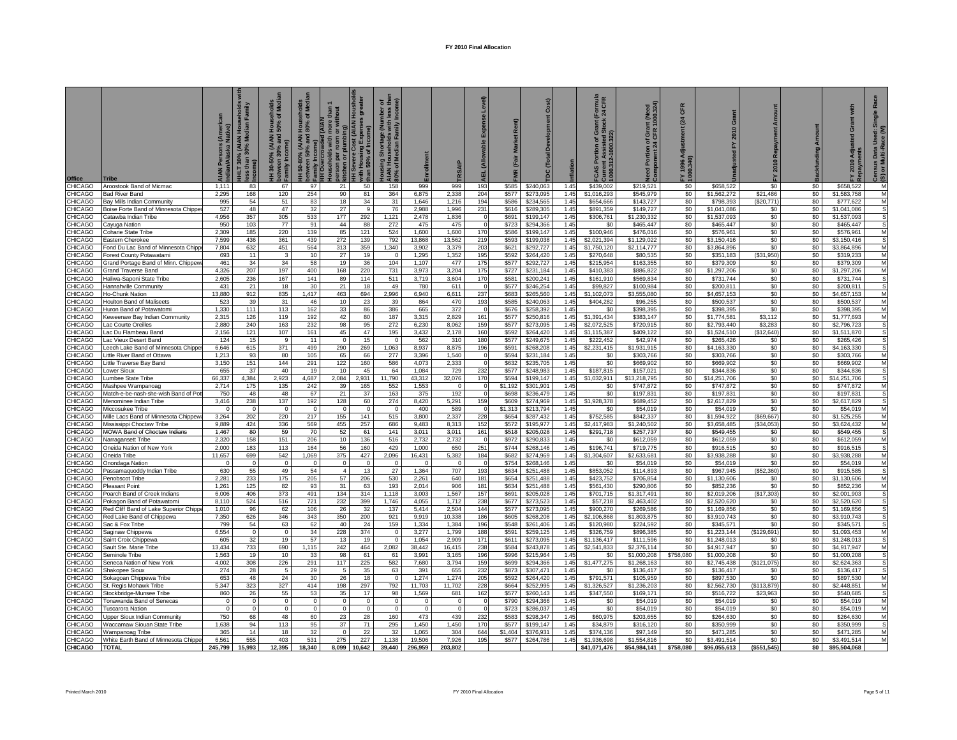| <b>Office</b>             |                                                             | Persons (Ameri<br>/Alaska Native) | seholds<br>Family<br><b>Hous</b><br>adian<br>IHLT 30% (AIAN H<br>sss than 30% Mec | seholds<br>of Medi<br>Hous<br>50%<br>30-50% (AIAN I<br>ween 30% and !<br>etweel<br>amily | 50-80% (AIAN Households<br>ween 50% and 80% of Med<br>between 50% ar<br>Family Income) | $\overline{a}$<br>more than<br>or without<br>plur<br><b>PE</b> p<br>б | <b>Housh</b><br><b>HAIA) 180</b><br>with Housing Expens<br>than 50% of Income)<br>vere Cos | $\frac{1}{2}$ $\frac{1}{2}$ $\frac{1}{2}$<br>y Shortage (Number c<br>puseholds with less t<br>Median Family Incom<br>of Median<br>ig <u>P</u> |                 |                    | ₹          |                | Cost)                  |              | rmula<br>CFR<br>$\frac{5}{24}$<br>FCAS Portion of Gra<br>Current Assisted St.<br>1000.312-1000.322) | Need Portion of Grant (Need<br>Component 24 CFR 1000.324) | CFR<br>(24)<br>FY 1996 A<br>1000.340) | ō<br>2010<br>ᅎ            | 2010 Repaym<br>置 | Amount<br><b>Backfunding</b> | with<br>ō<br>Āđji<br>2010  | <b>R</b> a<br>Single<br>Used:<br>ace (M<br>Census Data I<br>(S) or Multi-Ra |
|---------------------------|-------------------------------------------------------------|-----------------------------------|-----------------------------------------------------------------------------------|------------------------------------------------------------------------------------------|----------------------------------------------------------------------------------------|-----------------------------------------------------------------------|--------------------------------------------------------------------------------------------|-----------------------------------------------------------------------------------------------------------------------------------------------|-----------------|--------------------|------------|----------------|------------------------|--------------|-----------------------------------------------------------------------------------------------------|-----------------------------------------------------------|---------------------------------------|---------------------------|------------------|------------------------------|----------------------------|-----------------------------------------------------------------------------|
| CHICAGO                   | Aroostook Band of Micmac                                    | 1,111                             | 83                                                                                | 67                                                                                       | 97                                                                                     | 21                                                                    | 50                                                                                         | 158                                                                                                                                           | 999             | 999                | 193        | \$585          | \$240,063              | 1.45         | \$439,002                                                                                           | \$219,521                                                 | \$0                                   | \$658,522                 | \$0              | \$0                          | \$658,522                  | M                                                                           |
| CHICAGO                   | <b>Bad River Band</b>                                       | 2.295                             | 168                                                                               | 120                                                                                      | 254                                                                                    | 90                                                                    | 81                                                                                         | 364                                                                                                                                           | 6.875           | 2.338              | 204        | \$577          | \$273,095              | 1.45         | \$1,016.293                                                                                         | \$545,979                                                 | \$0                                   | \$1,562,272               | \$21,486         | \$0                          | \$1,583,758                | M                                                                           |
| CHICAGO                   | lay Mills Indian Community                                  | 995                               | 54                                                                                | 51                                                                                       | 83                                                                                     | 18                                                                    | 34                                                                                         | 31                                                                                                                                            | 1,646           | 1,216              | 194        | \$586          | \$234,565              | 1.45         | \$654,666                                                                                           | \$143,727                                                 | \$0                                   | \$798,393                 | \$20,771         | \$0                          | \$777,62                   | M                                                                           |
| <b>CHICAGO</b><br>CHICAGO | oise Forte Band of Minnesota Chippe<br>`atawba Indian Tribe | 527<br>4.956                      | 48<br>357                                                                         | 47<br>305                                                                                | 32<br>533                                                                              | 27<br>177                                                             | 9<br>292                                                                                   | 76<br>1.121                                                                                                                                   | 2,988<br>2.478  | 1,996<br>1.836     | 231        | \$616<br>\$691 | \$289,305              | 1.45<br>1.45 | \$891,359                                                                                           | \$149,727<br>\$1,230,332                                  | \$0<br>\$0                            | \$1,041,086               | \$0<br>\$0       | \$0<br>\$0                   | \$1,041,086<br>\$1,537,093 | S                                                                           |
| CHICAGO                   | ayuga Nation                                                | 950                               | 103                                                                               | 77                                                                                       | 91                                                                                     | 44                                                                    | 88                                                                                         | 272                                                                                                                                           | 475             | 475                |            | \$723          | \$199,147<br>\$294,366 | 1.45         | \$306,761<br>\$0                                                                                    | \$465,447                                                 | \$0                                   | \$1,537,093<br>\$465,447  | \$0              | \$0                          | \$465,447                  | S                                                                           |
| <b>CHICAGO</b>            | Coharie State Tribe                                         | 2,309                             | 185                                                                               | 220                                                                                      | 139                                                                                    | 85                                                                    | 121                                                                                        | 524                                                                                                                                           | 1,600           | 1,600              | 170        | \$586          | \$199,147              | 1.45         | \$100,946                                                                                           | \$476,016                                                 | \$0                                   | \$576,961                 | \$0              | \$0                          | \$576,961                  | M                                                                           |
| CHICAGO                   | astern Cherokee                                             | 7,599                             | 436                                                                               | 361                                                                                      | 439                                                                                    | 272                                                                   | 139                                                                                        | 792                                                                                                                                           | 13,868          | 13,562             | 219        | \$593          | \$199,038              | 1.45         | \$2,021,394                                                                                         | \$1,129,022                                               | \$0                                   | \$3,150,416               | \$0              | \$0                          | \$3,150,416                | S                                                                           |
| CHICAGO                   | Fond Du Lac Band of Minnesota Chipp                         | 7,804                             | 632                                                                               | 451                                                                                      | 564                                                                                    | 313                                                                   | 359                                                                                        | 1,340                                                                                                                                         | 3,902           | 3,379              | 203        | \$621          | \$292,727              | 1.45         | \$1,750,120                                                                                         | \$2,114,777                                               | \$0                                   | \$3,864,896               | \$0              | \$0                          | \$3,864,896                | M                                                                           |
| CHICAGO                   | Forest County Potawatam                                     | 693                               | 11                                                                                | $\overline{\mathbf{3}}$                                                                  | 10                                                                                     | 27                                                                    | 19                                                                                         | $\Omega$                                                                                                                                      | 1,295           | 1,352              | 195        | \$592          | \$264,420              | 1.45         | \$270,648                                                                                           | \$80,535                                                  | \$0                                   | \$351,183                 | (\$31,950)       | \$0                          | \$319,233                  | M                                                                           |
| CHICAGO                   | Grand Portage Band of Minn. Chippe                          | 461                               | 34                                                                                | 34                                                                                       | 58                                                                                     | 19                                                                    | 36                                                                                         | 104                                                                                                                                           | 1,107           | 477                | 175        | \$577          | \$292,727              | 1.45         | \$215,954                                                                                           | \$163,355                                                 | \$0                                   | \$379,309                 | \$0              | \$0                          | \$379,309                  | M                                                                           |
| CHICAGO                   | 3rand Traverse Band                                         | 4,326                             | 207                                                                               | 197                                                                                      | 400                                                                                    | 168                                                                   | 220                                                                                        | 731                                                                                                                                           | 3,973           | 3,204              | 175        | \$727          | \$231,184              | 1.45         | \$410,383                                                                                           | \$886,822                                                 | \$0                                   | \$1,297,206               | \$0              | \$0                          | \$1,297,206                | M                                                                           |
| CHICAGO                   | Haliwa-Saponi State Tribe                                   | 2,605                             | 236                                                                               | 167                                                                                      | 141                                                                                    | 89                                                                    | 114                                                                                        | 511                                                                                                                                           | 3,719           | 3,604              | 170        | \$581          | \$200,241              | 1.45         | \$161,910                                                                                           | \$569,834                                                 | \$0                                   | \$731,744                 | \$0              | \$0                          | \$731,744                  |                                                                             |
| CHICAGO                   | Hannahville Community                                       | 431                               | 21                                                                                | 18                                                                                       | 30                                                                                     | 21                                                                    | 18                                                                                         | 49                                                                                                                                            | 780             | 611                |            | \$577          | \$246,254              | 1.45         | \$99,827                                                                                            | \$100,984                                                 | \$0                                   | \$200,811                 | \$0              | \$0                          | \$200,811                  | S                                                                           |
| CHICAGO<br><b>CHICAGO</b> | Ho-Chunk Natior<br>Houlton Band of Maliseets                | 13,880<br>523                     | 912<br>39                                                                         | 835<br>31                                                                                | 1,417<br>46                                                                            | 463<br>10                                                             | 694<br>23                                                                                  | 2,996<br>39                                                                                                                                   | 6,940<br>864    | 6,611<br>470       | 237<br>193 | \$683<br>\$585 | \$265,560<br>\$240,063 | 1.45<br>1.45 | \$1,102,073<br>\$404,282                                                                            | \$3,555,080<br>\$96,255                                   | \$0<br>\$0                            | \$4,657,153               | \$0<br>\$0       | \$0<br>\$0                   | \$4,657,153<br>\$500,537   | M<br>M                                                                      |
| <b>CHICAGO</b>            | Huron Band of Potawatom                                     | 1,330                             | 111                                                                               | 113                                                                                      | 162                                                                                    | 33                                                                    | 86                                                                                         | 386                                                                                                                                           | 665             | 372                |            | \$676          | \$258,392              | 1.45         | \$0                                                                                                 | \$398,395                                                 | \$0                                   | \$500,537<br>\$398,395    | \$0              | \$0                          | \$398,395                  | M                                                                           |
| <b>CHICAGO</b>            | Keweenaw Bay Indian Community                               | 2,315                             | 126                                                                               | 119                                                                                      | 192                                                                                    | 42                                                                    | 80                                                                                         | 187                                                                                                                                           | 3,315           | 2,829              | 161        | \$577          | \$250,816              | 1.45         | \$1,391,434                                                                                         | \$383,147                                                 | \$0                                   | \$1,774,581               | \$3.112          | \$0                          | \$1,777,693                | M                                                                           |
| <b>CHICAGO</b>            | ac Courte Oreilles                                          | 2,880                             | 240                                                                               | 163                                                                                      | 232                                                                                    | 98                                                                    | 95                                                                                         | 272                                                                                                                                           | 6,230           | 8,062              | 159        | \$577          | \$273,095              | 1.45         | \$2,072,525                                                                                         | \$720,915                                                 | \$0                                   | \$2,793,440               | \$3,283          | \$0                          | \$2,796,723                | S                                                                           |
| CHICAGO                   | ac Du Flambeau Band                                         | 2,156                             | 121                                                                               | 107                                                                                      | 161                                                                                    | 45                                                                    | 47                                                                                         | 195                                                                                                                                           | 3,432           | 2,178              | 160        | \$592          | \$264,420              | 1.45         | \$1,115,387                                                                                         | \$409,122                                                 | \$0                                   | \$1,524,510               | (\$12,640)       | \$0                          | \$1,511,870                | S                                                                           |
| <b>CHICAGO</b>            | ac Vieux Desert Band                                        | 124                               | 15                                                                                | 9                                                                                        | 11                                                                                     | $\mathbf 0$                                                           | 15                                                                                         | $\Omega$                                                                                                                                      | 562             | 310                | 180        | \$577          | \$249,675              | 1.45         | \$222,452                                                                                           | \$42,974                                                  | \$0                                   | \$265,426                 | \$0              | \$0                          | \$265,426                  | S                                                                           |
| CHICAGO                   | eech Lake Band of Minnesota Chippe                          | 6,646                             | 615                                                                               | 371                                                                                      | 499                                                                                    | 290                                                                   | 269                                                                                        | 1,063                                                                                                                                         | 8,937           | 8,875              | 196        | \$591          | \$268,208              | 1.45         | \$2,231,415                                                                                         | \$1,931.915                                               | \$0                                   | \$4,163,330               | \$0              | \$0                          | \$4.163.330                | s                                                                           |
| CHICAGO                   | ittle River Band of Ottawa.                                 | 1,213                             | 93                                                                                | 80                                                                                       | 105                                                                                    | 65                                                                    | 66                                                                                         | 277                                                                                                                                           | 3,396           | 1,540              |            | \$594          | \$231,184              | 1.45         | \$0                                                                                                 | \$303,766                                                 | \$0                                   | \$303,766                 | \$0              | \$0                          | \$303,766                  | M                                                                           |
| <b>CHICAGO</b>            | ittle Traverse Bay Band                                     | 3,150                             | 151                                                                               | 144                                                                                      | 291                                                                                    | 122                                                                   | 160                                                                                        | 586                                                                                                                                           | 4,073           | 2,333              |            | \$632          | \$235,705              | 1.45         | \$0                                                                                                 | \$669,902                                                 | \$0                                   | \$669,902                 | \$0              | \$0                          | \$669,902                  | M                                                                           |
| CHICAGO<br>CHICAGO        | _ower Sioux                                                 | 655                               | 37                                                                                | 40                                                                                       | 19                                                                                     | 10                                                                    | 45                                                                                         | 64                                                                                                                                            | 1,084           | 729                | 232        | \$577<br>\$594 | \$248,983              | 1.45<br>1.45 | \$187,815                                                                                           | \$157,021                                                 | \$0                                   | \$344.836                 | \$0<br>\$0       | \$0<br>\$0                   | \$344,836                  | s<br>S                                                                      |
| CHICAGO                   | Lumbee State Tribe<br>Mashpee Wampanoag                     | 66,337<br>2,714                   | 4,384<br>175                                                                      | 2,923<br>135                                                                             | 4,687<br>242                                                                           | 2,084<br>39                                                           | 2,931<br>165                                                                               | 11,790<br>552                                                                                                                                 | 43,312<br>1,553 | 32,076<br>$\Omega$ | 170        | \$1,192        | \$199,147<br>\$301,901 | 1.45         | \$1,032,911<br>\$0                                                                                  | \$13,218,795<br>\$747,872                                 | \$0<br>\$0                            | \$14,251,706<br>\$747,872 | \$0              | \$0                          | \$14,251,706<br>\$747,872  | M                                                                           |
| CHICAGO                   | Match-e-be-nash-she-wish Band of Po                         | 750                               | 48                                                                                | 48                                                                                       | 67                                                                                     | 21                                                                    | 37                                                                                         | 163                                                                                                                                           | 375             | 192                |            | \$698          | \$236,479              | 1.45         | \$0                                                                                                 | \$197,831                                                 | \$0                                   | \$197,831                 | \$0              | \$0                          | \$197,831                  | s                                                                           |
| <b>CHICAGO</b>            | Menominee Indian Tribe                                      | 3,416                             | 238                                                                               | 137                                                                                      | 192                                                                                    | 128                                                                   | 60                                                                                         | 274                                                                                                                                           | 8,420           | 5,291              | 159        | \$609          | \$274,969              | 1.45         | \$1,928,378                                                                                         | \$689,452                                                 | \$0                                   | \$2,617,829               | \$0              | \$0                          | \$2,617,829                | s                                                                           |
| <b>CHICAGO</b>            | Miccosukee Tribe                                            | $\Omega$                          | $\mathbf 0$                                                                       | $\Omega$                                                                                 | $\overline{0}$                                                                         | $\mathbf 0$                                                           | $\overline{0}$                                                                             | $\Omega$                                                                                                                                      | 400             | 589                |            | \$1,313        | \$213,794              | 1.45         | \$0                                                                                                 | \$54,019                                                  | \$0                                   | \$54,019                  | \$0              | \$0                          | \$54,019                   | M                                                                           |
| CHICAGO                   | Mille Lacs Band of Minnesota Chippew                        | 3,264                             | 202                                                                               | 220                                                                                      | 217                                                                                    | 155                                                                   | 141                                                                                        | 515                                                                                                                                           | 3,800           | 2,337              | 228        | \$654          | \$287,432              | 1.45         | \$752,585                                                                                           | \$842,337                                                 | \$0                                   | \$1,594,922               | (\$69,667]       | \$0                          | \$1.525.255                | M                                                                           |
| CHICAGO                   | Mississippi Choctaw Tribe                                   | 9,889                             | 424                                                                               | 336                                                                                      | 569                                                                                    | 455                                                                   | 257                                                                                        | 686                                                                                                                                           | 9,483           | 8,313              | 152        | \$572          | \$195,977              | 1.45         | \$2,417.983                                                                                         | \$1,240,502                                               | \$0                                   | \$3,658,485               | (\$34,053)       | \$0                          | \$3,624,432                | M                                                                           |
| CHICAGO                   | <b>MOWA Band of Choctaw Indians</b>                         | 1,467                             | 80                                                                                | 59                                                                                       | 70                                                                                     | 52                                                                    | 61                                                                                         | 141                                                                                                                                           | 3,011           | 3,011              | 161        | \$518          | \$205,028              | 1.45         | \$291,718                                                                                           | \$257,737                                                 | \$0                                   | \$549,455                 | \$0              | \$0                          | \$549,455                  | $\overline{s}$                                                              |
| <b>CHICAGO</b>            | <b>Jarragansett Trib</b>                                    | 2,320                             | 158                                                                               | 151                                                                                      | 206                                                                                    | 10                                                                    | 136                                                                                        | 516                                                                                                                                           | 2,732           | 2,732              |            | \$972          | \$290,833              | 1.45         | \$0                                                                                                 | \$612,059                                                 | \$0                                   | \$612,059                 | \$0              | \$0                          | \$612,059                  | M                                                                           |
| CHICAGO<br>CHICAGO        | <b>Dneida Nation of New York</b>                            | 2.000                             | 183<br>699                                                                        | 113<br>542                                                                               | 164<br>1.069                                                                           | 56                                                                    | 160<br>427                                                                                 | 429<br>2.096                                                                                                                                  | 1.000           | 650<br>5.382       | 251<br>184 | \$744<br>\$682 | \$268.146              | 145<br>1.45  | \$196.741<br>\$1,304,607                                                                            | \$719,775<br>\$2,633,681                                  | \$0                                   | \$916.515<br>\$3,938,288  | \$0<br>\$0       | \$0<br>\$0                   | \$916.51<br>\$3.938.288    | S<br>M                                                                      |
| CHICAGO                   | )neida Tribe<br>)nondaga Natior                             | 11,657                            |                                                                                   |                                                                                          | $\Omega$                                                                               | 375<br>$\Omega$                                                       | $\Omega$                                                                                   |                                                                                                                                               | 16,431          |                    |            | \$754          | \$274,969<br>\$268,146 | 1.45         | \$0                                                                                                 | \$54,019                                                  | \$0<br>\$0                            | \$54,019                  | \$0              | \$0                          | \$54,01                    | M                                                                           |
| CHICAGO                   | assamaquoddy Indian Tribe                                   | 630                               | 55                                                                                | 49                                                                                       | 54                                                                                     | $\Delta$                                                              | 13                                                                                         | 27                                                                                                                                            | 1,364           | 707                | 193        | \$634          | \$251,488              | 1.45         | \$853,052                                                                                           | \$114.893                                                 | \$0                                   | \$967,945                 | \$52,360)        | \$0                          | \$915,585                  |                                                                             |
| <b>CHICAGO</b>            | Penobscot Tribe                                             | 2.281                             | 233                                                                               | 175                                                                                      | 205                                                                                    | 57                                                                    | 206                                                                                        | 530                                                                                                                                           | 2,261           | 640                | 181        | \$654          | \$251,488              | 1.45         | \$423,752                                                                                           | \$706,854                                                 | \$0                                   | \$1,130,606               | \$0              | \$0                          | \$1,130,606                | M                                                                           |
| <b>CHICAGO</b>            | Pleasant Point                                              | 1,261                             | 125                                                                               | 82                                                                                       | 93                                                                                     | 31                                                                    | 63                                                                                         | 193                                                                                                                                           | 2,014           | 906                | 181        | \$634          | \$251,488              | 1.45         | \$561,430                                                                                           | \$290,806                                                 | \$0                                   | \$852,236                 | \$0              | \$0                          | \$852,236                  | M                                                                           |
| <b>CHICAGO</b>            | Poarch Band of Creek Indians                                | 6,006                             | 406                                                                               | 373                                                                                      | 491                                                                                    | 134                                                                   | 314                                                                                        | 1,118                                                                                                                                         | 3,003           | 1,567              | 157        | \$691          | \$205,028              | 1.45         | \$701,715                                                                                           | \$1,317,491                                               | \$0                                   | \$2,019,206               | (\$17,303)       | \$0                          | \$2,001,903                | S                                                                           |
| CHICAGO                   | Pokagon Band of Potawatom                                   | 8,110                             | 524                                                                               | 516                                                                                      | 721                                                                                    | 232                                                                   | 399                                                                                        | 1,746                                                                                                                                         | 4,055           | 1,712              | 238        | \$677          | \$273,523              | 1.45         | \$57,218                                                                                            | \$2,463,402                                               | \$0                                   | \$2,520,620               | \$0              | \$0                          | \$2,520,620                | s                                                                           |
| CHICAGO                   | Red Cliff Band of Lake Superior Chipp                       | 1,010                             | 96                                                                                | 62                                                                                       | 106                                                                                    | 26                                                                    | 32                                                                                         | 137                                                                                                                                           | 5,414           | 2,504              | 144        | \$577          | \$273,095              | 1.45         | \$900,270                                                                                           | \$269,586                                                 | \$0                                   | \$1,169,856               | \$0              | \$0                          | \$1,169,856                | S                                                                           |
| CHICAGO                   | Red Lake Band of Chippewa                                   | 7,350                             | 626                                                                               | 346                                                                                      | 343                                                                                    | 350                                                                   | 200                                                                                        | 921                                                                                                                                           | 9,919           | 10,338             | 186        | \$605          | \$268,208              | 1.45         | \$2,106,868                                                                                         | \$1,803,875                                               | \$0                                   | \$3,910,743               | \$0<br>\$0       | \$0                          | \$3,910,743                | S<br>s                                                                      |
| CHICAGO<br>CHICAGO        | Sac & Fox Tribe<br>aginaw Chippewa                          | 799<br>6,554                      | 54<br>$\mathbf 0$                                                                 | 63                                                                                       | 62<br>34                                                                               | 40<br>228                                                             | 24<br>374                                                                                  | 159<br>$\mathbf 0$                                                                                                                            | 1,334<br>3,277  | 1,384<br>1,799     | 196<br>188 | \$548<br>\$591 | \$261,406<br>\$259,125 | 1.45<br>1.45 | \$120,980<br>\$326,759                                                                              | \$224,592<br>\$896,385                                    | \$0<br>\$0                            | \$345,571<br>\$1,223,144  | (\$129,691       | \$0<br>\$0                   | \$345,571<br>\$1,093,453   | M                                                                           |
| CHICAGO                   | aint Croix Chippewa                                         | 605                               | 32                                                                                | 19                                                                                       | 57                                                                                     | 13                                                                    | 19                                                                                         |                                                                                                                                               | 1,054           | 2,909              | 171        | \$611          | \$273,095              | 1.45         | \$1,136,417                                                                                         | \$111,596                                                 | \$0                                   | \$1,248.013               | \$0              | \$0                          | \$1,248,013                | s                                                                           |
| CHICAGO                   | ault Ste. Marie Tribe                                       | 13.434                            | 733                                                                               | 690                                                                                      | 1,115                                                                                  | 242                                                                   | 464                                                                                        | 2,082                                                                                                                                         | 38,442          | 16,415             | 238        | \$584          | \$243,878              | 1.45         | \$2,541,833                                                                                         | \$2,376.114                                               | \$0                                   | \$4,917.947               | \$0              | \$0                          | \$4.917.947                | M                                                                           |
| CHICAGO                   | Seminole Tribe                                              | 1,563                             | 19                                                                                | 10                                                                                       | 33                                                                                     | 98                                                                    | 61                                                                                         | 61                                                                                                                                            | 3,991           | 3,165              | 196        | \$996          | \$215,964              | 1.45         | \$0                                                                                                 | \$1,000,208                                               | \$758,080                             | \$1,000,208               | \$0              | \$0                          | \$1,000.208                | S                                                                           |
| CHICAGO                   | Seneca Nation of New York                                   | 4,002                             | 308                                                                               | 226                                                                                      | 291                                                                                    | 117                                                                   | 225                                                                                        | 582                                                                                                                                           | 7,680           | 3,794              | 159        | \$699          | \$294,366              | 1.45         | \$1,477,275                                                                                         | \$1,268,163                                               | \$0                                   | \$2,745,438               | (\$121,075)      | \$0                          | \$2,624,363                | S                                                                           |
| CHICAGO                   | Shakonee Sioux                                              | 274                               | 28                                                                                | 5                                                                                        | 29                                                                                     | 5                                                                     | 35                                                                                         | 63                                                                                                                                            | 391             | 655                | 232        | \$873          | \$307.471              | 1.45         | \$0                                                                                                 | \$136.417                                                 | \$0                                   | \$136.417                 | \$0              | \$0                          | \$136,417                  | S                                                                           |
| CHICAGO                   | Sokagoan Chippewa Tribe                                     | 653                               | 48                                                                                | 24                                                                                       | 30                                                                                     | 26                                                                    | 18                                                                                         | $\Omega$                                                                                                                                      | 1,274           | 1,274              | 205        | \$592          | \$264,420              | 1.45         | \$791,571                                                                                           | \$105,959                                                 | \$0                                   | \$897,530                 | \$0              | \$0                          | \$897,530                  | M                                                                           |
| CHICAGO                   | t. Regis Mohawk Tribe                                       | 5,347                             | 323                                                                               | 327                                                                                      | 414                                                                                    | 198                                                                   | 297                                                                                        | 792                                                                                                                                           | 11,703          | 11,702             | 228        | \$664          | \$252,995              | 1.45         | \$1,326,527                                                                                         | \$1,236,203                                               | \$0                                   | \$2,562,730               | (\$113,879)      | \$0                          | \$2,448,851                | M                                                                           |
| CHICAGO<br>CHICAGO        | Stockbridge-Munsee Tribe                                    | 860<br>$\Omega$                   | 26<br>$\Omega$                                                                    | 55<br>$\mathbf{0}$                                                                       | 53<br>$\mathbf 0$                                                                      | 35<br>$\Omega$                                                        | 17<br>$\Omega$                                                                             | 98<br>$\Omega$                                                                                                                                | 1,569<br>- 0    | 681<br>$\Omega$    | 162        | \$577<br>\$790 | \$260,143<br>\$294,366 | 1.45<br>1.45 | \$347,550<br>\$0                                                                                    | \$169,171<br>\$54,019                                     | \$0<br>\$0                            | \$516,722<br>\$54,019     | \$23,963<br>\$0  | \$0<br>\$0                   | \$540,685<br>\$54,019      | s<br>M                                                                      |
| CHICAGO                   | Tonawanda Band of Senecas<br>uscarora Nation                | $\Omega$                          | $\Omega$                                                                          | $\circ$                                                                                  | $\overline{0}$                                                                         | $\Omega$                                                              | $\Omega$                                                                                   | $\Omega$                                                                                                                                      | $\Omega$        | $\Omega$           |            | \$723          | \$286,037              | 1.45         | \$0                                                                                                 | \$54,019                                                  | \$0                                   | \$54,019                  | \$0              | \$0                          | \$54,019                   | M                                                                           |
| CHICAGO                   | Jpper Sioux Indian Community                                | 750                               | 68                                                                                | 48                                                                                       | 60                                                                                     | 23                                                                    | 28                                                                                         | 160                                                                                                                                           | 473             | 439                | 232        | \$583          | \$298,347              | 1.45         | \$60,975                                                                                            | \$203,655                                                 | \$0                                   | \$264,630                 | \$0              | \$0                          | \$264,630                  | M                                                                           |
| CHICAGO                   | <b>Naccamaw Siouan State Tribe</b>                          | 1,638                             | 94                                                                                | 113                                                                                      | 95                                                                                     | 37                                                                    | 71                                                                                         | 295                                                                                                                                           | 1,450           | 1,450              | 170        | \$577          | \$199,147              | 1.45         | \$34,879                                                                                            | \$316,120                                                 | \$0                                   | \$350,999                 | \$0              | \$0                          | \$350,999                  | s                                                                           |
| CHICAGO                   | Wampanoag Tribe                                             | 365                               | 14                                                                                | 18                                                                                       | 32                                                                                     | $\Omega$                                                              | 22                                                                                         | 32                                                                                                                                            | 1,065           | 304                | 644        | \$1,404        | \$376,931              | 1.45         | \$374,136                                                                                           | \$97,149                                                  | \$0                                   | \$471,285                 | \$0              | \$0                          | \$471,285                  | M                                                                           |
| CHICAGO                   | White Earth Band of Minnesota Chippe                        | 6,561                             | 555                                                                               | 403                                                                                      | 531                                                                                    | 275                                                                   | 227                                                                                        | 1,138                                                                                                                                         | 19,506          | 7,926              | 195        | \$577          | \$264,786              | 1.45         | \$1,936,698                                                                                         | \$1,554,816                                               | \$0                                   | \$3,491,514               | \$0              | \$0                          | \$3,491,514                | M                                                                           |
| CHICAGO                   | <b>TOTAL</b>                                                | 245,799                           | 15.993                                                                            | 12,395                                                                                   | 18,340                                                                                 | 8,099                                                                 | 10,642                                                                                     | 39,440                                                                                                                                        | 296,959         | 203.802            |            |                |                        |              | \$41,071,476                                                                                        | \$54,984,141                                              | \$758,080                             | \$96,055,613              | (S551.545)       | so I                         | \$95,504,068               |                                                                             |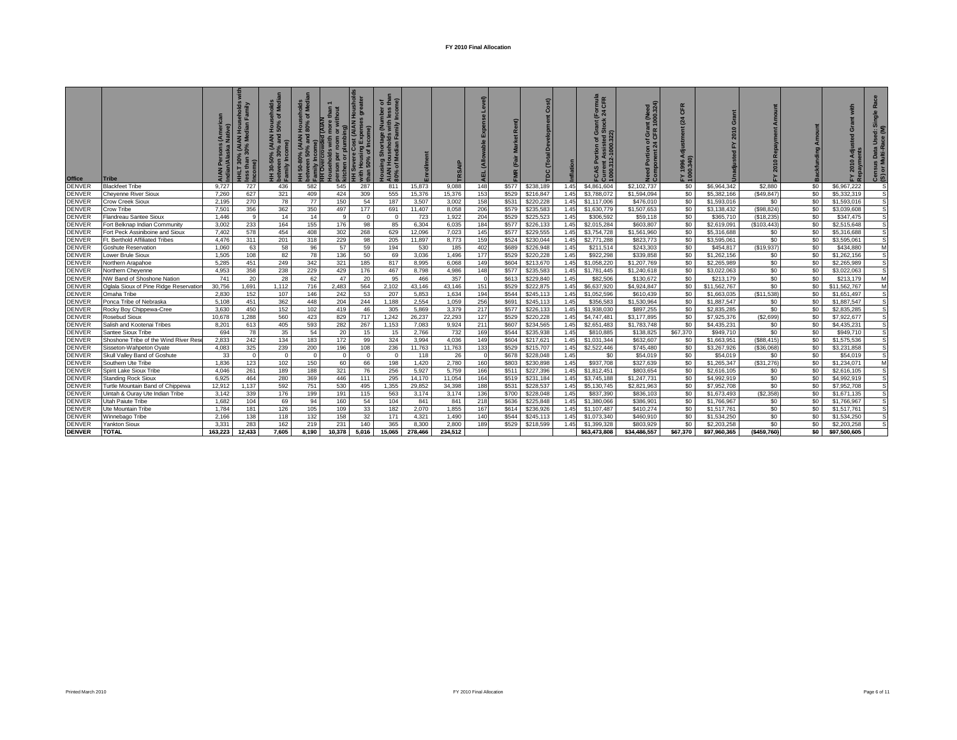| Office                         | <b>Tribe</b>                                            |                |          | ਰ ≊<br>$\widehat{\mathbf{a}}$<br><b>Family</b> | ৰ চ<br><b>Hous</b><br>80%<br>(AIAN<br><sup>19</sup> / <sub>6</sub> and<br>$\left  \begin{matrix} 0 \\ 1 \end{matrix} \right $<br>50-80 |          | vere Cost (AIAN Housholds<br>$\overline{a}$<br>me)<br>50% of Inco | 5E<br>nber<br>⋜<br>$\sigma$ |               |                | $\widehat{\mathsf{e}}$ | $\alpha$<br>R  |                        | nflation     | <b>True</b><br>CFR<br>E 4<br>கு | aed<br>324)<br><b>IN</b><br>1000.<br>e it | CFR        |                          | Amor<br>Repayment<br>$\circ$<br>201 |            | ō<br>$\bullet$<br>$\overline{201}$ | œ<br>$\frac{6}{5}$<br>Data<br>ulti-R<br>ທ 5<br>යී ග |
|--------------------------------|---------------------------------------------------------|----------------|----------|------------------------------------------------|----------------------------------------------------------------------------------------------------------------------------------------|----------|-------------------------------------------------------------------|-----------------------------|---------------|----------------|------------------------|----------------|------------------------|--------------|---------------------------------|-------------------------------------------|------------|--------------------------|-------------------------------------|------------|------------------------------------|-----------------------------------------------------|
| <b>DENVER</b>                  | <b>Blackfeet Tribe</b>                                  | 9,727          | 727      | 436                                            | 582                                                                                                                                    | 545      | 287                                                               | 811                         | 15,873        | 9,088          | 148                    | \$577          | \$238,189              | 1.45         | \$4,861,604                     | \$2,102,737                               | \$0        | \$6,964,342              | \$2,880                             | \$0        | \$6,967,222                        |                                                     |
| <b>DENVER</b>                  | <b>Cheyenne River Sioux</b>                             | 7.260          | 627      | 321                                            | 409                                                                                                                                    | 424      | 309                                                               | 555                         | 15.376        | 15,376         | 153                    | \$529          | \$216,847              | 1.45         | \$3,788,072                     | \$1,594,094                               | \$0        | \$5,382,166              | (\$49,847)                          | \$0        | \$5,332,319                        | S                                                   |
| <b>DENVER</b><br><b>DENVER</b> | <b>Crow Creek Sioux</b>                                 | 2.195          | 270      | 78                                             | 77                                                                                                                                     | 150      | 54                                                                | 187                         | 3.507         | 3.002          | 158                    | \$53'          | \$220,228              | 1.45         | \$1,117,006                     | \$476.010                                 | \$0        | \$1,593,016              | \$0                                 | \$0        | \$1,593,016                        |                                                     |
| <b>DENVER</b>                  | Crow Tribe                                              | 7,501<br>1.446 | 356<br>9 | 362<br>14                                      | 350<br>14                                                                                                                              | 497<br>9 | 177<br>$\overline{0}$                                             | 691<br>$\mathbf{0}$         | 11.407<br>723 | 8.058<br>1.922 | 206                    | \$579<br>\$529 | \$235,583<br>\$225,523 | 1.45<br>1.45 | \$1,630,779<br>\$306,592        | \$1,507,653<br>\$59,118                   | \$0<br>\$0 | \$3,138,432<br>\$365,710 | (S98, 824)<br>(\$18,235)            | \$0<br>\$0 | \$3.039.608<br>\$347.475           | s                                                   |
| <b>DENVER</b>                  | Flandreau Santee Sioux<br>Fort Belknap Indian Community | 3,002          | 233      | 164                                            | 155                                                                                                                                    | 176      | 98                                                                | 85                          | 6,304         | 6,035          | 204<br>184             | \$577          | \$226,133              | 1.45         | \$2,015,284                     | \$603,807                                 | \$0        | \$2,619,091              | (\$103,443)                         | \$0        | \$2,515,648                        |                                                     |
| <b>DENVER</b>                  | Fort Peck Assiniboine and Sioux                         | 7,402          | 578      | 454                                            | 408                                                                                                                                    | 302      | 268                                                               | 629                         | 12,096        | 7,023          | 145                    | \$577          | \$229,555              | 1.45         | \$3,754,728                     | \$1,561,960                               | \$0        | \$5,316,688              | \$0                                 | \$0        | \$5,316,688                        |                                                     |
| <b>DENVER</b>                  | Ft. Berthold Affiliated Tribes                          | 4.476          | 311      | 201                                            | 318                                                                                                                                    | 229      | 98                                                                | 205                         | 11,897        | 8.773          | 159                    | \$524          | \$230,044              | 1.45         | \$2,771,288                     | \$823,773                                 | \$0        | \$3,595.061              | \$0                                 | \$0        | \$3,595,061                        | s                                                   |
| <b>DENVER</b>                  | Goshute Reservation                                     | 1.060          | 63       | 58                                             | 96                                                                                                                                     | 57       | 59                                                                | 194                         | 530           | 185            | 402                    | \$689          | \$226,948              | 1.45         | \$211,514                       | \$243,303                                 | \$0        | \$454.817                | (\$19.937)                          | \$0        | \$434,880                          | M                                                   |
| <b>DENVER</b>                  | ower Brule Sioux                                        | 1.505          | 108      | 82                                             | 78                                                                                                                                     | 136      | 50                                                                | 69                          | 3.036         | 1.496          | 177                    | \$529          | \$220.228              | 1.45         | \$922.298                       | \$339,858                                 | \$0        | \$1,262,156              | \$0                                 | \$0        | \$1.262.156                        | S                                                   |
| <b>DENVER</b>                  | <b>Northern Arapahoe</b>                                | 5.285          | 451      | 249                                            | 342                                                                                                                                    | 321      | 185                                                               | 817                         | 8.995         | 6.068          | 149                    | \$604          | \$213,670              | 1.45         | \$1,058,220                     | \$1,207,769                               | \$0        | \$2,265,989              | \$0                                 | \$0        | \$2,265,989                        |                                                     |
| <b>DENVER</b>                  | Northern Chevenne                                       | 4.953          | 358      | 238                                            | 229                                                                                                                                    | 429      | 176                                                               | 467                         | 8.798         | 4.986          | 148                    | \$577          | \$235,583              | 1.45         | \$1,781,445                     | \$1,240,618                               | \$0        | \$3,022,063              | \$0                                 | \$0        | \$3,022,063                        |                                                     |
| <b>DENVER</b>                  | NW Band of Shoshone Nation                              | 741            | 20       | 28                                             | 62                                                                                                                                     | 47       | 20                                                                | 95                          | 466           | 357            | $\Omega$               | \$613          | \$229,840              | 1.45         | \$82,506                        | \$130,672                                 | \$0        | \$213,179                | \$0                                 | \$0        | \$213,179                          | M                                                   |
| <b>DENVER</b>                  | Oglala Sioux of Pine Ridge Reservatio                   | 30,756         | 1,691    | 1,112                                          | 716                                                                                                                                    | 2,483    | 564                                                               | 2,102                       | 43,146        | 43.146         | 151                    | \$529          | \$222,875              | 1.45         | \$6,637,920                     | \$4,924,847                               | \$0        | \$11,562,767             | \$0                                 | \$0        | \$11,562,767                       | M                                                   |
| <b>DENVER</b>                  | Omaha Tribe                                             | 2.830          | 152      | 107                                            | 146                                                                                                                                    | 242      | 53                                                                | 207                         | 5.853         | 1.634          | 194                    | \$544          | \$245.113              | 1.45         | \$1,052,596                     | \$610.439                                 | \$0        | \$1,663,035              | (S11.538)                           | \$0        | \$1,651,497                        |                                                     |
| <b>DENVER</b>                  | Ponca Tribe of Nebraska                                 | 5.108          | 451      | 362                                            | 448                                                                                                                                    | 204      | 244                                                               | 1,188                       | 2,554         | 1.059          | 256                    | \$691          | \$245,113              | 1.45         | \$356,583                       | \$1,530,964                               | \$0        | \$1,887.547              | \$0                                 | \$0        | \$1,887,547                        | s                                                   |
| <b>DENVER</b>                  | Rocky Boy Chippewa-Cree                                 | 3,630          | 450      | 152                                            | 102                                                                                                                                    | 419      | 46                                                                | 305                         | 5.869         | 3.379          | 217                    | \$577          | \$226,133              | 1.45         | \$1,938,030                     | \$897,255                                 | \$0        | \$2,835,285              | \$0                                 | \$0        | \$2,835,285                        | S                                                   |
| <b>DENVER</b>                  | Rosebud Sioux                                           | 10,678         | 1,288    | 560                                            | 423                                                                                                                                    | 829      | 717                                                               | 1,242                       | 26,237        | 22.293         | 127                    | \$529          | \$220,228              | 1.45         | \$4,747,481                     | \$3,177,895                               | \$0        | \$7,925,376              | (S2, 699)                           | \$0        | \$7,922,677                        |                                                     |
| <b>DENVER</b>                  | Salish and Kootenai Tribes                              | 8,201          | 613      | 405                                            | 593                                                                                                                                    | 282      | 267                                                               | 1.153                       | 7.083         | 9.924          | 211                    | \$607          | \$234,565              | 1.45         | \$2.651.483                     | \$1,783,748                               | \$0        | \$4,435,231              | \$0                                 | \$0        | \$4,435,231                        |                                                     |
| <b>DENVER</b>                  | Santee Sioux Tribe                                      | 694            | 78       | 35                                             | 54                                                                                                                                     | 20       | 15                                                                | 15                          | 2.766         | 732            | 169                    | \$544          | \$235,938              | 1.45         | \$810,885                       | \$138,825                                 | \$67,370   | \$949.710                | \$0                                 | \$0        | \$949.710                          |                                                     |
| <b>DENVER</b>                  | Shoshone Tribe of the Wind River Res                    | 2.833          | 242      | 134                                            | 183                                                                                                                                    | 172      | 99                                                                | 324                         | 3.994         | 4.036          | 149                    | \$604          | \$217,621              | 1.45         | \$1,031,344                     | \$632,607                                 | \$0        | \$1,663,951              | (S88, 415)                          | \$0        | \$1,575,536                        | S                                                   |
| <b>DENVER</b>                  | Sisseton-Wahpeton Oyate                                 | 4,083          | 325      | 239                                            | 200                                                                                                                                    | 196      | 108                                                               | 236                         | 11,763        | 11,763         | 133                    | \$529          | \$215,707              | 1.45         | \$2,522,446                     | \$745,480                                 | \$0        | \$3,267,926              | (\$36,068)                          | \$0        | \$3,231,858                        |                                                     |
| <b>DENVER</b>                  | Skull Valley Band of Goshute                            | 33             | $\Omega$ | $\Omega$                                       | $\Omega$                                                                                                                               | $\Omega$ | $\Omega$                                                          | $\Omega$                    | 118           | 26             | $\Omega$               | \$678          | \$228,048              | 1.45         | \$0                             | \$54,019                                  | \$0        | \$54,019                 | \$0                                 | \$0        | \$54,019                           | S                                                   |
| <b>DENVER</b>                  | Southern Ute Tribe                                      | 1.836          | 123      | 102                                            | 150                                                                                                                                    | 60       | 66                                                                | 198                         | 1.420         | 2.780          | 160                    | \$803          | \$230,898              | 1.45         | \$937,708                       | \$327.639                                 | \$0        | \$1,265,347              | (S31.276)                           | \$0        | \$1,234,071                        | M                                                   |
| <b>DENVER</b>                  | Spirit Lake Sioux Tribe                                 | 4.046          | 261      | 189                                            | 188                                                                                                                                    | 321      | 76                                                                | 256                         | 5,927         | 5,759          | 166                    | \$51'          | \$227,396              | 1.45         | \$1,812,451                     | \$803,654                                 | \$0        | \$2,616,105              | \$0                                 | \$0        | \$2,616,105                        |                                                     |
| <b>DENVER</b>                  | <b>Standing Rock Sioux</b>                              | 6.925          | 464      | 280                                            | 369                                                                                                                                    | 446      | 111                                                               | 295                         | 14,170        | 11.054         | 164                    | \$519          | \$231,184              | 1.45         | \$3,745,188                     | \$1,247,731                               | \$0        | \$4,992,919              | \$0                                 | \$0        | \$4,992,919                        |                                                     |
| <b>DENVER</b>                  | Furtle Mountain Band of Chippewa                        | 12,912         | 1,137    | 592                                            | 751                                                                                                                                    | 530      | 495                                                               | 1,355                       | 29,852        | 34,398         | 188                    | \$531          | \$228,537              | 1.45         | \$5,130,745                     | \$2,821,963                               | \$0        | \$7,952,708              | \$0                                 | \$0        | \$7,952,708                        |                                                     |
| <b>DENVER</b>                  | Uintah & Ourav Ute Indian Tribe                         | 3.142          | 339      | 176                                            | 199                                                                                                                                    | 191      | 115                                                               | 563                         | 3.174         | 3.174          | 136                    | \$700          | \$228,048              | 1.45         | \$837,390                       | \$836,103                                 | \$0        | \$1,673,493              | (S2, 358)                           | \$0        | \$1,671,135                        |                                                     |
| <b>DENVER</b>                  | Utah Paiute Tribe                                       | 1.682          | 104      | 69                                             | 94                                                                                                                                     | 160      | 54                                                                | 104                         | 841           | 841            | 218                    | \$636          | \$225.848              | 1.45         | \$1,380,066                     | \$386,901                                 | \$0        | \$1,766,967              | \$0                                 | \$0        | \$1,766,967                        |                                                     |
| <b>DENVER</b>                  | Ute Mountain Tribe                                      | 1,784          | 181      | 126                                            | 105                                                                                                                                    | 109      | 33                                                                | 182                         | 2,070         | 1,855          | 167                    | \$614          | \$236,926              | 1.45         | \$1,107,487                     | \$410,274                                 | \$0        | \$1,517,761              | \$0                                 | \$0        | \$1,517,761                        | s                                                   |
| <b>DENVER</b>                  | Winnebago Tribe                                         | 2.166          | 138      | 118                                            | 132                                                                                                                                    | 158      | 32                                                                | 171                         | 4.321         | 1.490          | 140                    | \$544          | \$245,113              | 1.45         | \$1,073,340                     | \$460,910                                 | \$0        | \$1,534,250              | \$0                                 | \$0        | \$1,534,250                        |                                                     |
| <b>DENVER</b>                  | Yankton Sioux                                           | 3.33'          | 283      | 162                                            | 219                                                                                                                                    | 231      | 140                                                               | 365                         | 8,300         | 2,800          | 189                    | \$529          | \$218,599              | 1.45         | \$1,399,328                     | \$803,929                                 | \$0        | \$2,203,258              | \$0                                 | \$0        | \$2,203,258                        | S                                                   |
| <b>DENVER</b>                  | <b>TOTAL</b>                                            | 163.223        | 12.433   | 7.605                                          | 8.190                                                                                                                                  | 10.378   | 5.016                                                             | 15.065                      | 278.466       | 234.512        |                        |                |                        |              | \$63,473,808                    | \$34,486.557                              | \$67.370   | \$97.960.365             | ( \$459.760)                        | \$0        | \$97.500.605                       |                                                     |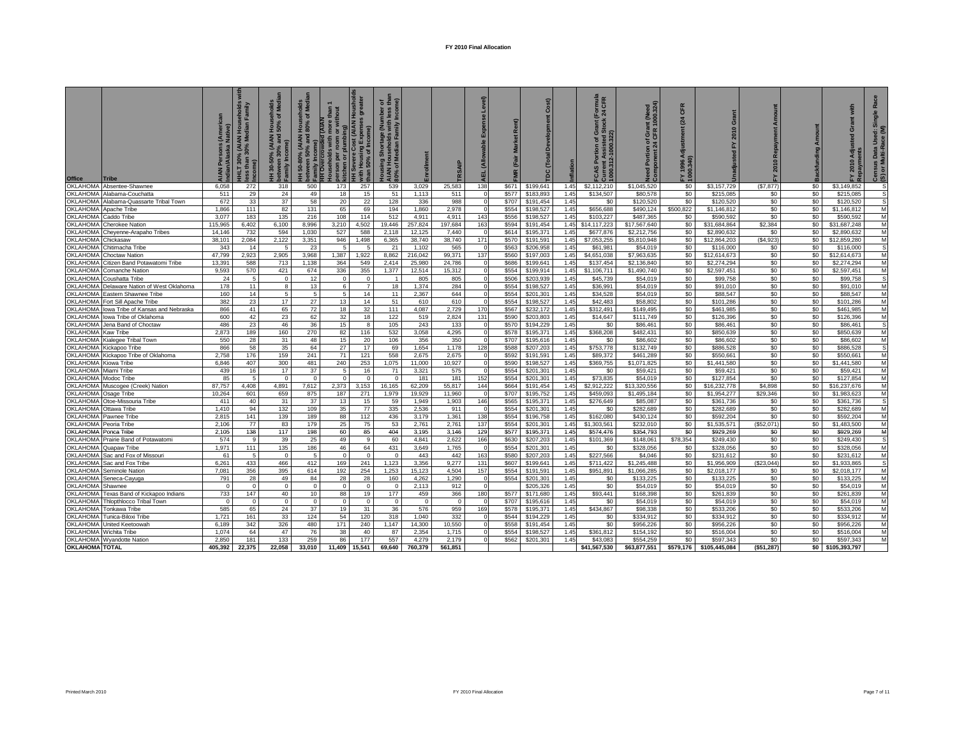| Office                | <b>Tribe</b>                      |         | ds<br>ily<br>(AIAN<br>0% Me<br>30%<br>HLT 30%<br>than<br>me) | nolds<br>Medi<br>ত হ<br>동 영<br>$\widehat{\mathbf{e}}$<br>nily | ত হ<br>Hous<br>80%<br>(AIAN<br><sup>9%</sup> and<br>50-80% (<br>ween 50%<br>$\frac{1}{2}$ | ŏ<br>olds   | st (AIAN Houshold<br>ᇹ<br>me)<br>Severe Cost (<br>Housing Exp<br>- 50% of Incom<br>H | $5 \frac{1}{5}$ $\frac{1}{5}$ $\frac{1}{5}$<br>mber<br>less<br>Incon<br>um)<br>Shortage<br>useholds<br>ian Fa<br>of M<br>gi |         |          | м        | $\leq$ | ost)      | <b>lation</b> | rmula<br>CFR<br>24<br>tion of Grand<br>ssisted St<br>1000.322)<br>Jurrent As<br>1000.312-11<br>o<br>ပ္ဘ<br>콩 | f Grant (Need<br>CFR 1000.324)<br>$\frac{5}{24}$ | Æ<br>$\overline{\mathbf{o}}$<br>24<br>FY 1996 A | $\sigma$<br>201 | Amount<br>2010 Repayment<br>노 |         | with<br>Grant<br>g<br>√⊲<br>2010<br>ิ ≾ | $\overline{a}$<br><b>Use</b><br><b>IS Data</b><br>Multi-Ra<br>ឨ ៰<br>ලී ග |
|-----------------------|-----------------------------------|---------|--------------------------------------------------------------|---------------------------------------------------------------|-------------------------------------------------------------------------------------------|-------------|--------------------------------------------------------------------------------------|-----------------------------------------------------------------------------------------------------------------------------|---------|----------|----------|--------|-----------|---------------|--------------------------------------------------------------------------------------------------------------|--------------------------------------------------|-------------------------------------------------|-----------------|-------------------------------|---------|-----------------------------------------|---------------------------------------------------------------------------|
| <b>OKLAHOMA</b>       | Absentee-Shawnee                  | 6.058   | 272                                                          | 318                                                           | 500                                                                                       | 173         | 257                                                                                  | 539                                                                                                                         | 3,029   | 25,583   | 138      | \$671  | \$199,641 | 1.45          | \$2,112,210                                                                                                  | \$1,045.520                                      | \$0                                             | \$3,157,729     | (S7.877)                      | \$0     | \$3,149,852                             |                                                                           |
| OKLAHOMA              | Alabama-Couchatta                 | 511     | 29                                                           | 24                                                            | 49                                                                                        | 18          | 15                                                                                   | 51                                                                                                                          | 1,113   | 511      |          | \$577  | \$183,893 | 1.45          | \$134,507                                                                                                    | \$80,578                                         | \$0                                             | \$215,085       | \$0                           | \$0     | \$215,085                               | s                                                                         |
| <b>OKLAHOMA</b>       | Alabama-Quassarte Tribal Town     | 672     | 33                                                           | 37                                                            | 58                                                                                        | 20          | 22                                                                                   | 128                                                                                                                         | 336     | 988      |          | \$707  | \$191.454 | 1.45          | \$0                                                                                                          | \$120,520                                        | \$0                                             | \$120,520       | \$0                           | \$0     | \$120,520                               | s                                                                         |
| OKLAHOMA              | Apache Tribe                      | 1.866   | 111                                                          | 82                                                            | 131                                                                                       | 65          | 69                                                                                   | 194                                                                                                                         | 1,860   | 2.978    |          | \$554  | \$198,527 | 1.45          | \$656,688                                                                                                    | \$490,124                                        | \$500.822                                       | \$1,146,812     | \$0                           | \$0     | \$1,146,812                             | M                                                                         |
| OKLAHOMA              | Caddo Tribe                       | 3.077   | 183                                                          | 135                                                           | 216                                                                                       | 108         | 114                                                                                  | 512                                                                                                                         | 4.911   | 4.911    | 143      | \$556  | \$198,527 | 1.45          | \$103,227                                                                                                    | \$487,365                                        | \$0                                             | \$590.592       | \$0                           | \$0     | \$590,592                               | M                                                                         |
| <b>OKLAHOMA</b>       | <b>Cherokee Nation</b>            | 115,965 | 6,402                                                        | 6,100                                                         | 8,996                                                                                     | 3,210       | 4,502                                                                                | 19,446                                                                                                                      | 257,824 | 197,684  | 163      | \$594  | \$191,454 | 1.45          | \$14,117,223                                                                                                 | \$17,567,640                                     | \$0                                             | \$31,684,864    | \$2,384                       | \$0     | \$31,687,248                            | M                                                                         |
| <b>OKLAHOMA</b>       | Cheyenne-Arapaho Tribes           | 14,146  | 732                                                          | 594                                                           | 1,030                                                                                     | 527         | 588                                                                                  | 2,118                                                                                                                       | 12,125  | 7,440    |          | \$614  | \$195,371 | 1.45          | \$677,876                                                                                                    | \$2,212,756                                      | \$0                                             | \$2,890,632     | \$0                           | \$0     | \$2,890,632                             | М                                                                         |
| <b>OKLAHOMA</b>       | Chickasaw                         | 38,101  | 2,084                                                        | 2,122                                                         | 3,351                                                                                     | 946         | 1,498                                                                                | 6,365                                                                                                                       | 38,740  | 38,740   | 171      | \$570  | \$191,591 | 1.45          | \$7,053,255                                                                                                  | \$5,810,948                                      | \$0                                             | \$12,864,203    | (\$4,923                      | \$0     | \$12,859,280                            | M                                                                         |
| <b>OKLAHOMA</b>       |                                   | 343     | 14                                                           |                                                               | 23                                                                                        |             |                                                                                      | 21                                                                                                                          | 1.102   | 565      |          | \$563  | \$206.958 | 1.45          |                                                                                                              | \$54,019                                         | \$0                                             | \$116,000       | \$0                           | \$0     | \$116,000                               | s                                                                         |
| <b>OKLAHOMA</b>       | Chitimacha Tribe                  | 47.799  | 2.923                                                        | 2.905                                                         | 3.968                                                                                     | 1.387       | 1.922                                                                                | 8.862                                                                                                                       | 216.042 | 99.371   | 137      | \$560  | \$197,003 | 1.45          | \$61,981<br>\$4,651,038                                                                                      | \$7,963,635                                      |                                                 | \$12,614,673    | \$0                           | \$0     | \$12.614.673                            |                                                                           |
| OKLAHOMA              | Choctaw Nation                    |         |                                                              |                                                               |                                                                                           |             |                                                                                      |                                                                                                                             |         |          |          |        |           |               |                                                                                                              |                                                  | \$0                                             |                 |                               |         |                                         | M                                                                         |
|                       | Citizen Band Potawatomi Tribe     | 13,391  | 588                                                          | 713                                                           | 1,138                                                                                     | 364         | 549                                                                                  | 2,414                                                                                                                       | 25,980  | 24,786   |          | \$686  | \$199,641 | 1.45          | \$137,454                                                                                                    | \$2,136,840                                      | \$0                                             | \$2,274,294     | \$0                           | \$0     | \$2,274,294                             | M                                                                         |
| <b>OKLAHOMA</b>       | Comanche Nation                   | 9,593   | 570                                                          | 421                                                           | 674                                                                                       | 336         | 355                                                                                  | 1,377                                                                                                                       | 12,514  | 15,312   |          | \$554  | \$199.914 | 1.45          | \$1,106,711                                                                                                  | \$1,490,740                                      | \$0                                             | \$2,597,451     | \$0                           | \$0     | \$2,597,451                             | M                                                                         |
| OKLAHOMA              | Coushatta Tribe                   | 24      | 5                                                            | $\mathbf{0}$                                                  | 12                                                                                        | $\Omega$    | $\Omega$                                                                             | $\overline{1}$                                                                                                              | 805     | 805      |          | \$506  | \$203,939 | 1.45          | \$45,739                                                                                                     | \$54,019                                         | \$0                                             | \$99,758        | \$0                           | \$0     | \$99,758                                | s                                                                         |
| <b>OKLAHOMA</b>       | Delaware Nation of West Oklahoma  | 178     | 11                                                           | 8                                                             | 13                                                                                        | 6           | $\overline{7}$                                                                       | 18                                                                                                                          | 1.374   | 284      |          | \$554  | \$198,527 | 1.45          | \$36.991                                                                                                     | \$54,019                                         | \$0                                             | \$91,010        | \$0                           | \$0     | \$91,010                                | M                                                                         |
| OKLAHOMA              | Eastern Shawnee Tribe             | 160     | 14                                                           | 5                                                             | 5                                                                                         | 5           | 14                                                                                   | 11                                                                                                                          | 2,367   | 644      | $\Omega$ | \$554  | \$201,301 | 1.45          | \$34,528                                                                                                     | \$54,019                                         | \$0                                             | \$88,547        | \$0                           | \$0     | \$88,547                                | M                                                                         |
| OKLAHOMA              | Fort Sill Apache Tribe            | 382     | 23                                                           | 17                                                            | 27                                                                                        | 13          | 14                                                                                   | 51                                                                                                                          | 610     | 610      |          | \$554  | \$198,527 | 1.45          | \$42,483                                                                                                     | \$58,802                                         | \$0                                             | \$101.286       | \$0                           | \$0     | \$101.286                               | M                                                                         |
| OKLAHOMA              | lowa Tribe of Kansas and Nebraska | 866     | 41                                                           | 65                                                            | 72                                                                                        | 18          | 32                                                                                   | 111                                                                                                                         | 4.087   | 2,729    | 170      | \$567  | \$232,172 | 1.45          | \$312.491                                                                                                    | \$149.495                                        | \$0                                             | \$461,985       | \$0                           | \$0     | \$461.985                               | M                                                                         |
| OKLAHOMA              | lowa Tribe of Oklahoma            | 600     | 42                                                           | 23                                                            | 62                                                                                        | 32          | 18                                                                                   | 122                                                                                                                         | 519     | 2.824    | 131      | \$590  | \$203,803 | 1.45          | \$14,647                                                                                                     | \$111.749                                        | \$0                                             | \$126.396       | \$0                           | \$0     | \$126,396                               | M                                                                         |
| <b>OKLAHOMA</b>       | Jena Band of Choctaw              | 486     | 23                                                           | 46                                                            | 36                                                                                        | 15          | 8                                                                                    | 105                                                                                                                         | 243     | 133      |          | \$570  | \$194.229 | 1.45          | \$0                                                                                                          | \$86,461                                         | \$0                                             | \$86,461        | \$0                           | \$0     | \$86,461                                | s                                                                         |
| <b>OKLAHOMA</b>       | Kaw Tribe                         | 2,873   | 189                                                          | 160                                                           | 270                                                                                       | 82          | 116                                                                                  | 532                                                                                                                         | 3,058   | 4,295    |          | \$578  | \$195,371 | 1.45          | \$368,208                                                                                                    | \$482,431                                        | \$0                                             | \$850,639       | \$0                           | \$0     | \$850,639                               | M                                                                         |
| OKLAHOMA              | Kialegee Tribal Town              | 550     | 28                                                           | 31                                                            | 48                                                                                        | 15          | 20                                                                                   | 106                                                                                                                         | 356     | 350      |          | \$707  | \$195,616 | 1.45          | \$0                                                                                                          | \$86,602                                         | \$0                                             | \$86,602        | \$0                           | \$0     | \$86,602                                | M                                                                         |
| <b>OKLAHOMA</b>       | Kickapoo Tribe                    | 866     | 58                                                           | 35                                                            | 64                                                                                        | 27          | 17                                                                                   | 69                                                                                                                          | 1.654   | 1.178    | 128      | \$588  | \$207,203 | 1.45          | \$753,778                                                                                                    | \$132,749                                        | \$0                                             | \$886.528       | \$0                           | \$0     | \$886,528                               | s                                                                         |
| <b>OKLAHOMA</b>       | Kickapoo Tribe of Oklahoma        | 2.758   | 176                                                          | 159                                                           | 241                                                                                       | 71          | 121                                                                                  | 558                                                                                                                         | 2.675   | 2.675    |          | \$592  | \$191.591 | 1.45          | \$89,372                                                                                                     | \$461,289                                        | \$0                                             | \$550.661       | \$0                           | \$0     | \$550.661                               | M                                                                         |
| <b>OKLAHOMA</b>       | Kiowa Tribe                       | 6,846   | 407                                                          | 300                                                           | 481                                                                                       | 240         | 253                                                                                  | 1,075                                                                                                                       | 11,000  | 10,927   |          | \$590  | \$198,527 | 1.45          | \$369,755                                                                                                    | \$1,071,825                                      | \$0                                             | \$1,441,580     | \$0                           | \$0     | \$1,441,580                             | M                                                                         |
| <b>OKLAHOMA</b>       | Miami Tribe                       | 439     | 16                                                           | 17                                                            | 37                                                                                        | $5^{\circ}$ | 16                                                                                   | 71                                                                                                                          | 3,321   | 575      |          | \$554  | \$201,301 | 1.45          | \$0                                                                                                          | \$59,421                                         | \$0                                             | \$59,421        | \$0                           | \$0     | \$59,421                                | M                                                                         |
| <b>OKLAHOMA</b>       | Modoc Tribe                       | 85      | .5                                                           |                                                               | $\Omega$                                                                                  |             | $\Omega$                                                                             |                                                                                                                             | 181     | 181      | 152      | \$554  | \$201,301 | 1.45          | \$73,835                                                                                                     | \$54,019                                         | \$0                                             | \$127,854       | \$0                           | \$0     | \$127,854                               | M                                                                         |
| <b>OKLAHOMA</b>       | Muscogee (Creek) Nation           | 87.757  | 4.408                                                        | 4,891                                                         | 7,612                                                                                     | 2,373       | 3.153                                                                                | 16,165                                                                                                                      | 62.209  | 55,817   | 144      | \$664  | \$191,454 | 1.45          | \$2.912.222                                                                                                  | \$13,320,556                                     | \$0                                             | \$16,232,778    | \$4,898                       | \$0     | \$16,237,676                            | M                                                                         |
| OKLAHOMA              | Osage Tribe                       | 10,264  | 601                                                          | 659                                                           | 875                                                                                       | 187         | 271                                                                                  | 1,979                                                                                                                       | 19,929  | 11,960   |          | \$707  | \$195,752 | 1.45          | \$459,093                                                                                                    | \$1,495,184                                      | \$0                                             | \$1,954,277     | \$29,346                      | \$0     | \$1,983,623                             | M                                                                         |
| <b>OKLAHOMA</b>       | Otoe-Missouria Tribe              | 411     | 40                                                           | 31                                                            | 37                                                                                        | 13          | 15                                                                                   | 59                                                                                                                          | 1,949   | 1,903    | 146      | \$565  | \$195,371 | 1.45          | \$276,649                                                                                                    | \$85,087                                         | \$0                                             | \$361,736       | \$0                           | \$0     | \$361,736                               | s                                                                         |
| <b>OKLAHOMA</b>       | Ottawa Tribe                      | 1,410   | 94                                                           | 132                                                           | 109                                                                                       | 35          | 77                                                                                   | 335                                                                                                                         | 2,536   | 911      |          | \$554  | \$201,301 | 1.45          | \$0                                                                                                          | \$282,689                                        | \$0                                             | \$282,689       | \$0                           | \$0     | \$282,689                               | M                                                                         |
| <b>OKLAHOMA</b>       | Pawnee Tribe                      | 2,815   | 141                                                          | 139                                                           | 189                                                                                       | 88          | 112                                                                                  | 436                                                                                                                         | 3.179   | 1,361    | 138      | \$554  | \$196,758 | 1.45          | \$162,080                                                                                                    | \$430,124                                        | \$0                                             | \$592,204       | \$0                           | \$0     | \$592,204                               | М                                                                         |
| <b>OKLAHOMA</b>       | Peoria Tribe                      | 2.106   | 77                                                           | 83                                                            | 179                                                                                       | 25          | 75                                                                                   | 53                                                                                                                          | 2.761   | 2.761    | 137      | \$554  | \$201,301 | 1.45          | \$1,303,561                                                                                                  | \$232.010                                        | \$0                                             | \$1,535,571     | (\$52.071)                    | \$0     | \$1.483.500                             | M                                                                         |
| <b>OKLAHOMA</b>       | Ponca Tribe                       | 2,105   | 138                                                          | 117                                                           | 198                                                                                       | 60          | 85                                                                                   | 404                                                                                                                         | 3.195   | 3.146    | 129      | \$577  | \$195,371 | 1.45          | \$574.476                                                                                                    | \$354.793                                        | \$0                                             | \$929.269       | \$0                           | $$^{0}$ | \$929.269                               | м                                                                         |
| OKLAHOMA              | Prairie Band of Potawatomi        | 574     | 9                                                            | 39                                                            | 25                                                                                        | 49          | -9                                                                                   | 60                                                                                                                          | 4,841   | 2,622    | 166      | \$630  | \$207,203 | 1.45          | \$101,369                                                                                                    | \$148,061                                        | \$78,354                                        | \$249,430       | \$0                           | \$0     | \$249,430                               | S                                                                         |
| <b>OKLAHOMA</b>       | Quapaw Tribe                      | 1.971   | 111                                                          | 135                                                           | 186                                                                                       | 46          | 64                                                                                   | 431                                                                                                                         | 3.649   | 1.765    |          | \$554  | \$201.301 | 1.45          | \$0                                                                                                          | \$328,056                                        | \$0                                             | \$328,056       | \$0                           | \$0     | \$328,056                               | M                                                                         |
| OKLAHOMA              | Sac and Fox of Missouri           | 61      | 5                                                            | $\Omega$                                                      | -5                                                                                        | $\Omega$    | $\Omega$                                                                             | $\Omega$                                                                                                                    | 443     | 442      | 163      | \$580  | \$207,203 | 1.45          | \$227.566                                                                                                    | \$4,046                                          | \$0                                             | \$231.612       | \$0                           | \$0     | \$231.612                               | M                                                                         |
| <b>OKLAHOMA</b>       | Sac and Fox Tribe                 | 6.261   | 433                                                          | 466                                                           | 412                                                                                       | 169         | 241                                                                                  | 1.123                                                                                                                       | 3.356   | 9.277    | 131      | \$607  | \$199.641 | 1.45          | \$711.422                                                                                                    | \$1,245,488                                      | \$0                                             | \$1.956.909     | (\$23.044)                    | \$0     | \$1.933.865                             | s                                                                         |
| <b>OKLAHOMA</b>       | Seminole Nation                   | 7,081   | 356                                                          | 395                                                           | 614                                                                                       | 192         | 254                                                                                  | 1,253                                                                                                                       | 15,123  | 4,504    | 157      | \$554  | \$191,591 | 1.45          | \$951,891                                                                                                    | \$1,066,285                                      | \$0                                             | \$2,018,177     | \$0                           | \$0     | \$2,018,177                             | M                                                                         |
| <b>OKLAHOMA</b>       | Seneca-Cayuga                     | 791     | 28                                                           | 49                                                            | 84                                                                                        | 28          | 28                                                                                   | 160                                                                                                                         | 4,262   | 1,290    |          | \$554  | \$201,301 | 1.45          | \$0                                                                                                          | \$133,225                                        | \$0                                             | \$133,225       | \$0                           | \$0     | \$133,225                               | M                                                                         |
| <b>OKLAHOMA</b>       |                                   |         | $\Omega$                                                     | $\Omega$                                                      | $\Omega$                                                                                  | $\Omega$    | $\Omega$                                                                             | $^{\circ}$                                                                                                                  | 2,113   | 912      |          |        | \$205,326 | 1.45          | \$0                                                                                                          | \$54,019                                         | \$0                                             | \$54,019        | \$0                           | \$0     | \$54,019                                | M                                                                         |
| <b>OKLAHOMA</b>       | Shawnee                           | 733     | 147                                                          | 40                                                            | 10                                                                                        | 88          | 19                                                                                   | 177                                                                                                                         | 459     | 366      | 180      | \$577  | \$171,680 | 1.45          | \$93.441                                                                                                     | \$168,398                                        | \$0                                             | \$261,839       | \$0                           | \$0     | \$261,839                               | M                                                                         |
| <b>OKLAHOMA</b>       | Texas Band of Kickapoo Indians    |         | $\mathbf 0$                                                  |                                                               |                                                                                           | $\mathbf 0$ | $\mathbf 0$                                                                          |                                                                                                                             |         | $\Omega$ |          |        |           |               |                                                                                                              |                                                  |                                                 |                 |                               | \$0     |                                         |                                                                           |
|                       | Thlopthlocco Tribal Town          |         |                                                              | $\mathbf 0$                                                   | $\mathbf{0}$                                                                              |             |                                                                                      | $\mathbf 0$                                                                                                                 |         |          |          | \$707  | \$195,616 | 1.45          | \$0                                                                                                          | \$54,019                                         | \$0                                             | \$54,019        | \$0                           |         | \$54,019                                | M                                                                         |
| OKLAHOMA              | Tonkawa Tribe                     | 585     | 65                                                           | 24                                                            | 37                                                                                        | 19          | 31                                                                                   | 36                                                                                                                          | 576     | 959      | 169      | \$578  | \$195,371 | 1.45          | \$434,867                                                                                                    | \$98,338                                         | \$0                                             | \$533,206       | \$0                           | \$0     | \$533,206                               | M                                                                         |
| OKLAHOMA              | Tunica-Biloxi Tribe               | 1.721   | 161                                                          | 33                                                            | 124                                                                                       | 54          | 120                                                                                  | 318                                                                                                                         | 1.040   | 332      |          | \$544  | \$194,229 | 1.45          | \$0                                                                                                          | \$334,912                                        | \$0                                             | \$334,912       | \$0                           | \$0     | \$334,912                               | M                                                                         |
| <b>OKLAHOMA</b>       | United Keetoowah                  | 6.189   | 342                                                          | 326                                                           | 480                                                                                       | 171         | 240                                                                                  | 1.147                                                                                                                       | 14.300  | 10,550   |          | \$558  | \$191.454 | 1.45          | \$0                                                                                                          | \$956,226                                        | \$0                                             | \$956,226       | \$0                           | \$0     | \$956,226                               | M                                                                         |
| <b>OKLAHOMA</b>       | Wichita Tribe                     | 1.074   | 64                                                           | 47                                                            | 76                                                                                        | 38          | 40                                                                                   | 87                                                                                                                          | 2.354   | 1.715    |          | \$554  | \$198,527 | 1.45          | \$361,812                                                                                                    | \$154,192                                        | \$0                                             | \$516,004       | \$0                           | \$0     | \$516,004                               | M                                                                         |
| <b>OKLAHOMA</b>       | <b>Wyandotte Nation</b>           | 2,850   | 181                                                          | 133                                                           | 259                                                                                       | 86          | 177                                                                                  | 557                                                                                                                         | 4,279   | 2,179    |          | \$562  | \$201,301 | 1.45          | \$43,083                                                                                                     | \$554,259                                        | \$0                                             | \$597,343       | \$0                           | \$0     | \$597,343                               | M                                                                         |
| <b>OKLAHOMA TOTAL</b> |                                   | 405.392 | 22.375                                                       | 22,058                                                        | 33.010                                                                                    | 11,409      | 15,541                                                                               | 69.640                                                                                                                      | 760.379 | 561.851  |          |        |           |               | \$41,567,530                                                                                                 | \$63,877,551                                     | \$579,176                                       | \$105,445,084   | $($ \$51.287)                 |         | \$0 \$105,393,797                       |                                                                           |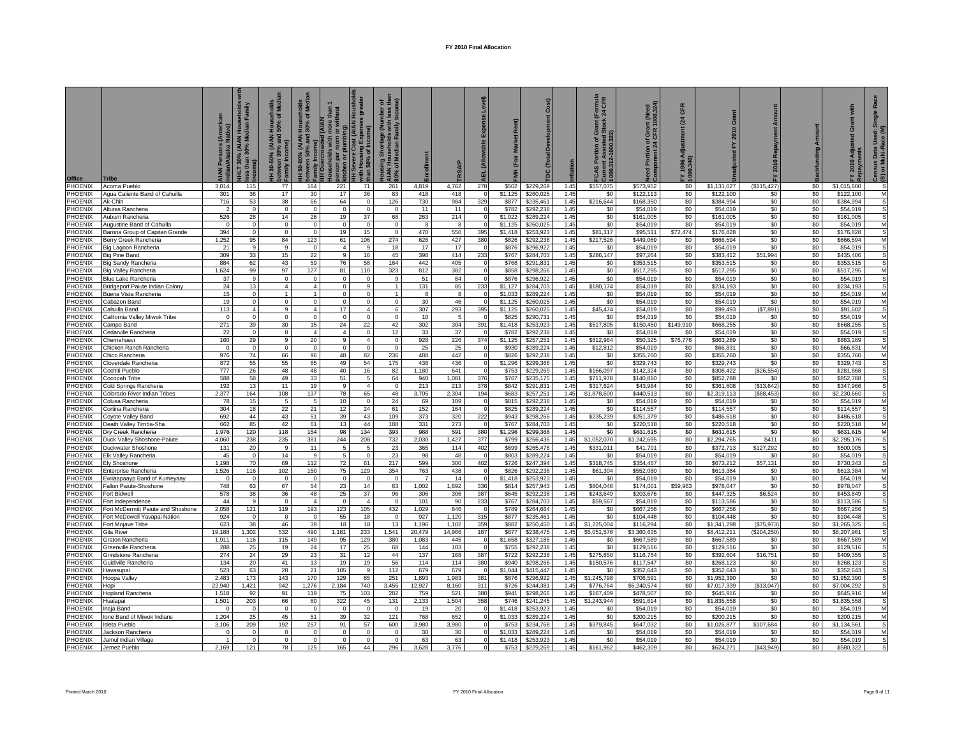| <b>Office</b>                    | Tribe                                              | ye)               | vilus<br>mily<br>(AIAN<br>₹<br>HLT 30%<br>than | Households<br>50% of Medi<br>(AIAN<br>% and<br>30-50<br>atweel<br>amily | ž<br>50-80% (AIAN Househ<br>ween 50% and 80% of<br>mily | <b>DIAM</b><br>៰<br>per | st (AIAN Houshol<br>ಕಾ<br>ie)<br>Housing<br>150% of In | $\frac{3}{2}$ $\frac{4}{2}$ $\frac{4}{2}$ $\frac{4}{2}$ $\frac{4}{2}$ $\frac{4}{2}$ $\frac{4}{2}$ $\frac{4}{2}$ $\frac{4}{2}$ $\frac{4}{2}$ $\frac{4}{2}$ $\frac{4}{2}$ $\frac{4}{2}$ $\frac{4}{2}$ $\frac{4}{2}$ $\frac{4}{2}$ $\frac{4}{2}$ $\frac{4}{2}$ $\frac{4}{2}$ $\frac{4}{2}$ $\frac{4}{2}$ $\frac{4}{2}$<br>y Shortage (Number of Shortage (Number of Shortes)<br>Duseholds with less to Median Family Incom<br>10% of Median Fa<br>ing |              |              |                        | Market <sub>R</sub><br>(Fair | Cost)                  | flation      | rmula<br>CFR<br>$T$<br>24 0<br>tion of Grassisted Str<br>ssisted Str<br>1000.322)<br>Curren<br>1000.312-11<br>Por<br>g<br>4 | Portion of Grant (Need<br>vonent 24 CFR 1000.324) | CFR<br>24        | $\sigma$                 | 2010<br>놊          | Amount<br>ackfunding | ş<br>ō<br>Āđji<br>2010   | <b>P</b><br>Single<br>Used:<br>ace (M<br>Census Data I<br>(S) or Multi-Ra<br>ិ<br>$\widehat{\boldsymbol{\omega}}$ |
|----------------------------------|----------------------------------------------------|-------------------|------------------------------------------------|-------------------------------------------------------------------------|---------------------------------------------------------|-------------------------|--------------------------------------------------------|----------------------------------------------------------------------------------------------------------------------------------------------------------------------------------------------------------------------------------------------------------------------------------------------------------------------------------------------------------------------------------------------------------------------------------------------------|--------------|--------------|------------------------|------------------------------|------------------------|--------------|-----------------------------------------------------------------------------------------------------------------------------|---------------------------------------------------|------------------|--------------------------|--------------------|----------------------|--------------------------|-------------------------------------------------------------------------------------------------------------------|
| PHOENIX                          | Acoma Pueblo                                       | 3,014             | 115                                            | 77                                                                      | 164                                                     | 221                     | 71                                                     | 261                                                                                                                                                                                                                                                                                                                                                                                                                                                | 4,819        | 4.762        | 278                    | \$502                        | \$229,269              | 1.45         | \$557,075                                                                                                                   | \$573,952                                         | \$0              | \$1,131,027              | (\$115, 427)       | \$0                  | \$1,015,600              |                                                                                                                   |
| PHOENIX                          | Agua Caliente Band of Cahuilla                     | 301               | 36                                             | 17                                                                      | 30                                                      | 17                      | 36                                                     | 83                                                                                                                                                                                                                                                                                                                                                                                                                                                 | 418          | 418          |                        | \$1,125                      | \$260,025              | 1.45         | \$0                                                                                                                         | \$122,113                                         | \$0              | \$122,100                | \$0                | \$0                  | \$122,100                | M                                                                                                                 |
| PHOENIX                          | Ak-Chin                                            | 716               | 53                                             | 38                                                                      | 66                                                      | 64                      | $\Omega$                                               | 126                                                                                                                                                                                                                                                                                                                                                                                                                                                | 730          | 984          | 329                    | \$877                        | \$235,461              | 1.45         | \$216,644                                                                                                                   | \$168,350                                         | \$0              | \$384,994                | \$0                | \$0                  | \$384,994                | s                                                                                                                 |
| <b>PHOENIX</b><br><b>PHOENIX</b> | Alturas Rancheria<br>uburn Rancheria               | 526               | $\Omega$<br>28                                 | $\Omega$<br>14                                                          | $\Omega$<br>26                                          | $\Omega$<br>19          | $\Omega$<br>37                                         | $\Omega$<br>68                                                                                                                                                                                                                                                                                                                                                                                                                                     | 11<br>263    | 11<br>214    |                        | \$782<br>\$1,022             | \$292,238<br>\$289.224 | 1.45<br>1.45 | \$0<br>\$0                                                                                                                  | \$54,019<br>\$161,005                             | \$0<br>\$0       | \$54,019<br>\$161.005    | \$0<br>\$0         | \$0<br>\$0           | \$54,01<br>\$161.005     | S                                                                                                                 |
| <b>PHOENIX</b>                   | ugustine Band of Cahuilla                          | $\Omega$          | $\mathbf 0$                                    | $\mathbf 0$                                                             | $\Omega$                                                | $\circ$                 | $\Omega$                                               | $\Omega$                                                                                                                                                                                                                                                                                                                                                                                                                                           | $\mathbf{R}$ | $\mathbf{R}$ |                        | \$1,125                      | \$260,025              | 1.45         | \$0                                                                                                                         | \$54,019                                          | \$0              | \$54,019                 | \$0                | \$0                  | \$54.019                 | M                                                                                                                 |
| <b>PHOENIX</b>                   | <b>Sarona Group of Capitan Grande</b>              | 394               | $\overline{0}$                                 | $\Omega$                                                                | $\Omega$                                                | 19                      | 15                                                     | $\Omega$                                                                                                                                                                                                                                                                                                                                                                                                                                           | 470          | 550          | 395                    | \$1,418                      | \$253,923              | 1.45         | \$81,317                                                                                                                    | \$95,511                                          | \$72,474         | \$176,828                | \$0                | \$0                  | \$176,828                | s                                                                                                                 |
| <b>PHOENIX</b>                   | <b>Serry Creek Rancheria</b>                       | 1,252             | 95                                             | 84                                                                      | 123                                                     | 61                      | 106                                                    | 274                                                                                                                                                                                                                                                                                                                                                                                                                                                | 626          | 427          | 380                    | \$826                        | \$292,238              | 1.45         | \$217,526                                                                                                                   | \$449,069                                         | \$0              | \$666,594                | \$0                | \$0                  | \$666,594                | M                                                                                                                 |
| <b>PHOENIX</b>                   | Big Lagoon Rancheria                               | 21                | 9                                              | 9                                                                       | $\Omega$                                                | $\overline{4}$          | $\mathbf{q}$                                           | 18                                                                                                                                                                                                                                                                                                                                                                                                                                                 | 17           | 17           |                        | \$876                        | \$296,922              | 1.45         | \$0                                                                                                                         | \$54,019                                          | \$0              | \$54,019                 | \$0                | \$0                  | \$54,019                 | S                                                                                                                 |
| PHOENIX                          | Big Pine Band                                      | 309               | 33                                             | 15                                                                      | 22                                                      | 9                       | 16                                                     | 45                                                                                                                                                                                                                                                                                                                                                                                                                                                 | 398          | 414          | 233                    | \$767                        | \$284,703              | 1.45         | \$286,147                                                                                                                   | \$97,264                                          | \$0              | \$383,412                | \$51,994           | \$0                  | \$435,406                | S                                                                                                                 |
| PHOENIX<br>PHOENIX               | Big Sandy Rancheria                                | 884<br>1,624      | 62<br>99                                       | 43<br>97                                                                | 59<br>127                                               | 76<br>81                | 58<br>110                                              | 164<br>323                                                                                                                                                                                                                                                                                                                                                                                                                                         | 442<br>812   | 405<br>382   |                        | \$768<br>\$858               | \$291,831<br>\$298,266 | 1.45<br>1.45 | \$0<br>\$0                                                                                                                  | \$353,515<br>\$517,295                            | \$0<br>\$0       | \$353,515<br>\$517,295   | \$0<br>\$0         | \$0<br>\$0           | \$353,515<br>\$517,295   | M                                                                                                                 |
| PHOENIX                          | <b>Big Valley Rancheria</b><br>3lue Lake Rancheria | 37                | 9                                              | $\mathbf 0$                                                             | $\Omega$                                                | $\mathbf 0$             | $^{\circ}$                                             | 9                                                                                                                                                                                                                                                                                                                                                                                                                                                  | 51           | 84           |                        | \$876                        | \$296,922              | 1.45         | \$0                                                                                                                         | \$54,019                                          | \$0              | \$54,019                 | \$0                | \$0                  | \$54,019                 |                                                                                                                   |
| PHOENIX                          | Bridgeport Paiute Indian Colony                    | 24                | 13                                             | $\overline{4}$                                                          | $\overline{4}$                                          | $\circ$                 | $\overline{9}$                                         | $\mathbf{1}$                                                                                                                                                                                                                                                                                                                                                                                                                                       | 131          | 85           | 233                    | \$1,127                      | \$284,703              | 1.45         | \$180,174                                                                                                                   | \$54,019                                          | \$0              | \$234,193                | \$0                | \$0                  | \$234,193                | S                                                                                                                 |
| PHOENIX                          | Buena Vista Rancheria                              | 15                | $\mathbf 0$                                    | $\mathbf{1}$                                                            |                                                         | $\circ$                 | $\Omega$                                               |                                                                                                                                                                                                                                                                                                                                                                                                                                                    |              | 8            |                        | \$1,033                      | \$289,224              | 1.45         | \$0                                                                                                                         | \$54,019                                          | \$0              | \$54,019                 | \$0                | \$0                  | \$54,019                 | M                                                                                                                 |
| PHOENIX                          | abazon Band;                                       | 19                | $\mathbf 0$                                    | $\mathbf 0$                                                             | $\mathbf 0$                                             | $\mathbf 0$             | $\mathbf 0$                                            | $\mathbf 0$                                                                                                                                                                                                                                                                                                                                                                                                                                        | 30           | 46           |                        | \$1,125                      | \$260,025              | 1.45         | \$0                                                                                                                         | \$54,019                                          | \$0              | \$54,019                 | \$0                | \$0                  | \$54,019                 | M                                                                                                                 |
| PHOENIX                          | ahuilla Band                                       | 113               | $\overline{4}$                                 | 9                                                                       | $\overline{4}$                                          | 17                      | $\overline{4}$                                         | 6                                                                                                                                                                                                                                                                                                                                                                                                                                                  | 307          | 293          | 395                    | \$1,125                      | \$260,025              | 1.45         | \$45,474                                                                                                                    | \$54,019                                          | \$0              | \$99,493                 | (S7, 891)          | \$0                  | \$91,602                 | s                                                                                                                 |
| PHOENIX                          | alifornia Valley Miwok Tribe                       | $\Omega$<br>271   | $\mathbf 0$                                    | $\mathbf 0$                                                             | $\Omega$                                                | $\circ$                 | $\Omega$                                               | $\circ$                                                                                                                                                                                                                                                                                                                                                                                                                                            | 10           | 5            |                        | \$825                        | \$290.731<br>\$253.923 | 1.45         | \$0                                                                                                                         | \$54,019                                          | \$0              | \$54,019                 | \$0                | \$0                  | \$54,019                 | M<br>S                                                                                                            |
| <b>PHOENIX</b><br><b>PHOENIX</b> | ampo Band<br>edarville Rancheria                   | 22                | 39<br>$\mathbf 0$                              | 30<br>8                                                                 | 15<br>$\overline{4}$                                    | 24<br>$\overline{4}$    | 22<br>$\mathbf 0$                                      | 42<br>12                                                                                                                                                                                                                                                                                                                                                                                                                                           | 302<br>33    | 304<br>37    | 391                    | \$1,418<br>\$782             | \$292,238              | 1.45<br>1.45 | \$517,805<br>\$0                                                                                                            | \$150,450<br>\$54,019                             | \$149,910<br>\$0 | \$668,255<br>\$54,019    | \$0<br>\$0         | \$0<br>\$0           | \$668,255<br>\$54,019    | S                                                                                                                 |
| <b>PHOENIX</b>                   | hemehuevi:                                         | 160               | 29                                             | 9                                                                       | 20                                                      | 9                       | $\overline{4}$                                         | $\mathsf 0$                                                                                                                                                                                                                                                                                                                                                                                                                                        | 928          | 226          | 374                    | \$1,125                      | \$257,251              | 1.45         | \$812,964                                                                                                                   | \$50,325                                          | \$76,776         | \$863,289                | \$0                | \$0                  | \$863,289                | S                                                                                                                 |
| <b>PHOENIX</b>                   | Chicken Ranch Rancheria                            | $\Omega$          | $\mathbf 0$                                    | $\mathbf 0$                                                             | $\Omega$                                                | $\mathbf{0}$            | $\Omega$                                               | $\circ$                                                                                                                                                                                                                                                                                                                                                                                                                                            | 25           | 25           |                        | \$930                        | \$289.224              | 1.45         | \$12,812                                                                                                                    | \$54,019                                          | \$0              | \$66,831                 | \$0                | \$0                  | \$66,831                 | M                                                                                                                 |
| <b>PHOENIX</b>                   | Chico Rancheria                                    | 976               | 74                                             | 66                                                                      | 96                                                      | 48                      | 82                                                     | 236                                                                                                                                                                                                                                                                                                                                                                                                                                                | 488          | 442          |                        | \$826                        | \$292,238              | 1.45         | \$0                                                                                                                         | \$355,760                                         | \$0              | \$355,760                | \$0                | \$0                  | \$355,760                | M                                                                                                                 |
| <b>PHOENIX</b>                   | Cloverdale Rancheria                               | 872               | 55                                             | 55                                                                      | 65                                                      | 49                      | 54                                                     | 175                                                                                                                                                                                                                                                                                                                                                                                                                                                | 436          | 436          |                        | \$1,296                      | \$299,366              | 1.45         | \$0                                                                                                                         | \$329,743                                         | \$0              | \$329,743                | \$0                | \$0                  | \$329,743                | s                                                                                                                 |
| <b>PHOENIX</b>                   | ≿ochiti Pueblo                                     | 777               | 26                                             | 48                                                                      | 48                                                      | 40                      | 16                                                     | 82                                                                                                                                                                                                                                                                                                                                                                                                                                                 | 1,180        | 641          |                        | \$753                        | \$229,269              | 1.45         | \$166,097                                                                                                                   | \$142,324                                         | \$0              | \$308,422                | (\$26,554)         | \$0                  | \$281,868                | s                                                                                                                 |
| PHOENIX<br>PHOENIX               | Cocopah Tribe<br>Cold Springs Rancheria            | 588<br>192        | 58<br>13                                       | 49<br>11                                                                | 33<br>19                                                | 51<br>9                 | 5<br>$\overline{4}$                                    | 64<br>$\mathsf 0$                                                                                                                                                                                                                                                                                                                                                                                                                                  | 940<br>213   | 1,081<br>213 | 376<br>378             | \$767<br>\$842               | \$235,175<br>\$291,831 | 1.45<br>1.45 | \$711,978<br>\$317,624                                                                                                      | \$140,810<br>\$43,984                             | \$0<br>\$0       | \$852,788<br>\$361,608   | \$0<br>(\$13,642)  | \$0<br>\$0           | \$852,788<br>\$347,966   | s<br>S                                                                                                            |
| <b>PHOENIX</b>                   | Colorado River Indian Tribes                       | 2,377             | 164                                            | 108                                                                     | 137                                                     | 78                      | 65                                                     | 48                                                                                                                                                                                                                                                                                                                                                                                                                                                 | 3,705        | 2,304        | 194                    | \$683                        | \$257,251              | 1.45         | \$1,878,600                                                                                                                 | \$440,513                                         | \$0              | \$2,319,113              | (\$88,453)         | \$0                  | \$2,230,660              | s                                                                                                                 |
| <b>PHOENIX</b>                   | Colusa Rancheria                                   | 78                | 15                                             | -5                                                                      | 5                                                       | 10 <sup>1</sup>         | $^{\circ}$                                             | 24                                                                                                                                                                                                                                                                                                                                                                                                                                                 | 69           | 109          |                        | \$815                        | \$292,238              | 1.45         | \$0                                                                                                                         | \$54,019                                          | \$0              | \$54,019                 | \$0                | \$0                  | \$54,019                 | M                                                                                                                 |
| PHOENIX                          | Cortina Rancheria                                  | 304               | 18                                             | 22                                                                      | 21                                                      | 12                      | 24                                                     | 61                                                                                                                                                                                                                                                                                                                                                                                                                                                 | 152          | 164          |                        | \$825                        | \$289,224              | 1.45         | \$0                                                                                                                         | \$114,557                                         | \$0              | \$114,557                | \$0                | \$0                  | \$114,557                | s                                                                                                                 |
| PHOENIX                          | Coyote Valley Band                                 | 692               | 44                                             | 43                                                                      | 51                                                      | 39                      | 43                                                     | 109                                                                                                                                                                                                                                                                                                                                                                                                                                                | 373          | 320          | 222                    | \$943                        | \$298,266              | 1.45         | \$235.239                                                                                                                   | \$251,379                                         | \$0              | \$486,618                | \$0                | \$0                  | \$486,618                |                                                                                                                   |
| <b>PHOENIX</b>                   | eath Valley Timba-Sha                              | 662               | 85                                             | 42                                                                      | 61                                                      | 13                      | 44                                                     | 188                                                                                                                                                                                                                                                                                                                                                                                                                                                | 331          | 273          |                        | \$767                        | \$284,703              | 1.45         | \$0                                                                                                                         | \$220,518                                         | \$0              | \$220,518                | \$0                | \$0                  | \$220,518                | M                                                                                                                 |
| PHOENIX                          | <b>Ory Creek Rancheria</b>                         | 1,976             | 120                                            | 118                                                                     | 154                                                     | 98                      | 134                                                    | 393                                                                                                                                                                                                                                                                                                                                                                                                                                                | 988          | 591          | 380                    | \$1,296                      | \$299,366              | 1.45         | \$0                                                                                                                         | \$631,615                                         | \$0              | \$631,615                | \$0                | \$0                  | \$631,61                 | M<br>S                                                                                                            |
| <b>PHOENIX</b><br><b>PHOENIX</b> | Duck Valley Shoshone-Paiute<br>Juckwater Shoshone  | 4,060<br>131      | 238<br>20                                      | 235                                                                     | 381<br>11                                               | 244<br>5                | 208<br>5                                               | 732<br>23                                                                                                                                                                                                                                                                                                                                                                                                                                          | 2,030<br>365 | 1,427<br>114 | 377<br>40 <sup>′</sup> | \$799<br>\$699               | \$256,436<br>\$265.478 | 1.45<br>1.45 | \$1,052,070<br>\$331.011                                                                                                    | \$1,242,695<br>\$41,701                           | \$0<br>\$0       | \$2,294,765<br>\$372,713 | \$411<br>\$127.292 | \$0<br>\$0           | \$2,295,176<br>\$500,005 | S                                                                                                                 |
| PHOENIX                          | Elk Valley Rancheria                               | 45                | $\Omega$                                       | 14                                                                      |                                                         | $\overline{5}$          |                                                        | 23                                                                                                                                                                                                                                                                                                                                                                                                                                                 | <b>QR</b>    | 48           |                        | \$803                        | \$289.224              | 1.45         | \$0                                                                                                                         | \$54,019                                          | \$0              | \$54,019                 | \$0                | \$0                  | \$54,01                  |                                                                                                                   |
| PHOENIX                          | Iv Shoshon                                         | 1,198             | 70                                             | 69                                                                      | 112                                                     | 72                      | 61                                                     | 217                                                                                                                                                                                                                                                                                                                                                                                                                                                | 599          | 300          | 402                    | \$726                        | \$247,394              | 1.45         | \$318,745                                                                                                                   | \$354,467                                         | \$0              | \$673,21                 | \$57,131           | \$0                  | \$730,343                |                                                                                                                   |
| PHOENIX                          | nterprise Rancheria                                | 1,526             | 116                                            | 102                                                                     | 150                                                     | 75                      | 129                                                    | 354                                                                                                                                                                                                                                                                                                                                                                                                                                                | 763          | 438          |                        | \$826                        | \$292,238              | 1.45         | \$61,304                                                                                                                    | \$552,080                                         | \$0              | \$613,384                | \$0                | \$0                  | \$613,384                | M                                                                                                                 |
| PHOENIX                          | wiiaapaayp Band of Kumeyaay:                       | $\Omega$          | $\Omega$                                       | $\Omega$                                                                | $\Omega$                                                | $\overline{0}$          | $\Omega$                                               | $\Omega$                                                                                                                                                                                                                                                                                                                                                                                                                                           |              | 14           |                        | \$1,418                      | \$253,923              | 1.45         | \$0                                                                                                                         | \$54,019                                          | \$0              | \$54,019                 | \$0                | \$0                  | \$54,019                 | M                                                                                                                 |
| PHOENIX                          | allon Paiute-Shoshone                              | 748               | 63                                             | 67                                                                      | 54                                                      | 23                      | 14                                                     | 63                                                                                                                                                                                                                                                                                                                                                                                                                                                 | 1,002        | 1,692        | 336                    | \$814                        | \$257,943              | 1.45         | \$804,046                                                                                                                   | \$174,001                                         | \$59,963         | \$978,047                | \$0                | \$0                  | \$978,047                | s<br>s                                                                                                            |
| PHOENIX<br>PHOENIX               | Fort Bidwel<br>Fort Independence                   | 578<br>44         | 38<br>$\mathbf{Q}$                             | 36<br>$\Omega$                                                          | 48<br>$\mathbf{A}$                                      | 25<br>$\mathbf{0}$      | 37<br>$\mathbf{A}$                                     | 96<br>$\Omega$                                                                                                                                                                                                                                                                                                                                                                                                                                     | 306<br>101   | 306<br>90    | 387<br>233             | \$645<br>\$767               | \$292,238<br>\$284,703 | 1.45<br>1.45 | \$243,649<br>\$59,567                                                                                                       | \$203,676<br>\$54,019                             | \$0<br>\$0       | \$447,325<br>\$113,586   | \$6,524<br>\$0     | \$0<br>\$0           | \$453,849<br>\$113,586   | s                                                                                                                 |
| PHOENIX                          | Fort McDermitt Paiute and Shoshone                 | 2,058             | 121                                            | 119                                                                     | 193                                                     | 123                     | 105                                                    | 432                                                                                                                                                                                                                                                                                                                                                                                                                                                | 1,029        | 846          |                        | \$789                        | \$264,664              | 1.45         | \$0                                                                                                                         | \$667,256                                         | \$0              | \$667,256                | \$0                | \$0                  | \$667,256                | S                                                                                                                 |
| <b>PHOENIX</b>                   | Fort McDowell Yavapai Nation                       | 924               | $\Omega$                                       | $\Omega$                                                                | $\Omega$                                                | 55                      | 18                                                     | $\Omega$                                                                                                                                                                                                                                                                                                                                                                                                                                           | 927          | 1,120        | 315                    | \$877                        | \$235,461              | 1.45         | \$0                                                                                                                         | \$104,448                                         | \$0              | \$104,448                | \$0                | \$0                  | \$104,448                | S                                                                                                                 |
| <b>PHOENIX</b>                   | Fort Mojave Tribe                                  | 623               | 38                                             | 46                                                                      | 39                                                      | 18                      | 18                                                     | 13                                                                                                                                                                                                                                                                                                                                                                                                                                                 | 1,196        | 1,102        | 359                    | \$882                        | \$250,450              | 1.45         | \$1,225,004                                                                                                                 | \$116,294                                         | \$0              | \$1,341,298              | (\$75,973)         | \$0                  | \$1,265,325              |                                                                                                                   |
| <b>PHOENIX</b>                   | Sila River                                         | 19,188            | .302                                           | 532                                                                     | 490                                                     | 1,181                   | 233                                                    | 1,541                                                                                                                                                                                                                                                                                                                                                                                                                                              | 20,479       | 14,966       | 187                    | \$877                        | \$238,475              | 1.45         | \$5,051,576                                                                                                                 | \$3,360,635                                       | \$0              | \$8,412,211              | (\$204,250         | \$0                  | \$8,207,961              |                                                                                                                   |
| <b>PHOENIX</b>                   | raton Rancheria                                    | 1,911             | 116                                            | 115                                                                     | 149                                                     | 95                      | 129                                                    | 380                                                                                                                                                                                                                                                                                                                                                                                                                                                | 1.083        | 445          |                        | \$1,658                      | \$327.185              | 1.45         | \$0                                                                                                                         | \$667,589                                         | \$0              | \$667,589                | \$0                | \$0                  | \$667,589                | M                                                                                                                 |
| <b>HOENIX</b><br><b>HOENIX</b>   | reenville Rancheria<br><b>Srindstone Rancheria</b> | 288<br>274        | 25<br>24                                       | 19<br>29                                                                | 24<br>23                                                | 17<br>31                | 25<br>12                                               | 68<br>44                                                                                                                                                                                                                                                                                                                                                                                                                                           | 144<br>137   | 103<br>168   | 387                    | \$755<br>\$722               | \$292.23<br>\$292,238  | 1.45<br>1.45 | \$0<br>\$275,850                                                                                                            | \$129,516<br>\$116,754                            | \$0<br>\$0       | \$129.516<br>\$392,604   | \$0<br>\$16,751    | \$0<br>\$0           | \$129.516<br>\$409,355   | s<br>S                                                                                                            |
| <b>HOENIX</b>                    | Suidiville Rancheria                               | 134               | 20                                             | 41                                                                      | 13                                                      | 19                      | 19                                                     | 56                                                                                                                                                                                                                                                                                                                                                                                                                                                 | 114          | 114          | 380                    | \$940                        | \$298,266              | 1.45         | \$150,576                                                                                                                   | \$117,547                                         | \$0              | \$268,123                | \$0                | \$0                  | \$268,123                | S                                                                                                                 |
| <b>HOENIX</b>                    | lavasunai                                          | 523               | 63                                             | 28                                                                      | 21                                                      | 105                     | 9                                                      | 112                                                                                                                                                                                                                                                                                                                                                                                                                                                | 679          | 679          |                        | \$1.044                      | \$415,447              | 1.45         | \$0                                                                                                                         | \$352.643                                         | \$0              | \$352.643                | \$0                | \$0                  | \$352.643                | s                                                                                                                 |
| <b>PHOENIX</b>                   | łoopa Valley                                       | 2.483             | 173                                            | 143                                                                     | 170                                                     | 129                     | 85                                                     | 251                                                                                                                                                                                                                                                                                                                                                                                                                                                | 1,893        | 1.983        | 381                    | \$876                        | \$296,922              | 1.45         | \$1,245,798                                                                                                                 | \$706,591                                         | \$0              | \$1,952,390              | \$0                | \$0                  | \$1,952,390              | s                                                                                                                 |
| <b>PHOENIX</b>                   | lopi                                               | 22,940            | 1,421                                          | 942                                                                     | 1,276                                                   | 2,184                   | 740                                                    | 3,455                                                                                                                                                                                                                                                                                                                                                                                                                                              | 12,927       | 8,160        | 311                    | \$726                        | \$244,381              | 1.45         | \$776,764                                                                                                                   | \$6,240,574                                       | \$0              | \$7,017,339              | (\$13,047)         | \$0                  | \$7,004,292              | s                                                                                                                 |
| <b>PHOENIX</b>                   | Iopland Rancheria                                  | 1,518             | 92                                             | 91                                                                      | 119                                                     | 75                      | 103                                                    | 282                                                                                                                                                                                                                                                                                                                                                                                                                                                | 759          | 521          | 380                    | \$941                        | \$298,266              | 1.45         | \$167.409                                                                                                                   | \$478,507                                         | \$0              | \$645,916                | \$0                | \$0                  | \$645,916                | M                                                                                                                 |
| <b>PHOENIX</b>                   | <b>Hualapai</b>                                    | 1,501             | 203                                            | 66                                                                      | 60                                                      | 322                     | 45                                                     | 131                                                                                                                                                                                                                                                                                                                                                                                                                                                | 2,133        | 1,504        | 358                    | \$746                        | \$241,245              | 1.45         | \$1,243,944                                                                                                                 | \$591,614                                         | \$0              | \$1,835,558              | \$0                | \$0                  | \$1,835,558              | s                                                                                                                 |
| PHOENIX<br><b>PHOENIX</b>        | naja Band<br>Ione Band of Miwok Indians            | $\Omega$<br>1,204 | $\mathbf 0$<br>25                              | $\mathbf{0}$<br>45                                                      | $\Omega$<br>51                                          | $\mathbf{0}$<br>39      | $\overline{0}$<br>32                                   | $\Omega$<br>121                                                                                                                                                                                                                                                                                                                                                                                                                                    | 19<br>768    | 20<br>652    |                        | \$1,418<br>\$1,033           | \$253,923<br>\$289,224 | 1.45<br>1.45 | \$0<br>\$0                                                                                                                  | \$54,019<br>\$200,215                             | \$0<br>\$0       | \$54,019<br>\$200,215    | \$0<br>\$0         | \$0<br>\$0           | \$54,019<br>\$200,215    | M<br>M                                                                                                            |
| <b>PHOENIX</b>                   | Isleta Pueblo                                      | 3,106             | 209                                            | 192                                                                     | 257                                                     | 91                      | 57                                                     | 600                                                                                                                                                                                                                                                                                                                                                                                                                                                | 3,980        | 3,980        |                        | \$753                        | \$234,768              | 1.45         | \$379,845                                                                                                                   | \$647,032                                         | \$0              | \$1,026,877              | \$107,684          | \$0                  | \$1,134,561              | s                                                                                                                 |
| <b>PHOENIX</b>                   | Jackson Rancheria                                  | $\Omega$          | $\mathbf{0}$                                   | $\mathbf 0$                                                             | $\Omega$                                                | $\circ$                 | 0                                                      | $\Omega$                                                                                                                                                                                                                                                                                                                                                                                                                                           | 30           | 30           |                        | \$1,033                      | \$289,224              | 1.45         | \$0                                                                                                                         | \$54,019                                          | \$0              | \$54,019                 | \$0                | \$0                  | \$54,019                 | M                                                                                                                 |
| <b>PHOENIX</b>                   | Jamul Indian Village                               |                   | $\Omega$                                       | $\mathbf 0$                                                             | $\Omega$                                                | $\circ$                 | $\Omega$                                               | $\Omega$                                                                                                                                                                                                                                                                                                                                                                                                                                           | 63           | 63           |                        | \$1,418                      | \$253,923              | 1.45         | \$0                                                                                                                         | \$54,019                                          | \$0              | \$54,019                 | \$0                | \$0                  | \$54,019                 |                                                                                                                   |
| PHOENIX                          | Jemez Pueblo                                       | 2.169             | 121                                            | 78                                                                      | 125                                                     | 165                     | 44                                                     | 296                                                                                                                                                                                                                                                                                                                                                                                                                                                | 3.628        | 3.776        |                        | \$753                        | \$229,269              | 1.45         | \$161,962                                                                                                                   | \$462,309                                         | \$0              | \$624,271                | (S43.949)          | \$0                  | \$580.322                |                                                                                                                   |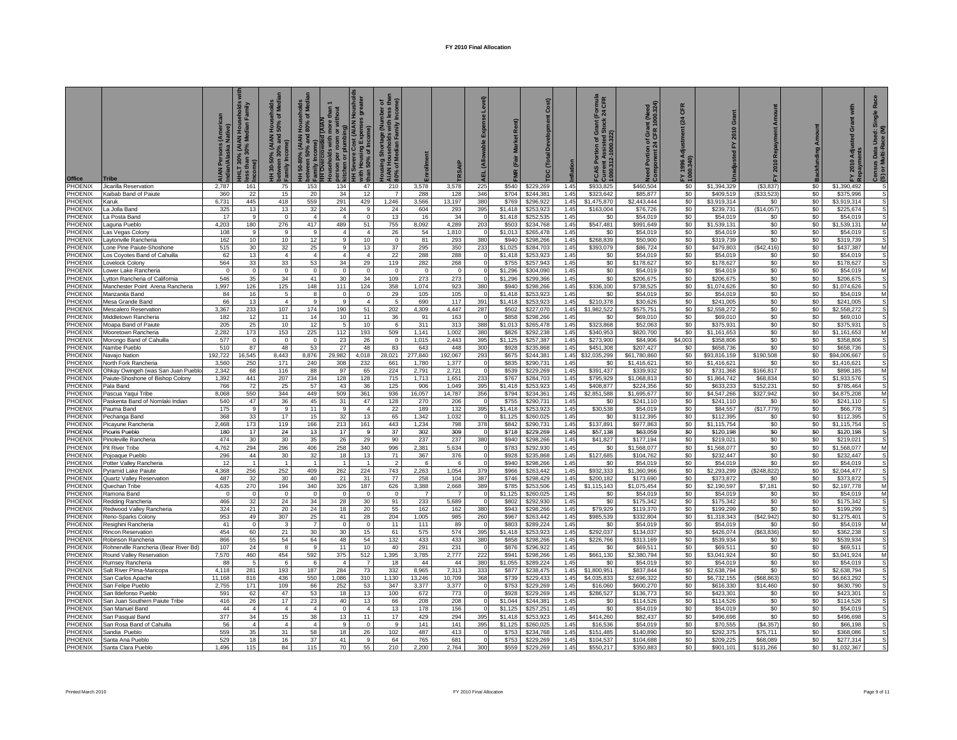| <b>Office</b>             |                                                                      | Persons (Ameri<br>ı/Alaska Native) | villy<br>Hou<br>dian<br>6 (AIAN I<br>30% Me<br><b>IHLT 30% (</b><br>ss than 30<br>ne) | Households<br>50% of Media<br>(AIAN<br>% and<br>30-50%<br>ween 30°<br>ylliums- | 50-80% (AIAN Households<br>ween 50% and 80% of Med<br>betwee<br>Family | than 1<br>thout<br><b>Rd AIAN</b><br>more<br>or witl<br>ercrowded<br>holds with<br>per<br>δ | HH Severe Cost (AIAN Houshol<br>with Housing Expenses greater<br>than 50% of Income) | 5E<br><b>Jousing Shortage (Number</b><br>AIAN Households with less<br>30% of Median Family Incon |                |                 | 巴<br>ৰ          | Market <sub>R</sub><br>(Fair | Cost)                  |              | rmula<br>CFR<br>$\frac{5}{2}$<br>tion of Grassisted Street<br>ssisted Street<br>1000.322)<br>Current As<br>1000.312-11<br>ဖွ | Need Portion of Grant (Need<br>Component 24 CFR 1000.324) | CFR<br>(24)<br>FY 1996 A<br>1000.340) | ō<br>흢                   | 2010<br>놊             | Amount<br><b>Backfunding</b> | with<br>ō<br>Āđji<br>2010 | <b>R</b> a<br>Single<br>Used:<br>ace (M<br>Census Data I<br>(S) or Multi-Ra |
|---------------------------|----------------------------------------------------------------------|------------------------------------|---------------------------------------------------------------------------------------|--------------------------------------------------------------------------------|------------------------------------------------------------------------|---------------------------------------------------------------------------------------------|--------------------------------------------------------------------------------------|--------------------------------------------------------------------------------------------------|----------------|-----------------|-----------------|------------------------------|------------------------|--------------|------------------------------------------------------------------------------------------------------------------------------|-----------------------------------------------------------|---------------------------------------|--------------------------|-----------------------|------------------------------|---------------------------|-----------------------------------------------------------------------------|
| PHOENIX                   | Jicarilla Reservation                                                | 2,787                              | 161                                                                                   | 75                                                                             | 153                                                                    | 134                                                                                         | 47                                                                                   | 210                                                                                              | 3,578          | 3,578           | 225             | \$540                        | \$229,269              | 1.45         | \$933,825                                                                                                                    | \$460,504                                                 | \$0                                   | \$1,394,329              | (S3, 837)             | \$0                          | \$1,390,492               | -S                                                                          |
| PHOENIX                   | Kaibab Band of Paiute                                                | 360                                | 22                                                                                    | 15                                                                             | 20                                                                     | 34                                                                                          | 12                                                                                   |                                                                                                  | 288            | 128             | 346             | \$704                        | \$244,381              | 1.45         | \$323,642                                                                                                                    | \$85,877                                                  | \$0                                   | \$409,519                | (\$33,523)            | \$0                          | \$375,996                 | s                                                                           |
| PHOENIX<br>PHOENIX        | <b>Caruk</b>                                                         | 6.731                              | 445<br>13                                                                             | 418<br>13                                                                      | 559                                                                    | 291                                                                                         | 429<br>9                                                                             | 1.246<br>24                                                                                      | 3.566          | 13.197          | 380<br>395      | \$769                        | \$296,922              | 1.45<br>1.45 | \$1,475,870                                                                                                                  | 62,443,444                                                | \$0                                   | \$3,919,314              | \$0                   | \$0<br>\$0                   | \$3.919.314               | S                                                                           |
| PHOENIX                   | a Jolla Band<br>a Posta Band                                         | 325<br>17                          | 9                                                                                     |                                                                                | 32<br>$\overline{4}$                                                   | 24<br>$\overline{4}$                                                                        | $\Omega$                                                                             | 13                                                                                               | 604<br>16      | 293<br>34       |                 | \$1,418<br>\$1,418           | \$253,923<br>\$252,535 | 1.45         | \$163,004<br>\$0                                                                                                             | \$76,726<br>\$54,019                                      | \$0<br>\$0                            | \$239,731<br>\$54,019    | \$14,057<br>\$0       | \$0                          | \$225,674<br>\$54,019     |                                                                             |
| PHOENIX                   | aguna Pueblo                                                         | 4,203                              | 180                                                                                   | 276                                                                            | 417                                                                    | 489                                                                                         | 51                                                                                   | 755                                                                                              | 8,092          | 4,289           | 20              | \$503                        | \$234,768              | 1.45         | \$547,481                                                                                                                    | \$991,649                                                 | \$0                                   | \$1,539,131              | \$0                   | \$0                          | \$1,539,131               | M                                                                           |
| PHOENIX                   | as Vegas Colony                                                      | 108                                | 9                                                                                     | q                                                                              | $\alpha$                                                               | $\Delta$                                                                                    | $\Delta$                                                                             | 26                                                                                               | 54             | 1.810           |                 | \$1.013                      | \$265,478              | 1.45         | \$0                                                                                                                          | \$54,019                                                  | \$0                                   | \$54,019                 | \$0                   | \$0                          | \$54.01                   |                                                                             |
| PHOENIX                   | aytonville Rancheria                                                 | 162                                | 10 <sup>10</sup>                                                                      | 10 <sup>1</sup>                                                                | 12                                                                     | 9                                                                                           | 10                                                                                   | $\Omega$                                                                                         | 81             | 293             | 380             | \$940                        | \$298,266              | 1.45         | \$268,839                                                                                                                    | \$50,900                                                  | \$0                                   | \$319,739                | \$0                   | \$0                          | \$319,739                 | s                                                                           |
| PHOENIX                   | one Pine Paiute-Shoshone                                             | 515                                | 30                                                                                    | 32                                                                             | 25                                                                     | $\mathbf{9}$                                                                                | 13                                                                                   | 37                                                                                               | 295            | 350             | 233             | \$1,025                      | \$284,703              | 1.45         | \$393,079                                                                                                                    | \$86,724                                                  | \$0                                   | \$479,803                | (\$42,416)            | \$0                          | \$437,387                 | M                                                                           |
| PHOENIX                   | os Coyotes Band of Cahuilla                                          | 62                                 | 13                                                                                    | $\Lambda$                                                                      | $\Lambda$                                                              | $\Lambda$                                                                                   | $\Lambda$                                                                            | 22                                                                                               | 288            | 288             |                 | \$1,418                      | \$253,923              | 1.45         | \$0                                                                                                                          | \$54,019                                                  | \$0                                   | \$54,019                 | \$0                   | \$0                          | \$54,01                   |                                                                             |
| PHOENIX<br>PHOENIX        | ovelock Colony                                                       | 564<br>$\Omega$                    | 33<br>$\Omega$                                                                        | 33                                                                             | 53<br>$\Omega$                                                         | 34<br>$\mathbf{0}$                                                                          | 29<br>$\Omega$                                                                       | 119                                                                                              | 282            | 268<br>$\Omega$ |                 | \$755<br>\$1,296             | \$257,943<br>\$304,090 | 1.45<br>1.45 | \$0<br>\$0                                                                                                                   | \$178,627<br>\$54,019                                     | \$0<br>\$0                            | \$178,627<br>\$54,019    | \$0<br>\$0            | \$0<br>\$0                   | \$178.62<br>\$54,01       | S<br>M                                                                      |
| PHOENIX                   | ower Lake Rancheria<br>ytton Rancheria of California                 | 546                                | 35                                                                                    | 34                                                                             | 41                                                                     | 30                                                                                          | 34                                                                                   | 109                                                                                              | 273            | 273             |                 | \$1,296                      | \$299,366              | 1.45         | $\$0$                                                                                                                        | \$206,675                                                 | \$0                                   | \$206,675                | \$0                   | \$0                          | \$206,67                  | S                                                                           |
| PHOENIX                   | Manchester Point Arena Rancheria                                     | 1,997                              | 126                                                                                   | 125                                                                            | 148                                                                    | 111                                                                                         | 124                                                                                  | 358                                                                                              | 1,074          | 923             | 380             | \$940                        | \$298,266              | 1.45         | \$336,100                                                                                                                    | \$738,525                                                 | \$0                                   | \$1,074,626              | \$0                   | \$0                          | \$1,074,626               | s                                                                           |
| PHOENIX                   | <i>A</i> anzanita Band                                               | 84                                 | 16                                                                                    | 5                                                                              | -8                                                                     | $\mathbf 0$                                                                                 | $\overline{0}$                                                                       | 29                                                                                               | 105            | 105             |                 | \$1,418                      | \$253,923              | 1.45         | \$0                                                                                                                          | \$54,019                                                  | \$0                                   | \$54,019                 | \$0                   | \$0                          | \$54,019                  | M                                                                           |
| PHOENIX                   | Mesa Grande Band                                                     | 66                                 | 13                                                                                    | $\Delta$                                                                       | $\mathbf{q}$                                                           | 9                                                                                           | $\overline{4}$                                                                       | 5                                                                                                | 690            | 117             | 391             | \$1,418                      | \$253,923              | 1.45         | \$210,378                                                                                                                    | \$30,626                                                  | \$0                                   | \$241,005                | \$0                   | \$0                          | \$241,005                 | S                                                                           |
| PHOENIX                   | Mescalero Reservation                                                | 3,367                              | 233                                                                                   | 107                                                                            | 174                                                                    | 190                                                                                         | 51                                                                                   | 202                                                                                              | 4,309          | 4,447           | 287             | \$502                        | \$227,070              | 1.45         | \$1,982,522                                                                                                                  | \$575,751                                                 | \$0                                   | \$2,558,272              | \$0                   | \$0                          | \$2,558,272               | S                                                                           |
| PHOENIX<br>PHOENIX        | Middletown Rancheria<br>Moapa Band of Paiute                         | 182<br>205                         | 12<br>25                                                                              | 11<br>10                                                                       | 14<br>12                                                               | 10<br>5                                                                                     | 11<br>10                                                                             | 36<br>6                                                                                          | 91<br>311      | 163<br>313      | 388             | \$858<br>\$1,013             | \$298,266<br>\$265,478 | 1.45<br>1.45 | \$0<br>\$323,868                                                                                                             | \$69,010<br>\$52,063                                      | \$0<br>\$0                            | \$69,010<br>\$375,931    | \$0<br>\$0            | \$0<br>\$0                   | \$69,010<br>\$375,931     | S                                                                           |
| PHOENIX                   | Mooretown Rancheria                                                  | 2,282                              | 173                                                                                   | 153                                                                            | 225                                                                    | 112                                                                                         | 193                                                                                  | 509                                                                                              | 1,141          | 1,002           | 380             | \$826                        | \$292,238              | 1.45         | \$340,953                                                                                                                    | \$820,700                                                 | \$0                                   | \$1,161,653              | \$0                   | \$0                          | \$1,161,653               | M                                                                           |
| PHOENIX                   | Morongo Band of Cahuilla                                             | 577                                | $\Omega$                                                                              | $\Omega$                                                                       | $\Omega$                                                               | 23                                                                                          | 26                                                                                   | $\Omega$                                                                                         | 1,015          | 2.443           | 395             | \$1,125                      | \$257,387              | 1.45         | \$273.900                                                                                                                    | \$84,906                                                  | \$4,003                               | \$358,806                | \$0                   | \$0                          | \$358,806                 |                                                                             |
| PHOENIX                   | <b>Jambe Pueblo</b>                                                  | 510                                | 87                                                                                    | 48                                                                             | 53                                                                     | 27                                                                                          | 48                                                                                   | 83                                                                                               | 643            | 448             | 300             | \$928                        | \$235,868              | 1.45         | \$451,308                                                                                                                    | \$207,427                                                 | \$0                                   | \$658,736                | \$0                   | \$0                          | \$658,736                 | s                                                                           |
| PHOENIX                   | <b>Javaio Nation</b>                                                 | 192,722                            | 16,545                                                                                | 8,443                                                                          | 8,876                                                                  | 29,982                                                                                      | 4,018                                                                                | 28,021                                                                                           | 277,840        | 192,067         | 293             | \$675                        | \$244,381              | 1.45         | \$32,035,299                                                                                                                 | \$61,780,860                                              | \$0                                   | \$93,816,159             | \$190,508             | \$0                          | \$94,006,667              | S                                                                           |
| PHOENIX                   | <b>North Fork Rancheria</b>                                          | 3,560                              | 250                                                                                   | 171                                                                            | 240                                                                    | 308                                                                                         | 232                                                                                  | 661                                                                                              | 1,780          | 1,377           |                 | \$835                        | \$290,731              | 1.45         | \$0                                                                                                                          | \$1,416,621                                               | \$0                                   | \$1,416,621              | \$0                   | \$0                          | \$1,416,621               | S                                                                           |
| PHOENIX<br><b>PHOENIX</b> | Ohkay Owingeh (was San Juan Pueb<br>Paiute-Shoshone of Bishop Colony | 2.342<br>1,392                     | 68<br>441                                                                             | 116<br>207                                                                     | 88<br>234                                                              | 97<br>128                                                                                   | 65<br>128                                                                            | 224<br>715                                                                                       | 2.791<br>1,713 | 2,721<br>1,651  | $\Omega$<br>233 | \$539<br>\$767               | \$229.269<br>\$284,703 | 1.45<br>1.45 | \$391.437<br>\$795,929                                                                                                       | \$339.932<br>\$1,068,813                                  | \$0<br>\$0                            | \$731.368<br>\$1,864,742 | \$166,817<br>\$68,834 | \$0<br>\$0                   | \$898.185<br>\$1,933,576  | M<br>s                                                                      |
| <b>PHOENIX</b>            | Pala Band                                                            | 766                                | 72                                                                                    | 25                                                                             | 57                                                                     | 43                                                                                          | 36                                                                                   | 125                                                                                              | 906            | 1,049           | 395             | \$1,418                      | \$253,923              | 1.45         | \$408,877                                                                                                                    | \$224,356                                                 | \$0                                   | \$633,233                | \$152,231             | \$0                          | \$785,464                 | s                                                                           |
| PHOENIX                   | Pascua Yaqui Tribe                                                   | 8,068                              | 550                                                                                   | 344                                                                            | 449                                                                    | 509                                                                                         | 361                                                                                  | 936                                                                                              | 16,057         | 14,787          | 356             | \$794                        | \$234,361              | 1.45         | \$2,851,588                                                                                                                  | \$1,695,677                                               | \$0                                   | \$4,547,266              | \$327,942             | \$0                          | \$4,875,208               | M                                                                           |
| PHOENIX                   | Paskenta Band of Nomlaki Indian                                      | 540                                | 47                                                                                    | 36                                                                             | 45                                                                     | 31                                                                                          | 47                                                                                   | 128                                                                                              | 270            | 206             |                 | \$755                        | \$290,731              | 1.45         | \$0                                                                                                                          | \$241,110                                                 | \$0                                   | \$241,110                | \$0                   | \$0                          | \$241,110                 | s                                                                           |
| PHOENIX                   | Pauma Band                                                           | 175                                | 9                                                                                     | 9                                                                              | 11                                                                     | 9                                                                                           | $\overline{4}$                                                                       | 22                                                                                               | 189            | 132             | 395             | \$1,418                      | \$253,923              | 1.45         | \$30,538                                                                                                                     | \$54,019                                                  | \$0                                   | \$84,557                 | (\$17,779)            | \$0                          | \$66,778                  | S                                                                           |
| PHOENIX                   | Pechanga Band                                                        | 368                                | 33                                                                                    | 17                                                                             | 15                                                                     | 32                                                                                          | 13                                                                                   | 65                                                                                               | 1,342          | 1,032           |                 | \$1,125                      | \$260,025              | 1.45         | \$0                                                                                                                          | \$112,395                                                 | \$0                                   | \$112,395                | \$0                   | \$0                          | \$112,395                 | s                                                                           |
| PHOENIX                   | Picayune Rancheria                                                   | 2,468                              | 173                                                                                   | 119                                                                            | 166                                                                    | 213                                                                                         | 161                                                                                  | 443                                                                                              | 1,234          | 798             | 378             | \$842                        | \$290,731              | 1.45         | \$137,891                                                                                                                    | \$977,863                                                 | \$0                                   | \$1,115,754              | \$0                   | \$0                          | \$1,115,754               | s                                                                           |
| PHOENIX<br>PHOENIX        | Picuris Pueblo<br>Pinoleville Rancheria                              | 180<br>474                         | 17<br>30                                                                              | 24<br>30                                                                       | 13<br>35                                                               | 17<br>26                                                                                    | 9<br>29                                                                              | 37<br>90                                                                                         | 302<br>237     | 309<br>237      | 380             | \$718<br>\$940               | \$229,269<br>\$298,266 | 1.45<br>1.45 | \$57,138<br>\$41,827                                                                                                         | \$63,059<br>\$177,194                                     | \$0<br>\$0                            | \$120,198<br>\$219,021   | \$0<br>\$0            | \$0 <sub>1</sub><br>\$0      | \$120,198<br>\$219,021    | s                                                                           |
| PHOENIX                   | Pit River Tribe                                                      | 4,762                              | 294                                                                                   | 296                                                                            | 406                                                                    | 258                                                                                         | 340                                                                                  | 996                                                                                              | 2,381          | 5,634           |                 | \$783                        | \$292,930              | 1.45         | \$0                                                                                                                          | \$1,568,077                                               | \$0                                   | \$1,568,077              | \$0                   | SO <sub>1</sub>              | \$1,568,077               | M                                                                           |
| PHOENIX                   | Pojoaque Pueblo                                                      | 296                                | 44                                                                                    | 30                                                                             | 32                                                                     | 18                                                                                          | 13                                                                                   | 71                                                                                               | 367            | 376             |                 | \$928                        | \$235,868              | 1.45         | \$127,685                                                                                                                    | \$104.762                                                 | \$0                                   | \$232,447                | \$0                   | \$0                          | \$232,447                 | S                                                                           |
| PHOENIX                   | Potter Valley Rancheria                                              | 12                                 |                                                                                       |                                                                                | $\overline{1}$                                                         | $\mathbf{1}$                                                                                | $\overline{1}$                                                                       |                                                                                                  |                |                 |                 | \$940                        | \$298,266              | 1.45         | \$0                                                                                                                          | \$54,019                                                  | \$0                                   | \$54,019                 | \$0                   | \$0                          | \$54,019                  |                                                                             |
| PHOENIX                   | <b>Pyramid Lake Paiute</b>                                           | 4,368                              | 256                                                                                   | 252                                                                            | 409                                                                    | 262                                                                                         | 224                                                                                  | 743                                                                                              | 2,263          | 1,054           | 379             | \$966                        | \$263,442              | 1.45         | \$932,333                                                                                                                    | \$1,360,966                                               | \$0                                   | \$2,293,299              | (\$248,822)           | \$0                          | \$2,044,477               | S                                                                           |
| PHOENIX<br>PHOENIX        | Quartz Valley Reservation<br>Quechan Tribe                           | 487<br>4,635                       | 32<br>270                                                                             | 30<br>194                                                                      | 40<br>340                                                              | 21<br>326                                                                                   | 31<br>187                                                                            | 77<br>626                                                                                        | 258<br>3,388   | 104<br>2,668    | 387<br>389      | \$746<br>\$785               | \$298,429<br>\$253,506 | 1.45<br>1.45 | \$200,182<br>\$1,115,143                                                                                                     | \$173,690<br>\$1,075,454                                  | \$0<br>\$0                            | \$373.872<br>\$2,190,597 | \$0<br>\$7,181        | \$0<br>\$0                   | \$373,872<br>\$2,197,778  | M                                                                           |
| PHOENIX                   | ≷amona Banc                                                          |                                    |                                                                                       |                                                                                |                                                                        | $\Omega$                                                                                    | $\Omega$                                                                             | $\Omega$                                                                                         |                |                 |                 | \$1,125                      | \$260,025              | 1.45         | \$0                                                                                                                          | \$54,019                                                  | \$0                                   | \$54,019                 | \$0                   | \$0                          | \$54,01                   | M                                                                           |
| PHOENIX                   | Redding Rancheria                                                    | 466                                | 32                                                                                    | 24                                                                             | 34                                                                     | 28                                                                                          | 30                                                                                   | 91                                                                                               | 233            | 5.689           |                 | \$802                        | \$292,930              | 1.45         | \$0                                                                                                                          | \$175.342                                                 | \$0                                   | \$175.342                | \$0                   | \$0                          | \$175.342                 | S                                                                           |
| PHOENIX                   | edwood Valley Rancheria                                              | 324                                | 21                                                                                    | 20                                                                             | 24                                                                     | 18                                                                                          | 20                                                                                   | 55                                                                                               | 162            | 162             | 380             | \$943                        | \$298,266              | 1.45         | \$79.929                                                                                                                     | \$119,370                                                 | \$0                                   | \$199,299                | \$0                   | \$0                          | \$199,299                 | S                                                                           |
| PHOENIX                   | teno-Sparks Colony                                                   | 953                                | 49                                                                                    | 307                                                                            | 25                                                                     | 41                                                                                          | 28                                                                                   | 204                                                                                              | 1.005          | 985             | 260             | \$967                        | \$263,442              | 1.45         | \$985,539                                                                                                                    | \$332,804                                                 | \$0                                   | \$1,318,343              | (\$42,942)            | \$0                          | \$1,275,401               | s                                                                           |
| PHOENIX                   | tesighini Rancheria                                                  | 41                                 | $\Omega$                                                                              |                                                                                | $\overline{7}$                                                         | $\Omega$                                                                                    | $\Omega$                                                                             | 11                                                                                               | 111            | 89              |                 | \$803                        | \$289,224              | 1.45         | \$0                                                                                                                          | \$54,019                                                  | \$0                                   | \$54,019                 | \$0                   | \$0                          | \$54,019                  | M<br>s                                                                      |
| PHOENIX<br>PHOENIX        | Rincon Reservation                                                   | 454<br>866                         | 60<br>55                                                                              | 21<br>54                                                                       | 30<br>64                                                               | 30<br>48                                                                                    | 15<br>54                                                                             | 61<br>132                                                                                        | 575<br>433     | 574<br>433      | 395<br>380      | \$1,418<br>\$858             | \$253,923<br>\$298,266 | 1.45<br>1.45 | \$292,037<br>\$226,766                                                                                                       | \$134,037<br>\$313,169                                    | \$0<br>\$0                            | \$426,074<br>\$539,934   | (\$63,836)<br>\$0     | \$0<br>\$0                   | \$362,238<br>\$539,934    | s                                                                           |
| PHOENIX                   | Robinson Rancheria<br>Rohnerville Rancheria (Bear River Bd)          | 107                                | 24                                                                                    | 8                                                                              | $\mathbf{q}$                                                           | 11                                                                                          | 10                                                                                   | 40                                                                                               | 291            | 231             |                 | \$876                        | \$296,922              | 1.45         | \$0                                                                                                                          | \$69,511                                                  | \$0                                   | \$69,511                 | \$0                   | \$0                          | \$69,511                  | S                                                                           |
| PHOENIX                   | Round Valley Reservation                                             | 7,570                              | 460                                                                                   | 454                                                                            | 592                                                                    | 375                                                                                         | 512                                                                                  | 1,395                                                                                            | 3,785          | 2,777           | 222             | \$941                        | \$298,266              | 1.45         | \$661,130                                                                                                                    | \$2,380,794                                               | \$0                                   | \$3,041,924              | \$0                   | \$0                          | \$3,041,924               | M                                                                           |
| PHOENIX                   | Rumsev Rancheria                                                     | 88                                 | 5                                                                                     | 6                                                                              | 6                                                                      | $\overline{4}$                                                                              | $\overline{7}$                                                                       | 18                                                                                               | 44             | 44              | 380             | \$1,055                      | \$289,224              | 1.45         | \$0                                                                                                                          | \$54,019                                                  | \$0                                   | \$54,019                 | \$0                   | \$0                          | \$54,019                  | s                                                                           |
| PHOENIX                   | Salt River Plma-Maricopa                                             | 4,118                              | 281                                                                                   | 193                                                                            | 187                                                                    | 284                                                                                         | 73                                                                                   | 332                                                                                              | 8,965          | 7,313           | 333             | \$877                        | \$238,475              | 1.45         | \$1,800,951                                                                                                                  | \$837,844                                                 | \$0                                   | \$2,638,794              | \$0                   | \$0                          | \$2,638,794               |                                                                             |
| PHOENIX                   | San Carlos Apache                                                    | 11,168                             | 816                                                                                   | 436                                                                            | 550                                                                    | 1,086                                                                                       | 310                                                                                  | 1,130                                                                                            | 13,246         | 10,709          | 368             | \$739                        | \$229,433              | 1.45         | \$4,035,833                                                                                                                  | \$2,696,322                                               | \$0                                   | \$6,732,155              | \$68,863              | \$0                          | \$6,663,292               |                                                                             |
| PHOENIX<br>PHOENIX        | san Felipe Pueblo<br>san Ildefonso Pueblo                            | 2.755<br>591                       | 171<br>62                                                                             | 109<br>47                                                                      | 66<br>53                                                               | 252<br>18                                                                                   | 53<br>13                                                                             | 347<br>100                                                                                       | 3,377<br>672   | 3.377<br>773    |                 | \$753<br>\$928               | \$229,269<br>\$229,269 | 1.45<br>1.45 | \$16,060<br>\$286,527                                                                                                        | \$600.270<br>\$136.773                                    | \$0<br>\$0                            | \$616,330<br>\$423,301   | \$14,460<br>\$0       | \$0<br>\$0                   | \$630.790<br>\$423,301    | s                                                                           |
| PHOENIX                   | San Juan Southern Paiute Tribe                                       | 416                                | 26                                                                                    | 17                                                                             | 23                                                                     | 40                                                                                          | 13                                                                                   | 66                                                                                               | 208            | 208             |                 | \$1,044                      | \$244,381              | 1.45         | \$0                                                                                                                          | \$114,526                                                 | \$0                                   | \$114,526                | \$0                   | \$0                          | \$114,526                 | S                                                                           |
| PHOENIX                   | San Manuel Band                                                      | 44                                 | $\overline{4}$                                                                        | $\Delta$                                                                       | $\overline{4}$                                                         | $\Omega$                                                                                    | $\overline{4}$                                                                       | 13                                                                                               | 178            | 156             |                 | \$1,125                      | \$257,251              | 1.45         | \$0                                                                                                                          | \$54,019                                                  | \$0                                   | \$54,019                 | \$0                   | \$0                          | \$54,019                  | s                                                                           |
| PHOENIX                   | San Pasqual Band                                                     | 377                                | 34                                                                                    | 15                                                                             | 38                                                                     | 13                                                                                          | 11                                                                                   | 17                                                                                               | 429            | 294             | 395             | \$1,418                      | \$253,923              | 1.45         | \$414.260                                                                                                                    | \$82,437                                                  | \$0                                   | \$496.698                | \$0                   | \$0                          | \$496.698                 | s                                                                           |
| PHOENIX                   | San Rosa Band of Cahuilla                                            | 56                                 | $\overline{4}$                                                                        | $\overline{4}$                                                                 | $\overline{4}$                                                         | $\mathbf{9}$                                                                                | $\Omega$                                                                             | 9                                                                                                | 141            | 141             | 395             | \$1,125                      | \$260,025              | 1.45         | \$16,536                                                                                                                     | \$54,019                                                  | \$0                                   | \$70,555                 | (S4, 357)             | \$0                          | \$66,198                  | S                                                                           |
| PHOENIX<br>PHOFNIX        | Sandia Pueblo<br>Santa Ana Pueblo                                    | 559                                | 35                                                                                    | 31                                                                             | 58                                                                     | 18                                                                                          | 26                                                                                   | 102                                                                                              | 487            | 413             |                 | \$753                        | \$234,768              | 1.45         | \$151.485                                                                                                                    | \$140,890                                                 | \$0                                   | \$292,375                | \$75,711              | \$0                          | \$368,086                 | s                                                                           |
| PHOENIX                   | Santa Clara Pueblo                                                   | 529<br>1.496                       | 18<br>115                                                                             | 16<br>84                                                                       | 37<br>115                                                              | 41<br>70                                                                                    | 9<br>55                                                                              | 64<br>210                                                                                        | 765<br>2,200   | 681<br>2,764    | 300             | \$753<br>\$559               | \$229,269<br>\$229,269 | 1.45<br>1.45 | \$104.537<br>\$550,217                                                                                                       | \$104.688<br>\$350,883                                    | \$0<br>\$0                            | \$209,225<br>\$901,101   | \$68,089<br>\$131,266 | \$0<br>\$0                   | \$277.314<br>\$1,032,367  | S                                                                           |
|                           |                                                                      |                                    |                                                                                       |                                                                                |                                                                        |                                                                                             |                                                                                      |                                                                                                  |                |                 |                 |                              |                        |              |                                                                                                                              |                                                           |                                       |                          |                       |                              |                           |                                                                             |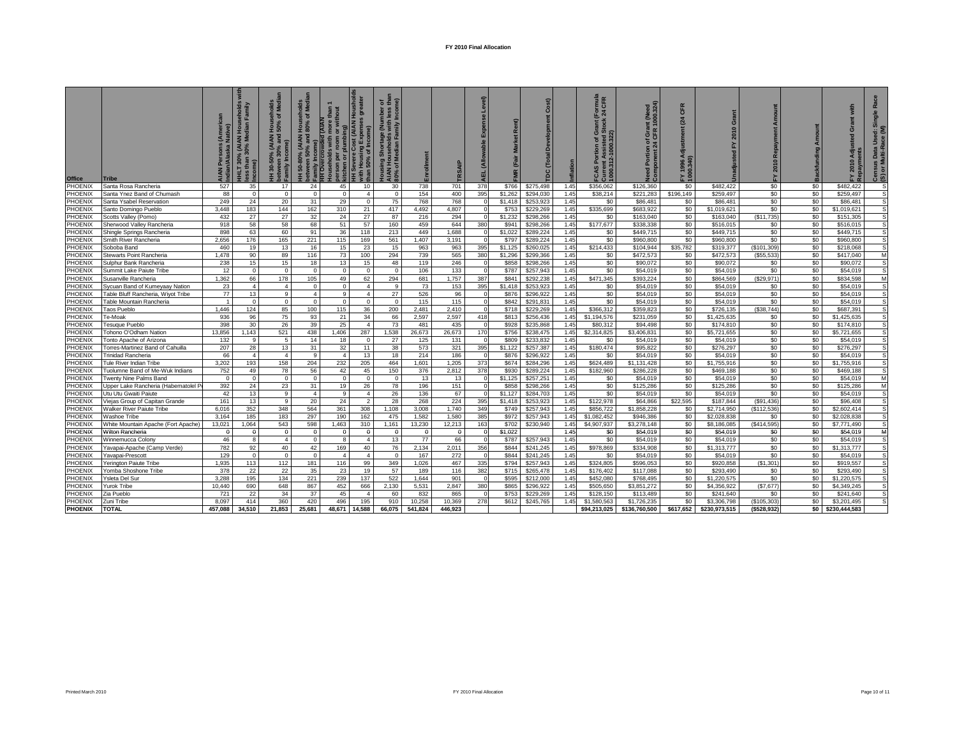| <b>Office</b>      | Tribe                                  | sons (Americ<br>Iska Native) | g<br>≧<br>ਰੋਂ ਛ<br>HHLT 30% (AIAN H<br>ass than 30% Medi | seholds<br>of Medi<br><b>Hous</b><br>50%<br>(AIAN<br>% and<br>between 30% an.<br>Family Income)<br>30-50% ( | $\sum_{i=1}^{n}$<br>ㅎㅎ<br><b>Hous</b><br>80%<br>50-80% (AIAN H<br>ween 50% and 8<br>me)<br>between<br>Family Incor<br>HH Overcro<br>Ŧ. | person per room or without<br> kitchen or plumbing)<br> HH Severe Cost (AIAN Houshold<br> with Housing Expenses greater<br> than 50% of Income)<br>more than<br>or without<br>$\overline{A}$<br><b>Prerowded</b><br>holds with | Housing Shortage (Number of<br>AIAN Households with less tha<br>80% of Median Family Income) | Enrollm      | SA           | evel) | $\alpha$<br><b>IMR</b> | $\epsilon$<br>Õ<br>g   |              | rnula<br>CFR<br><b>Current Assisted S</b><br>1000.312-1000.322)<br>a.<br>FCAS | of Grant (Need<br>CFR 1000.324)<br>Component | CFR<br>$\mathbf{z}$<br>FY 1996 Ao<br>1000.340) | $\circ$<br>201           | 2010        |            | with<br>2010 Adju        | õŽ<br>Census Data Used: S<br>(S) or Multi-Race (M) |
|--------------------|----------------------------------------|------------------------------|----------------------------------------------------------|-------------------------------------------------------------------------------------------------------------|----------------------------------------------------------------------------------------------------------------------------------------|--------------------------------------------------------------------------------------------------------------------------------------------------------------------------------------------------------------------------------|----------------------------------------------------------------------------------------------|--------------|--------------|-------|------------------------|------------------------|--------------|-------------------------------------------------------------------------------|----------------------------------------------|------------------------------------------------|--------------------------|-------------|------------|--------------------------|----------------------------------------------------|
| PHOENIX            | Santa Rosa Rancheria                   | 527                          | 35                                                       | 17                                                                                                          | 24                                                                                                                                     | 45<br>10                                                                                                                                                                                                                       | 30                                                                                           | 738          | 701          | 378   | \$766                  | \$275,498              | 1.45         | \$356,062                                                                     | \$126,360                                    | \$0                                            | \$482,422                | \$0         | \$0        | \$482,422                | .s                                                 |
| PHOENIX            | Santa Ynez Band of Chumash             | 88                           | $^{\circ}$                                               | $^{\circ}$                                                                                                  | $\overline{0}$                                                                                                                         | $\mathbf 0$<br>$\overline{4}$                                                                                                                                                                                                  | $\overline{0}$                                                                               | 154          | 400          | 395   | \$1,262                | \$294,030              | 1.45         | \$38,214                                                                      | \$221,283                                    | \$196,149                                      | \$259,497                | \$0         | \$0        | \$259,497                | <b>S</b>                                           |
| PHOENIX            | Santa Ysabel Reservation               | 249                          | 24                                                       | 20                                                                                                          | 31                                                                                                                                     | 29<br>$\mathbf{0}$                                                                                                                                                                                                             | 75                                                                                           | 768          | 768          |       | \$1,418                | \$253,923              | 1.45         | \$0                                                                           | \$86,481                                     | \$0                                            | \$86,481                 | \$0         | \$0        | \$86,481                 | S                                                  |
| PHOENIX            | Santo Domingo Pueblo                   | 3,448                        | 183                                                      | 144                                                                                                         | 162                                                                                                                                    | 310<br>21                                                                                                                                                                                                                      | 417                                                                                          | 4.492        | 4,807        |       | \$753                  | \$229,269              | 1.45         | \$335,699                                                                     | \$683,922                                    | \$0                                            | \$1,019,621              | \$0         | \$0        | \$1,019,621              |                                                    |
| PHOENIX            | Scotts Valley (Pomo)                   | 432                          | 27                                                       | 27                                                                                                          | 32                                                                                                                                     | 27<br>24                                                                                                                                                                                                                       | 87                                                                                           | 216          | 294          |       | \$1,232                | \$298,266              | 1.45         | \$0                                                                           | \$163,040                                    | \$0                                            | \$163,040                | (S11, 735)  | \$0        | \$151,305                |                                                    |
| PHOENIX            | Sherwood Valley Rancheria              | 918                          | 58                                                       | 58                                                                                                          | 68                                                                                                                                     | 57<br>51                                                                                                                                                                                                                       | 160                                                                                          | 459          | 644          | 380   | \$941                  | \$298,266              | 1.45         | \$177,677                                                                     | \$338,338                                    | \$0                                            | \$516,015                | \$0         | \$0        | \$516,015                |                                                    |
| PHOENIX            | Shingle Springs Rancheria              | 898                          | 63                                                       | 60                                                                                                          | 91                                                                                                                                     | 36<br>118                                                                                                                                                                                                                      | 213                                                                                          | 449          | 1.688        |       | \$1,022                | \$289,224              | 1.45         | \$0                                                                           | \$449.715                                    | \$0                                            | \$449.715                | \$0         | \$0        | \$449.715                |                                                    |
| PHOENIX            | Smith River Rancheria                  | 2,656                        | 176                                                      | 165                                                                                                         | 221                                                                                                                                    | 115<br>169                                                                                                                                                                                                                     | 561                                                                                          | 1,407        | 3,191        |       | \$797                  | \$289,224              | 1.45         | \$0                                                                           | \$960,800                                    | \$0                                            | \$960,800                | \$0         | \$0        | \$960,800                |                                                    |
| PHOENIX            | Soboba Band                            | 460                          | 19                                                       | 13                                                                                                          | 16                                                                                                                                     | 23<br>15                                                                                                                                                                                                                       | 15                                                                                           | 963          | 963          | 395   | \$1,125                | \$260,025              | 1.45         | \$214,433                                                                     | \$104,944                                    | \$35,782                                       | \$319,377                | (\$101,309) | \$0        | \$218,068                |                                                    |
| PHOENIX            | Stewarts Point Rancheria               | 1,478                        | 90                                                       | 89                                                                                                          | 116                                                                                                                                    | 73<br>100                                                                                                                                                                                                                      | 294                                                                                          | 739          | 565          | 380   | \$1,296                | \$299,366              | 1.45         | \$0                                                                           | \$472,573                                    | \$0                                            | \$472,573                | (\$55,533   | \$0        | \$417,040                | M                                                  |
| PHOENIX            | Sulphur Bank Rancheria                 | 238                          | 15                                                       | 15                                                                                                          | 18                                                                                                                                     | 13<br>15                                                                                                                                                                                                                       | 48                                                                                           | 119          | 246          |       | \$858                  | \$298,266              | 1.45         | \$0                                                                           | \$90.072                                     | \$0                                            | \$90,072                 | \$0         | \$0        | \$90.072                 |                                                    |
| PHOENIX            | Summit Lake Paiute Tribe               | 12                           | $\Omega$                                                 | $\Omega$                                                                                                    | $\Omega$                                                                                                                               | $\overline{0}$<br>$\Omega$                                                                                                                                                                                                     | $\Omega$                                                                                     | 106          | 133          |       | \$787                  | \$257,943              | 1.45         | \$0                                                                           | \$54,019                                     | \$0                                            | \$54,019                 | \$0         | \$0        | \$54,019                 | <b>S</b>                                           |
| PHOENIX            | Susanville Rancheria                   | 1,362                        | 66                                                       | 178                                                                                                         | 105                                                                                                                                    | 49<br>62                                                                                                                                                                                                                       | 294                                                                                          | 681          | 1.757        | 387   | \$841                  | \$292.238              | 1.45         | \$471.345                                                                     | \$393.224                                    | \$0                                            | \$864.569                | (\$29.971)  | \$0        | \$834.598                | M                                                  |
| PHOENIX            | Sycuan Band of Kumeyaay Nation         | 23                           | 4                                                        | $\overline{4}$                                                                                              | $^{\circ}$                                                                                                                             | $\mathbf 0$<br>$\overline{4}$                                                                                                                                                                                                  | 9                                                                                            | 73           | 153          | 395   | \$1,418                | \$253,923              | 1.45         | \$0                                                                           | \$54,019                                     | \$0                                            | \$54,019                 | \$0         | \$0        | \$54,019                 |                                                    |
| PHOENIX            | Table Bluff Rancheria, Wiyot Tribe     | 77                           | 13                                                       | 9                                                                                                           | $\overline{4}$                                                                                                                         | $\overline{4}$<br>9                                                                                                                                                                                                            | 27                                                                                           | 526          | 96           |       | \$876                  | \$296,922              | 1.45         | \$0                                                                           | \$54,019                                     | \$0                                            | \$54,019                 | \$0         | \$0        | \$54,019                 |                                                    |
| PHOENIX            | <b>Table Mountain Rancheria</b>        |                              | $\Omega$                                                 | $\mathbf{0}$                                                                                                | $\Omega$                                                                                                                               | $\overline{0}$<br>$\mathbf{0}$                                                                                                                                                                                                 | $\mathbf{0}$                                                                                 | 115          | 115          |       | \$842                  | \$291,831              | 1.45         | \$0                                                                           | \$54,019                                     | \$0                                            | \$54,019                 | \$0         | \$0        | \$54,019                 |                                                    |
| <b>PHOENIX</b>     | Taos Pueblo                            | 1,446                        | 124                                                      | 85                                                                                                          | 100                                                                                                                                    | 36<br>115                                                                                                                                                                                                                      | 200                                                                                          | 2,481        | 2.410        |       | \$718                  | \$229,269              | 1.45         | \$366,312                                                                     | \$359,823                                    | \$0                                            | \$726.135                | (S38, 744)  | \$0        | \$687.391                |                                                    |
| PHOENIX            | Te-Moak                                | 936                          | 96                                                       | 75                                                                                                          | 93                                                                                                                                     | 21<br>34                                                                                                                                                                                                                       | 66                                                                                           | 2,597        | 2,597        | 418   | \$813                  | \$256,436              | 1.45         | \$1,194,576                                                                   | \$231,059                                    | \$0                                            | \$1,425,635              | \$0         | \$0        | \$1,425,635              |                                                    |
| PHOENIX            | esuque Pueblo                          | 398                          | 30                                                       | 26                                                                                                          | 39                                                                                                                                     | 25<br>$\overline{4}$                                                                                                                                                                                                           | 73                                                                                           | 481          | 435          |       | \$928                  | \$235,868              | 1.45         | \$80,312                                                                      | \$94,498                                     | \$0                                            | \$174,810                | \$0         | \$0        | \$174,810                |                                                    |
| PHOENIX            | Tohono O'Odham Nation                  | 13,856                       | 1.143                                                    | 521                                                                                                         | 438                                                                                                                                    | 1,406<br>287                                                                                                                                                                                                                   | 1,538                                                                                        | 26,673       | 26,673       | 170   | \$756                  | \$238,475              | 1.45         | \$2,314,825                                                                   | \$3,406,831                                  | \$0                                            | \$5,721,655              | \$0         | \$0        | \$5,721,655              |                                                    |
| PHOENIX            | <b>Tonto Apache of Arizona</b>         | 132                          | 9                                                        | 5                                                                                                           | 14                                                                                                                                     | 18<br>$\overline{0}$                                                                                                                                                                                                           | 27                                                                                           | 125          | 131          |       | \$809                  | \$233,832              | 1.45         | \$0                                                                           | \$54,019                                     | \$0                                            | \$54,019                 | \$0         | \$0        | \$54,019                 |                                                    |
| PHOENIX            | Torres-Martinez Band of Cahuilla       | 207                          | 28                                                       | 13                                                                                                          | 31                                                                                                                                     | 32<br>11                                                                                                                                                                                                                       | 38                                                                                           | 573          | 321          | 395   | \$1,122                | \$257,387              | 1.45         | \$180,474                                                                     | \$95.822                                     | \$0                                            | \$276.297                | \$0         | \$0        | \$276.297                | S                                                  |
| PHOENIX            | <b>Trinidad Rancheria</b>              | 66                           |                                                          | $\overline{4}$                                                                                              | <b>q</b>                                                                                                                               | 13<br>$\overline{4}$                                                                                                                                                                                                           | 18                                                                                           | 214          | 186          |       | \$876                  | \$296,922              | 1.45         | \$0                                                                           | \$54,019                                     | \$0                                            | \$54,019                 | \$0         | \$0        | \$54,019                 |                                                    |
| PHOENIX            | <b>Tule River Indian Tribe</b>         | 3,202                        | 193                                                      | 158                                                                                                         | 204                                                                                                                                    | 232<br>205                                                                                                                                                                                                                     | 464                                                                                          | 1,601        | 1,205        | 373   | \$674                  | \$284,296              | 1.45         | \$624,489                                                                     | \$1,131,428                                  | \$0                                            | \$1,755,916              | \$0         | \$0        | \$1,755,916              |                                                    |
| PHOENIX            | Tuolumne Band of Me-Wuk Indians        | 752                          | 49                                                       | 78                                                                                                          | 56                                                                                                                                     | 45<br>42                                                                                                                                                                                                                       | 150                                                                                          | 376          | 2,812        | 378   | \$930                  | \$289,224              | 1.45         | \$182,960                                                                     | \$286,228                                    | \$0                                            | \$469,188                | \$0         | \$0        | \$469,188                | -S                                                 |
| PHOENIX            | Twenty Nine Palms Band                 | $^{\circ}$                   | $\Omega$                                                 | $^{\circ}$                                                                                                  | $\Omega$                                                                                                                               | $\overline{0}$<br>$\Omega$                                                                                                                                                                                                     | $\Omega$                                                                                     | 13           | 13           |       | \$1,125                | \$257,251              | 1.45         | \$0                                                                           | \$54,019                                     | \$0                                            | \$54,019                 | \$0         | \$0        | \$54,019                 | M                                                  |
| PHOENIX            | Upper Lake Rancheria (Habematolel      | 392                          | 24                                                       | 23                                                                                                          | 31                                                                                                                                     | 19<br>26                                                                                                                                                                                                                       | 78                                                                                           | 196          | 151          |       | \$858                  | \$298,266              | 1.45         | \$0                                                                           | \$125.286                                    | \$0                                            | \$125,286                | \$0         | \$0        | \$125,286                | M                                                  |
| PHOENIX            | Utu Utu Gwaiti Paiute                  | 42                           | 13                                                       | 9                                                                                                           | $\overline{4}$                                                                                                                         | 9<br>$\overline{4}$                                                                                                                                                                                                            | 26                                                                                           | 136          | 67           |       | \$1,127                | \$284,703              | 1.45         | \$0                                                                           | \$54,019                                     | \$0                                            | \$54,019                 | \$0         | \$0        | \$54,019                 |                                                    |
| PHOENIX            | lejas Group of Capitan Grande          | 161                          | 13                                                       | 9                                                                                                           | 20                                                                                                                                     | 24<br>$\overline{2}$                                                                                                                                                                                                           | 28                                                                                           | 268          | 224          | 395   | \$1,418                | \$253,923              | 1.45         | \$122,978                                                                     | \$64,866                                     | \$22.595                                       | \$187,844                | (S91, 436)  | \$0        | \$96,408                 |                                                    |
| PHOENIX            | <b>Nalker River Paiute Tribe</b>       | 6,016                        | 352                                                      | 348                                                                                                         | 564                                                                                                                                    | 361<br>308                                                                                                                                                                                                                     | 1,108                                                                                        | 3,008        | 1,740        | 349   | \$749                  | \$257,943              | 1.45         | \$856,722                                                                     | \$1,858,228                                  | \$0                                            | \$2,714,950              | (\$112,536) | \$0        | \$2,602.414              |                                                    |
| PHOENIX            | Washoe Tribe                           | 3.164                        | 185                                                      | 183                                                                                                         | 297                                                                                                                                    | 190<br>162                                                                                                                                                                                                                     | 475                                                                                          | 1,582        | 1,580        | 385   | \$972                  | \$257,943              | 1.45         | \$1,082,452                                                                   | \$946,386                                    | \$0                                            | \$2,028,838              | \$0         | \$0        | \$2,028,838              | S                                                  |
| PHOENIX            | White Mountain Apache (Fort Apache     | 13,021                       | 1,064                                                    | 543                                                                                                         | 598                                                                                                                                    | 1,463<br>310                                                                                                                                                                                                                   | 1,161                                                                                        | 13,230       | 12,213       | 163   | \$702                  | \$230,940              | 1.45         | \$4,907,937                                                                   | \$3,278,148                                  | \$0                                            | \$8,186,085              | (\$414,595) | \$0        | \$7,771,490              |                                                    |
| PHOENIX            | Wilton Rancheria                       | $\bf{0}$                     |                                                          | $\mathbf{0}$                                                                                                | $\mathbf{0}$                                                                                                                           | $\bf{0}$<br>$\mathbf{0}$                                                                                                                                                                                                       | $\mathbf{0}$                                                                                 | $\mathbf{0}$ | $\mathbf{0}$ |       | \$1,022                |                        | 1.45         | \$0                                                                           | \$54,019                                     | \$0                                            | \$54,019                 | \$0         | \$0        | \$54,019                 | M                                                  |
| PHOENIX            | Winnemucca Colony                      | 46                           | 8                                                        | $\overline{4}$                                                                                              | $\overline{0}$                                                                                                                         | 8<br>$\overline{4}$                                                                                                                                                                                                            | 13                                                                                           | 77           | 66           |       | \$787                  | \$257,943              | 1.45         | \$0                                                                           | \$54,019                                     | \$0                                            | \$54,019                 | \$0         | \$0        | \$54,019                 |                                                    |
| PHOENIX            | Yavapai-Apache (Camp Verde)            | 782                          | 92                                                       | 40                                                                                                          | 42                                                                                                                                     | 169<br>40                                                                                                                                                                                                                      | 76                                                                                           | 2.134        | 2.011        | 356   | \$844                  | \$241,245              | 1.45         | \$978.869                                                                     | \$334.908                                    | \$0                                            | \$1,313,777              | \$0         | \$0        | \$1,313,777              |                                                    |
| PHOENIX            | Yavapai-Prescott                       | 129                          |                                                          | $^{\circ}$                                                                                                  | $\Omega$                                                                                                                               | $\overline{4}$                                                                                                                                                                                                                 | $\Omega$                                                                                     | 167          | 272          |       | \$844                  | \$241,245              | 1.45         | \$0                                                                           | \$54,019                                     | \$0                                            | \$54,019                 | \$0         | \$0        | \$54,019                 |                                                    |
| PHOENIX            | Yerington Paiute Tribe                 | 1,935                        | 113                                                      | 112                                                                                                         | 181                                                                                                                                    | 116<br>99                                                                                                                                                                                                                      | 349                                                                                          | 1,026        | 467          | 335   | \$794                  | \$257,943              | 1.45         | \$324,805                                                                     | \$596,053                                    | \$0                                            | \$920,858                | (\$1,301)   | \$0        | \$919,557                |                                                    |
| PHOENIX<br>PHOENIX | 'omba Shoshone Tribe<br>'sleta Del Sur | 378<br>3,288                 | 22<br>195                                                | 22<br>134                                                                                                   | 35<br>221                                                                                                                              | 23<br>19<br>239<br>137                                                                                                                                                                                                         | 57<br>522                                                                                    | 189<br>1,644 | 116<br>901   | 382   | \$715<br>\$595         | \$265,478<br>\$212,000 | 1.45<br>1.45 | \$176,402<br>\$452,080                                                        | \$117,088<br>\$768,495                       | \$0<br>\$0                                     | \$293.490<br>\$1,220,575 | \$0<br>\$0  | \$0<br>\$0 | \$293.490<br>\$1,220,575 |                                                    |
| PHOENIX            | Yurok Tribe                            | 10,440                       | 690                                                      | 648                                                                                                         | 867                                                                                                                                    | 452<br>666                                                                                                                                                                                                                     | 2,130                                                                                        | 5,531        | 2,847        | 380   | \$865                  | \$296,922              | 1.45         | \$505,650                                                                     | \$3,851,272                                  | \$0                                            | \$4,356,922              | (\$7,677)   | \$0        | \$4,349,245              |                                                    |
| PHOENIX            | Zia Pueblo                             | 721                          | 22                                                       | 34                                                                                                          | 37                                                                                                                                     | 45<br>$\overline{4}$                                                                                                                                                                                                           | 60                                                                                           | 832          | 865          |       | \$753                  | \$229,269              | 1.45         | \$128,150                                                                     | \$113,489                                    | \$0                                            | \$241,640                | \$0         | \$0        | \$241,640                |                                                    |
| PHOENIX            | Zuni Tribe                             | 8.097                        | 414                                                      | 360                                                                                                         | 420                                                                                                                                    | 496<br>195                                                                                                                                                                                                                     | 910                                                                                          | 10,258       | 10.369       | 278   | \$612                  | \$245,765              | 1.45         | \$1,580,563                                                                   | \$1,726,235                                  | \$0                                            | \$3,306,798              | (\$105,303  | \$0        | \$3,201,495              |                                                    |
| <b>PHOENIX</b>     | <b>TOTAL</b>                           | 457,088                      | 34,510                                                   | 21,853                                                                                                      | 25,681                                                                                                                                 | 48,671<br>14,588                                                                                                                                                                                                               | 66,075                                                                                       | 541,824      | 446,923      |       |                        |                        |              | \$94,213,025                                                                  | \$136,760,500                                | \$617,652                                      | \$230,973,515            | (\$528,932) | \$O        | \$230,444,583            |                                                    |
|                    |                                        |                              |                                                          |                                                                                                             |                                                                                                                                        |                                                                                                                                                                                                                                |                                                                                              |              |              |       |                        |                        |              |                                                                               |                                              |                                                |                          |             |            |                          |                                                    |